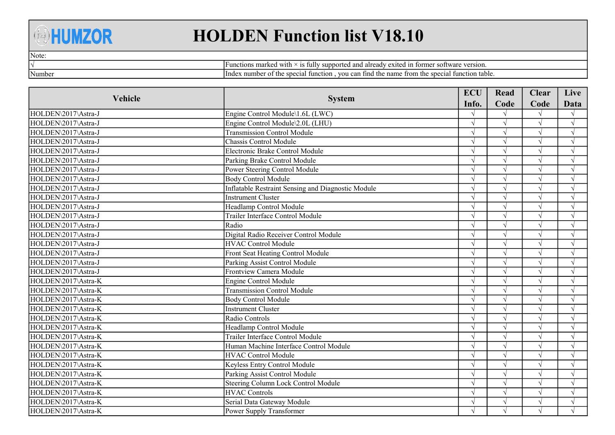## **AHUMZOR**

## HOLDEN Function list V18.10

Note:

√ Number

Functions marked with  $\times$  is fully supported and already exited in former software version. Index number of the special function , you can find the name from the special function table.

|                     |                                                           | <b>ECU</b> | Read       | <b>Clear</b> | Live       |
|---------------------|-----------------------------------------------------------|------------|------------|--------------|------------|
| Vehicle             | <b>System</b>                                             | Info.      | Code       | Code         | Data       |
| HOLDEN\2017\Astra-J | Engine Control Module\1.6L (LWC)                          |            |            |              |            |
| HOLDEN\2017\Astra-J | Engine Control Module\2.0L (LHU)                          |            |            | $\sqrt{}$    | $\sqrt{ }$ |
| HOLDEN\2017\Astra-J | <b>Transmission Control Module</b>                        |            |            |              |            |
| HOLDEN\2017\Astra-J | Chassis Control Module                                    |            |            |              | $\sqrt{ }$ |
| HOLDEN\2017\Astra-J | Electronic Brake Control Module                           |            |            | N            | $\sqrt{ }$ |
| HOLDEN\2017\Astra-J | Parking Brake Control Module                              |            | $\sqrt{ }$ | J            | $\sqrt{ }$ |
| HOLDEN\2017\Astra-J | Power Steering Control Module                             |            |            |              | $\sqrt{ }$ |
| HOLDEN\2017\Astra-J | <b>Body Control Module</b>                                |            |            |              | $\sqrt{ }$ |
| HOLDEN\2017\Astra-J | <b>Inflatable Restraint Sensing and Diagnostic Module</b> |            |            | $\sqrt{ }$   | $\sqrt{ }$ |
| HOLDEN\2017\Astra-J | <b>Instrument Cluster</b>                                 |            |            | $\sqrt{ }$   | $\sqrt{ }$ |
| HOLDEN\2017\Astra-J | Headlamp Control Module                                   |            |            | $\sqrt{ }$   | $\sqrt{ }$ |
| HOLDEN\2017\Astra-J | Trailer Interface Control Module                          |            |            |              | $\sqrt{ }$ |
| HOLDEN\2017\Astra-J | Radio                                                     |            |            |              | $\sqrt{ }$ |
| HOLDEN\2017\Astra-J | Digital Radio Receiver Control Module                     |            |            |              | $\sqrt{ }$ |
| HOLDEN\2017\Astra-J | <b>HVAC Control Module</b>                                |            | $\sqrt{ }$ | $\sqrt{ }$   | $\sqrt{ }$ |
| HOLDEN\2017\Astra-J | Front Seat Heating Control Module                         |            |            |              | $\sqrt{ }$ |
| HOLDEN\2017\Astra-J | Parking Assist Control Module                             |            |            |              | $\sqrt{ }$ |
| HOLDEN\2017\Astra-J | Frontview Camera Module                                   |            |            |              | $\sqrt{ }$ |
| HOLDEN\2017\Astra-K | Engine Control Module                                     |            |            |              | $\sqrt{ }$ |
| HOLDEN\2017\Astra-K | <b>Transmission Control Module</b>                        |            |            |              | $\sqrt{ }$ |
| HOLDEN\2017\Astra-K | <b>Body Control Module</b>                                |            |            |              | $\sqrt{ }$ |
| HOLDEN\2017\Astra-K | <b>Instrument Cluster</b>                                 |            |            | N            | $\sqrt{ }$ |
| HOLDEN\2017\Astra-K | Radio Controls                                            |            | $\sqrt{ }$ | $\sqrt{ }$   | $\sqrt{ }$ |
| HOLDEN\2017\Astra-K | Headlamp Control Module                                   |            | $\sqrt{ }$ | $\sqrt{}$    | $\sqrt{ }$ |
| HOLDEN\2017\Astra-K | Trailer Interface Control Module                          |            |            |              | $\sqrt{ }$ |
| HOLDEN\2017\Astra-K | Human Machine Interface Control Module                    |            | $\sqrt{ }$ |              | $\sqrt{ }$ |
| HOLDEN\2017\Astra-K | <b>HVAC Control Module</b>                                |            | $\sqrt{ }$ | N            | $\sqrt{ }$ |
| HOLDEN\2017\Astra-K | Keyless Entry Control Module                              |            | $\sqrt{ }$ | $\sqrt{ }$   | $\sqrt{ }$ |
| HOLDEN\2017\Astra-K | Parking Assist Control Module                             |            |            |              | $\sqrt{ }$ |
| HOLDEN\2017\Astra-K | Steering Column Lock Control Module                       |            |            |              | $\sqrt{ }$ |
| HOLDEN\2017\Astra-K | <b>HVAC Controls</b>                                      |            |            |              | $\sqrt{ }$ |
| HOLDEN\2017\Astra-K | Serial Data Gateway Module                                |            |            |              | $\sqrt{ }$ |
| HOLDEN\2017\Astra-K | Power Supply Transformer                                  |            |            |              |            |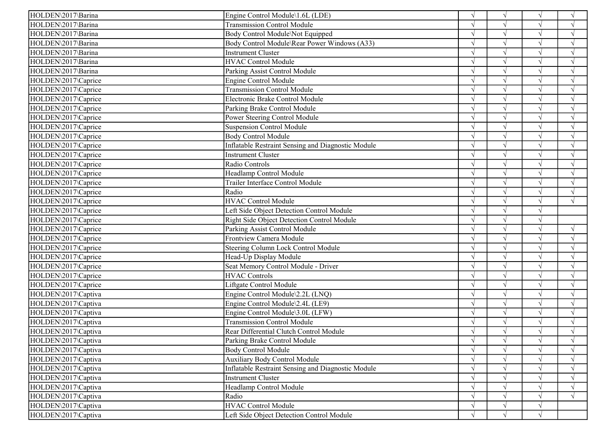| HOLDEN\2017\Barina  | Engine Control Module\1.6L (LDE)                   |               | $\sqrt{ }$ | $\sqrt{ }$    | $\sqrt{ }$    |
|---------------------|----------------------------------------------------|---------------|------------|---------------|---------------|
| HOLDEN\2017\Barina  | <b>Transmission Control Module</b>                 |               | $\sqrt{ }$ |               | $\sqrt{ }$    |
| HOLDEN\2017\Barina  | Body Control Module\Not Equipped                   |               | $\gamma$   | $\sqrt{ }$    | $\sqrt{ }$    |
| HOLDEN\2017\Barina  | Body Control Module\Rear Power Windows (A33)       |               |            | $\mathcal{L}$ | $\sqrt{ }$    |
| HOLDEN\2017\Barina  | Instrument Cluster                                 |               |            |               |               |
| HOLDEN\2017\Barina  | HVAC Control Module                                |               |            | $\sqrt{ }$    | $\sqrt{ }$    |
| HOLDEN\2017\Barina  | Parking Assist Control Module                      |               | $\gamma$   | $\sqrt{ }$    | $\sqrt{ }$    |
| HOLDEN\2017\Caprice | <b>Engine Control Module</b>                       |               | $\sim$     | $\sqrt{ }$    | $\sqrt{ }$    |
| HOLDEN\2017\Caprice | <b>Transmission Control Module</b>                 |               |            |               |               |
| HOLDEN\2017\Caprice | Electronic Brake Control Module                    |               |            |               |               |
| HOLDEN\2017\Caprice | Parking Brake Control Module                       |               |            | $\sqrt{ }$    |               |
| HOLDEN\2017\Caprice | Power Steering Control Module                      |               |            | $\sqrt{ }$    | $\sqrt{ }$    |
| HOLDEN\2017\Caprice | <b>Suspension Control Module</b>                   |               |            |               | $\sqrt{ }$    |
| HOLDEN\2017\Caprice | <b>Body Control Module</b>                         |               | $\sqrt{ }$ | $\sqrt{ }$    | $\sqrt{ }$    |
| HOLDEN\2017\Caprice | Inflatable Restraint Sensing and Diagnostic Module | $\mathcal{L}$ | $\sim$     | $\sqrt{ }$    | $\sqrt{ }$    |
| HOLDEN\2017\Caprice | Instrument Cluster                                 | $\mathcal{L}$ | $\gamma$   | $\sqrt{ }$    | $\sqrt{ }$    |
| HOLDEN\2017\Caprice | Radio Controls                                     |               | $\sim$     | $\sqrt{ }$    | $\sqrt{ }$    |
| HOLDEN\2017\Caprice | Headlamp Control Module                            |               | $\gamma$   |               |               |
| HOLDEN\2017\Caprice | Trailer Interface Control Module                   |               |            | $\sqrt{ }$    | $\mathcal{L}$ |
| HOLDEN\2017\Caprice | Radio                                              |               | $\gamma$   | $\sqrt{ }$    | $\sqrt{ }$    |
| HOLDEN\2017\Caprice | <b>HVAC Control Module</b>                         |               |            | $\sqrt{ }$    | $\sqrt{}$     |
| HOLDEN\2017\Caprice | Left Side Object Detection Control Module          |               | $\sim$     | $\sqrt{ }$    |               |
| HOLDEN\2017\Caprice | <b>Right Side Object Detection Control Module</b>  |               |            | $\sqrt{ }$    |               |
| HOLDEN\2017\Caprice | Parking Assist Control Module                      |               | $\gamma$   | $\sqrt{ }$    | $\sqrt{ }$    |
| HOLDEN\2017\Caprice | Frontview Camera Module                            |               | $\gamma$   | $\sqrt{ }$    | $\sqrt{ }$    |
| HOLDEN\2017\Caprice | Steering Column Lock Control Module                |               | $\gamma$   |               |               |
| HOLDEN\2017\Caprice | Head-Up Display Module                             |               | $\gamma$   | $\sqrt{ }$    | $\mathcal{N}$ |
| HOLDEN\2017\Caprice | Seat Memory Control Module - Driver                |               | $\gamma$   | $\sqrt{ }$    | $\sqrt{ }$    |
| HOLDEN\2017\Caprice | <b>HVAC Controls</b>                               |               | $\gamma$   | $\sqrt{ }$    | $\sqrt{ }$    |
| HOLDEN\2017\Caprice | Liftgate Control Module                            |               |            |               | $\sqrt{ }$    |
| HOLDEN\2017\Captiva | Engine Control Module\2.2L (LNQ)                   |               | $\gamma$   | $\sqrt{ }$    | $\sqrt{ }$    |
| HOLDEN\2017\Captiva | Engine Control Module\2.4L (LE9)                   |               | $\gamma$   | $\sqrt{ }$    | $\sqrt{ }$    |
| HOLDEN\2017\Captiva | Engine Control Module\3.0L (LFW)                   |               | $\gamma$   | $\sqrt{ }$    | $\sqrt{ }$    |
| HOLDEN\2017\Captiva | <b>Transmission Control Module</b>                 |               |            |               |               |
| HOLDEN\2017\Captiva | Rear Differential Clutch Control Module            |               | $\sqrt{ }$ | $\sqrt{ }$    |               |
| HOLDEN\2017\Captiva | Parking Brake Control Module                       | $\sqrt{ }$    | $\sqrt{ }$ | V             | $\sqrt{ }$    |
| HOLDEN\2017\Captiva | <b>Body Control Module</b>                         | $\sqrt{ }$    |            | $\sqrt{ }$    | $\sqrt{ }$    |
| HOLDEN\2017\Captiva | <b>Auxiliary Body Control Module</b>               |               |            |               | $\sqrt{ }$    |
| HOLDEN\2017\Captiva | Inflatable Restraint Sensing and Diagnostic Module |               |            | $\sqrt{ }$    | $\sqrt{ }$    |
| HOLDEN\2017\Captiva | Instrument Cluster                                 |               |            | $\sqrt{ }$    | $\sqrt{ }$    |
| HOLDEN\2017\Captiva | Headlamp Control Module                            |               |            | $\sqrt{ }$    | $\sqrt{ }$    |
| HOLDEN\2017\Captiva | Radio                                              |               |            | $\sqrt{ }$    | $\sqrt{ }$    |
| HOLDEN\2017\Captiva | <b>HVAC Control Module</b>                         | $\gamma$      | $\sqrt{ }$ | $\sqrt{ }$    |               |
| HOLDEN\2017\Captiva | Left Side Object Detection Control Module          | $\sqrt{ }$    | $\sqrt{ }$ | $\sqrt{ }$    |               |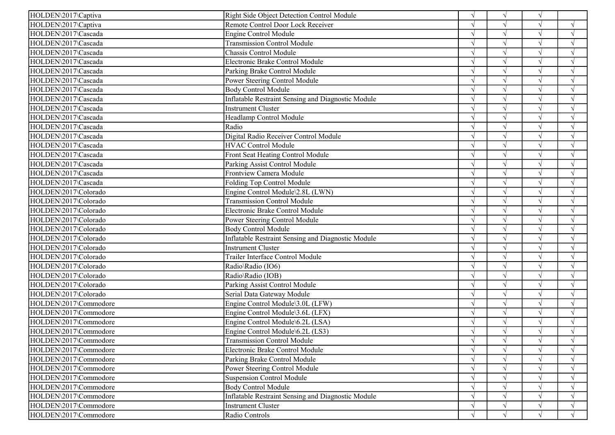| Remote Control Door Lock Receiver<br>HOLDEN\2017\Captiva<br>$\sqrt{ }$                   | $\sqrt{ }$         |
|------------------------------------------------------------------------------------------|--------------------|
|                                                                                          |                    |
| HOLDEN\2017\Cascada<br>Engine Control Module<br>$\sqrt{ }$                               | $\sqrt{ }$         |
| HOLDEN\2017\Cascada<br><b>Transmission Control Module</b><br>$\sqrt{ }$                  | $\mathcal{A}$      |
| Chassis Control Module<br>HOLDEN\2017\Cascada                                            |                    |
| HOLDEN\2017\Cascada<br>Electronic Brake Control Module<br>$\sqrt{ }$                     | $\sqrt{ }$         |
| HOLDEN\2017\Cascada<br>Parking Brake Control Module<br>$\sqrt{ }$                        | $\mathcal{L}$      |
| Power Steering Control Module<br>HOLDEN\2017\Cascada<br>$\sqrt{ }$                       | $\mathcal{L}$      |
| HOLDEN\2017\Cascada<br><b>Body Control Module</b>                                        |                    |
| HOLDEN\2017\Cascada<br><b>Inflatable Restraint Sensing and Diagnostic Module</b>         |                    |
| <b>Instrument Cluster</b><br>HOLDEN\2017\Cascada                                         |                    |
| HOLDEN\2017\Cascada<br>Headlamp Control Module<br>$\sqrt{}$<br>$\sqrt{ }$                | $\gamma$           |
| Radio<br>HOLDEN\2017\Cascada<br>$\sqrt{ }$                                               | $\mathcal{L}$      |
| HOLDEN\2017\Cascada<br>Digital Radio Receiver Control Module<br>$\sqrt{ }$               | $\sqrt{ }$         |
| <b>HVAC Control Module</b><br>HOLDEN\2017\Cascada<br>$\sqrt{ }$                          | $\sqrt{ }$         |
| HOLDEN\2017\Cascada<br>Front Seat Heating Control Module<br>$\sqrt{ }$<br>$\sqrt{ }$     | $\mathcal{L}$      |
| HOLDEN\2017\Cascada<br>Parking Assist Control Module<br>$\sqrt{ }$                       | $\mathcal{L}$      |
| Frontview Camera Module<br>HOLDEN\2017\Cascada<br>$\sqrt{ }$                             | $\sqrt{ }$         |
| HOLDEN\2017\Cascada<br>Folding Top Control Module<br>$\sqrt{ }$                          | $\mathcal{A}$      |
| HOLDEN\2017\Colorado<br>Engine Control Module\2.8L (LWN)<br>$\sqrt{ }$<br>$\sqrt{ }$     | $\mathcal{A}$      |
| <b>Transmission Control Module</b><br>$\sqrt{ }$<br>HOLDEN\2017\Colorado                 | $\mathbf{\hat{N}}$ |
| $\sqrt{ }$<br>HOLDEN\2017\Colorado<br>Electronic Brake Control Module                    | $\sqrt{ }$         |
| HOLDEN\2017\Colorado<br>Power Steering Control Module<br>$\sqrt{ }$<br>$\sqrt{ }$        | $\sqrt{ }$         |
| <b>Body Control Module</b><br>HOLDEN\2017\Colorado<br>$\sqrt{ }$<br>$\sqrt{ }$           | $\mathcal{L}$      |
| HOLDEN\2017\Colorado<br>Inflatable Restraint Sensing and Diagnostic Module<br>$\sqrt{ }$ | $\mathcal{L}$      |
| Instrument Cluster<br>$\sqrt{ }$<br>HOLDEN\2017\Colorado                                 | $\mathcal{L}$      |
| HOLDEN\2017\Colorado<br>Trailer Interface Control Module<br>$\sqrt{ }$                   | $\sqrt{ }$         |
| HOLDEN\2017\Colorado<br>Radio\Radio (IO6)<br>$\sqrt{ }$<br>$\sqrt{ }$                    | $\gamma$           |
| HOLDEN\2017\Colorado<br>Radio\Radio (IOB)<br>$\sqrt{ }$<br>$\sqrt{ }$                    | $\gamma$           |
| HOLDEN\2017\Colorado<br>Parking Assist Control Module<br>$\sqrt{ }$                      | $\sqrt{ }$         |
| Serial Data Gateway Module<br>HOLDEN\2017\Colorado<br>$\sqrt{ }$                         | $\sqrt{ }$         |
| HOLDEN\2017\Commodore<br>Engine Control Module\3.0L (LFW)<br>$\sqrt{ }$<br>$\sqrt{ }$    | $\sqrt{ }$         |
| HOLDEN\2017\Commodore<br>Engine Control Module\3.6L (LFX)<br>$\sqrt{ }$<br>$\sqrt{ }$    | $\sqrt{ }$         |
| HOLDEN\2017\Commodore<br>Engine Control Module\6.2L (LSA)                                |                    |
| HOLDEN\2017\Commodore<br>Engine Control Module\6.2L (LS3)<br>$\sqrt{ }$                  |                    |
| HOLDEN\2017\Commodore<br><b>Transmission Control Module</b><br>$\sqrt{}$<br>V<br>V       | $\sqrt{ }$         |
| HOLDEN\2017\Commodore<br>Electronic Brake Control Module<br>$\sqrt{ }$<br>$\sqrt{ }$     | $\sqrt{ }$         |
| HOLDEN\2017\Commodore<br>Parking Brake Control Module                                    |                    |
| HOLDEN\2017\Commodore<br>Power Steering Control Module                                   | $\sqrt{ }$         |
| HOLDEN\2017\Commodore<br><b>Suspension Control Module</b><br>$\mathcal{N}$               | $\gamma$           |
| HOLDEN\2017\Commodore<br><b>Body Control Module</b>                                      | $\sqrt{ }$         |
| HOLDEN\2017\Commodore<br>Inflatable Restraint Sensing and Diagnostic Module              | $\sqrt{ }$         |
| HOLDEN\2017\Commodore<br><b>Instrument Cluster</b><br>$\sqrt{ }$                         | $\sqrt{ }$         |
| HOLDEN\2017\Commodore<br>Radio Controls<br>V<br>$\sqrt{ }$                               | $\sqrt{ }$         |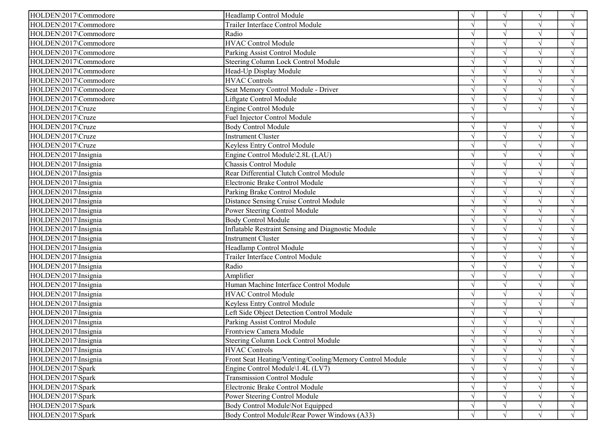| HOLDEN\2017\Commodore | Headlamp Control Module                                  |               | $\sqrt{ }$    |               | $\sqrt{ }$    |
|-----------------------|----------------------------------------------------------|---------------|---------------|---------------|---------------|
| HOLDEN\2017\Commodore | Trailer Interface Control Module                         |               |               |               | $\sqrt{ }$    |
| HOLDEN\2017\Commodore | Radio                                                    |               | $\sqrt{ }$    |               | $\sqrt{ }$    |
| HOLDEN\2017\Commodore | <b>HVAC Control Module</b>                               |               |               |               | $\sqrt{ }$    |
| HOLDEN\2017\Commodore | Parking Assist Control Module                            |               |               |               |               |
| HOLDEN\2017\Commodore | Steering Column Lock Control Module                      |               |               | $\sqrt{ }$    | $\sqrt{ }$    |
| HOLDEN\2017\Commodore | Head-Up Display Module                                   |               |               | $\mathcal{N}$ | N             |
| HOLDEN\2017\Commodore | <b>HVAC Controls</b>                                     |               |               | $\sqrt{ }$    | $\sqrt{ }$    |
| HOLDEN\2017\Commodore | Seat Memory Control Module - Driver                      |               |               |               |               |
| HOLDEN\2017\Commodore | Liftgate Control Module                                  |               |               |               | $\mathcal{L}$ |
| HOLDEN\2017\Cruze     | <b>Engine Control Module</b>                             |               | $\sqrt{ }$    | $\mathcal{N}$ | N             |
| HOLDEN\2017\Cruze     | Fuel Injector Control Module                             |               |               |               | $\mathcal{A}$ |
| HOLDEN\2017\Cruze     | <b>Body Control Module</b>                               |               | $\sqrt{ }$    | $\sqrt{ }$    | $\sqrt{ }$    |
| HOLDEN\2017\Cruze     | <b>Instrument Cluster</b>                                |               | $\sqrt{ }$    | $\sqrt{ }$    | $\sqrt{ }$    |
| HOLDEN\2017\Cruze     | Keyless Entry Control Module                             | $\mathcal{N}$ |               | $\sqrt{ }$    | $\sqrt{ }$    |
| HOLDEN\2017\Insignia  | Engine Control Module\2.8L (LAU)                         | $\sqrt{ }$    |               | $\sqrt{ }$    | $\sqrt{ }$    |
| HOLDEN\2017\Insignia  | Chassis Control Module                                   | $\Delta$      |               | $\sqrt{ }$    | $\sqrt{ }$    |
| HOLDEN\2017\Insignia  | Rear Differential Clutch Control Module                  |               |               |               | $\sqrt{ }$    |
| HOLDEN\2017\Insignia  | Electronic Brake Control Module                          |               |               | $\sqrt{ }$    | V             |
| HOLDEN\2017\Insignia  | Parking Brake Control Module                             |               |               | $\sqrt{ }$    | $\sqrt{ }$    |
| HOLDEN\2017\Insignia  | Distance Sensing Cruise Control Module                   |               | V             | $\sqrt{ }$    | $\sqrt{ }$    |
| HOLDEN\2017\Insignia  | Power Steering Control Module                            |               |               |               | $\sqrt{ }$    |
| HOLDEN\2017\Insignia  | <b>Body Control Module</b>                               |               |               | $\sqrt{ }$    | $\sqrt{ }$    |
| HOLDEN\2017\Insignia  | Inflatable Restraint Sensing and Diagnostic Module       |               | $\sqrt{ }$    | $\sqrt{ }$    | $\sqrt{ }$    |
| HOLDEN\2017\Insignia  | Instrument Cluster                                       |               | $\sqrt{ }$    | $\sqrt{ }$    | $\sqrt{ }$    |
| HOLDEN\2017\Insignia  | Headlamp Control Module                                  |               |               |               | N             |
| HOLDEN\2017\Insignia  | Trailer Interface Control Module                         |               |               |               | N             |
| HOLDEN\2017\Insignia  | Radio                                                    |               | $\mathcal{L}$ | $\lambda$     | $\sqrt{ }$    |
| HOLDEN\2017\Insignia  | Amplifier                                                |               | $\sqrt{ }$    | $\sqrt{ }$    | $\sqrt{ }$    |
| HOLDEN\2017\Insignia  | Human Machine Interface Control Module                   |               |               |               | $\sqrt{ }$    |
| HOLDEN\2017\Insignia  | <b>HVAC Control Module</b>                               | $\mathcal{N}$ |               | $\sqrt{ }$    | $\sqrt{ }$    |
| HOLDEN\2017\Insignia  | Keyless Entry Control Module                             |               | $\sqrt{ }$    | $\sqrt{ }$    | $\sqrt{ }$    |
| HOLDEN\2017\Insignia  | Left Side Object Detection Control Module                | $\mathcal{N}$ | $\sqrt{ }$    | $\sqrt{ }$    |               |
| HOLDEN\2017\Insignia  | Parking Assist Control Module                            |               |               |               | N             |
| HOLDEN\2017\Insignia  | Frontview Camera Module                                  |               |               |               | $\sqrt{ }$    |
| HOLDEN\2017\Insignia  | Steering Column Lock Control Module                      | $\sqrt{ }$    | $\sqrt{ }$    | $\sqrt{ }$    | $\sqrt{ }$    |
| HOLDEN\2017\Insignia  | <b>HVAC Controls</b>                                     | $\sqrt{ }$    |               |               | $\sqrt{ }$    |
| HOLDEN\2017\Insignia  | Front Seat Heating/Venting/Cooling/Memory Control Module |               |               |               | $\sqrt{ }$    |
| HOLDEN\2017\Spark     | Engine Control Module\1.4L (LV7)                         | $\sqrt{ }$    |               |               | V             |
| HOLDEN\2017\Spark     | <b>Transmission Control Module</b>                       | $\sqrt{ }$    |               |               | V             |
| HOLDEN\2017\Spark     | Electronic Brake Control Module                          | $\sqrt{ }$    |               |               | $\sqrt{ }$    |
| HOLDEN\2017\Spark     | Power Steering Control Module                            | $\sqrt{ }$    |               |               | $\sqrt{ }$    |
| HOLDEN\2017\Spark     | Body Control Module\Not Equipped                         | $\sqrt{ }$    | $\sqrt{ }$    | $\sqrt{ }$    | $\sqrt{ }$    |
| HOLDEN\2017\Spark     | Body Control Module\Rear Power Windows (A33)             | $\sqrt{ }$    | $\sqrt{ }$    | $\sqrt{ }$    | $\sqrt{ }$    |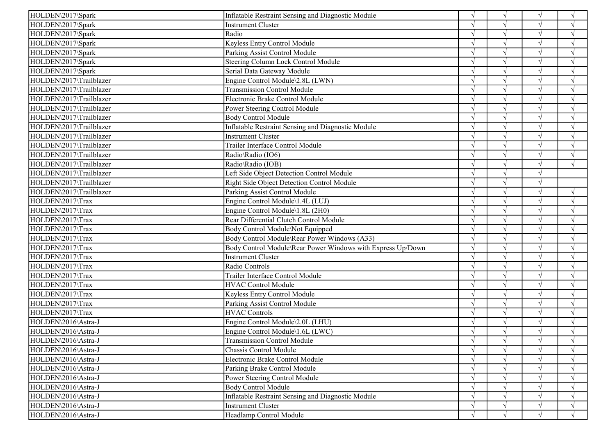| HOLDEN\2017\Spark<br>Inflatable Restraint Sensing and Diagnostic Module         | $\sqrt{ }$    | $\sqrt{ }$    | $\sqrt{ }$ | $\sqrt{ }$    |
|---------------------------------------------------------------------------------|---------------|---------------|------------|---------------|
| HOLDEN\2017\Spark<br><b>Instrument Cluster</b>                                  |               | $\mathcal{N}$ | $\sqrt{ }$ | $\sqrt{ }$    |
| HOLDEN\2017\Spark<br>Radio                                                      |               | $\gamma$      | $\sqrt{ }$ | $\sqrt{ }$    |
| Keyless Entry Control Module<br>HOLDEN\2017\Spark                               |               |               | $\sqrt{ }$ | $\sqrt{ }$    |
| Parking Assist Control Module<br>HOLDEN\2017\Spark                              |               | $\sqrt{ }$    | $\sqrt{ }$ | $\sqrt{ }$    |
| Steering Column Lock Control Module<br>HOLDEN\2017\Spark                        |               | $\sqrt{ }$    | $\sqrt{}$  | $\sqrt{ }$    |
| Serial Data Gateway Module<br>HOLDEN\2017\Spark                                 | $\mathcal{L}$ | $\sqrt{ }$    | $\sqrt{ }$ | $\sqrt{ }$    |
| HOLDEN\2017\Trailblazer<br>Engine Control Module\2.8L (LWN)                     |               | $\sqrt{ }$    | $\sqrt{ }$ | $\sqrt{ }$    |
| HOLDEN\2017\Trailblazer<br><b>Transmission Control Module</b>                   |               | $\sqrt{ }$    |            |               |
| HOLDEN\2017\Trailblazer<br>Electronic Brake Control Module                      |               | $\gamma$      | $\sqrt{ }$ | $\sqrt{ }$    |
| HOLDEN\2017\Trailblazer<br>Power Steering Control Module                        |               | $\gamma$      | $\sqrt{ }$ | $\sqrt{ }$    |
| HOLDEN\2017\Trailblazer<br><b>Body Control Module</b>                           |               |               | $\sqrt{ }$ | $\sqrt{ }$    |
| HOLDEN\2017\Trailblazer<br>Inflatable Restraint Sensing and Diagnostic Module   |               | $\sqrt{ }$    | $\sqrt{ }$ | $\sqrt{ }$    |
| HOLDEN\2017\Trailblazer<br><b>Instrument Cluster</b>                            |               | $\sqrt{ }$    | $\sqrt{ }$ | $\sqrt{ }$    |
| HOLDEN\2017\Trailblazer<br>Trailer Interface Control Module                     |               | $\sqrt{ }$    | $\sqrt{ }$ | $\sqrt{ }$    |
| HOLDEN\2017\Trailblazer<br>Radio\Radio (IO6)                                    |               | $\sqrt{ }$    | $\sqrt{ }$ | $\sqrt{ }$    |
| HOLDEN\2017\Trailblazer<br>Radio\Radio (IOB)                                    |               | $\gamma$      |            | $\sqrt{ }$    |
| HOLDEN\2017\Trailblazer<br>Left Side Object Detection Control Module            |               | $\sqrt{ }$    | $\sqrt{ }$ |               |
| HOLDEN\2017\Trailblazer<br>Right Side Object Detection Control Module           |               | $\gamma$      | $\sqrt{ }$ |               |
| HOLDEN\2017\Trailblazer<br>Parking Assist Control Module                        |               | $\sqrt{ }$    | $\sqrt{ }$ | $\sqrt{ }$    |
| Engine Control Module\1.4L (LUJ)<br>HOLDEN\2017\Trax                            |               |               |            | $\sqrt{ }$    |
| HOLDEN\2017\Trax<br>Engine Control Module\1.8L (2H0)                            |               | $\sqrt{ }$    | $\sqrt{ }$ | $\sqrt{ }$    |
| Rear Differential Clutch Control Module<br>HOLDEN\2017\Trax                     |               |               | $\sqrt{ }$ | $\sqrt{ }$    |
| HOLDEN\2017\Trax<br>Body Control Module\Not Equipped                            |               | $\gamma$      | $\sqrt{ }$ | $\sqrt{ }$    |
| HOLDEN\2017\Trax<br>Body Control Module\Rear Power Windows (A33)                |               |               |            |               |
| Body Control Module\Rear Power Windows with Express Up/Down<br>HOLDEN\2017\Trax |               | $\gamma$      |            |               |
| HOLDEN\2017\Trax<br><b>Instrument Cluster</b>                                   |               |               | $\sqrt{ }$ | $\mathcal{N}$ |
| HOLDEN\2017\Trax<br>Radio Controls                                              |               | $\sim$        | $\sqrt{ }$ | $\sqrt{ }$    |
| Trailer Interface Control Module<br>HOLDEN\2017\Trax                            |               |               | $\sqrt{ }$ | $\sqrt{ }$    |
| HOLDEN\2017\Trax<br><b>HVAC Control Module</b>                                  |               | $\sqrt{ }$    | $\sqrt{ }$ | $\sqrt{ }$    |
| HOLDEN\2017\Trax<br>Keyless Entry Control Module                                | $\mathcal{L}$ | $\sqrt{ }$    | $\sqrt{ }$ | $\sqrt{ }$    |
| Parking Assist Control Module<br>HOLDEN\2017\Trax                               | $\mathcal{L}$ | $\sqrt{ }$    | $\sqrt{ }$ | $\sqrt{ }$    |
| <b>HVAC Controls</b><br>HOLDEN\2017\Trax                                        |               | $\gamma$      | $\sqrt{ }$ | $\sqrt{ }$    |
| HOLDEN\2016\Astra-J<br>Engine Control Module\2.0L (LHU)                         |               | $\sqrt{ }$    |            |               |
| HOLDEN\2016\Astra-J<br>Engine Control Module\1.6L (LWC)                         |               |               | $\sqrt{ }$ | N             |
| HOLDEN\2016\Astra-J<br><b>Transmission Control Module</b>                       | $\sqrt{ }$    | $\sqrt{ }$    | $\sqrt{ }$ | $\sqrt{ }$    |
| HOLDEN\2016\Astra-J<br>Chassis Control Module                                   |               |               |            | $\sqrt{ }$    |
| HOLDEN\2016\Astra-J<br>Electronic Brake Control Module                          |               |               |            | $\sqrt{ }$    |
| HOLDEN\2016\Astra-J<br>Parking Brake Control Module                             | $\sqrt{ }$    |               | $\sqrt{ }$ | $\sqrt{ }$    |
| HOLDEN\2016\Astra-J<br>Power Steering Control Module                            | $\sqrt{ }$    |               | $\sqrt{ }$ |               |
| HOLDEN\2016\Astra-J<br><b>Body Control Module</b>                               |               |               |            |               |
| Inflatable Restraint Sensing and Diagnostic Module<br>HOLDEN\2016\Astra-J       |               |               |            | $\sqrt{ }$    |
| HOLDEN\2016\Astra-J<br><b>Instrument Cluster</b>                                |               | $\sqrt{ }$    | $\sqrt{ }$ | $\sqrt{ }$    |
| Headlamp Control Module<br>HOLDEN\2016\Astra-J                                  |               | $\sqrt{ }$    | $\sqrt{ }$ | $\sqrt{ }$    |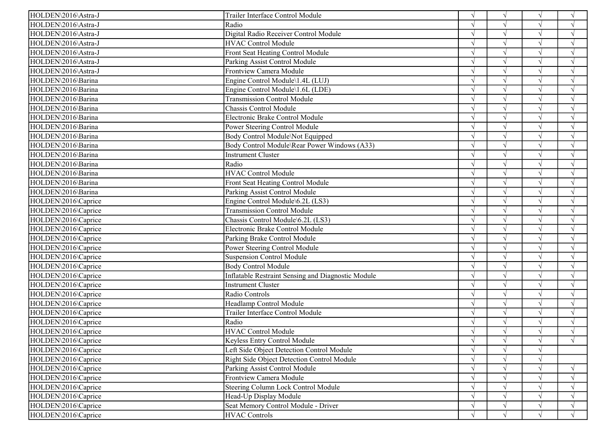| HOLDEN\2016\Astra-J<br>Radio<br>$\sqrt{ }$<br>$\sqrt{ }$<br>HOLDEN\2016\Astra-J<br>Digital Radio Receiver Control Module<br>$\sqrt{ }$<br>$\sqrt{ }$<br><b>HVAC Control Module</b><br>HOLDEN\2016\Astra-J<br>$\sqrt{ }$<br>$\sqrt{ }$<br>$\gamma$<br>Front Seat Heating Control Module<br>$\sqrt{ }$<br>HOLDEN\2016\Astra-J<br>$\sqrt{ }$<br>Parking Assist Control Module<br>$\sqrt{ }$<br>HOLDEN\2016\Astra-J<br>$\sqrt{ }$<br>$\sqrt{ }$<br>Frontview Camera Module<br>HOLDEN\2016\Astra-J<br>$\sqrt{ }$<br>$\sqrt{ }$ |
|---------------------------------------------------------------------------------------------------------------------------------------------------------------------------------------------------------------------------------------------------------------------------------------------------------------------------------------------------------------------------------------------------------------------------------------------------------------------------------------------------------------------------|
|                                                                                                                                                                                                                                                                                                                                                                                                                                                                                                                           |
|                                                                                                                                                                                                                                                                                                                                                                                                                                                                                                                           |
|                                                                                                                                                                                                                                                                                                                                                                                                                                                                                                                           |
|                                                                                                                                                                                                                                                                                                                                                                                                                                                                                                                           |
|                                                                                                                                                                                                                                                                                                                                                                                                                                                                                                                           |
|                                                                                                                                                                                                                                                                                                                                                                                                                                                                                                                           |
| HOLDEN\2016\Barina<br>Engine Control Module\1.4L (LUJ)<br>$\sqrt{ }$<br>$\sqrt{ }$<br>$\gamma$<br>$\mathcal{L}$                                                                                                                                                                                                                                                                                                                                                                                                           |
| $\sqrt{ }$<br>HOLDEN\2016\Barina<br>Engine Control Module\1.6L (LDE)<br>$\gamma$<br>$\sqrt{ }$                                                                                                                                                                                                                                                                                                                                                                                                                            |
| <b>Transmission Control Module</b><br>HOLDEN\2016\Barina<br>$\gamma$                                                                                                                                                                                                                                                                                                                                                                                                                                                      |
| HOLDEN\2016\Barina<br>Chassis Control Module<br>$\sqrt{ }$<br>$\mathcal{N}$                                                                                                                                                                                                                                                                                                                                                                                                                                               |
| HOLDEN\2016\Barina<br>Electronic Brake Control Module<br>$\sqrt{ }$<br>$\gamma$<br>$\sqrt{ }$                                                                                                                                                                                                                                                                                                                                                                                                                             |
| HOLDEN\2016\Barina<br>Power Steering Control Module<br>$\sqrt{ }$<br>$\gamma$<br>$\sqrt{ }$                                                                                                                                                                                                                                                                                                                                                                                                                               |
| HOLDEN\2016\Barina<br>Body Control Module\Not Equipped<br>$\sqrt{ }$<br>$\sqrt{ }$                                                                                                                                                                                                                                                                                                                                                                                                                                        |
| HOLDEN\2016\Barina<br>Body Control Module\Rear Power Windows (A33)<br>$\sqrt{ }$<br>$\sqrt{ }$                                                                                                                                                                                                                                                                                                                                                                                                                            |
| HOLDEN\2016\Barina<br>Instrument Cluster<br>$\sqrt{ }$<br>$\sqrt{ }$<br>$\gamma$                                                                                                                                                                                                                                                                                                                                                                                                                                          |
| HOLDEN\2016\Barina<br>Radio<br>$\sqrt{ }$<br>$\sqrt{ }$<br>$\sqrt{ }$                                                                                                                                                                                                                                                                                                                                                                                                                                                     |
| HOLDEN\2016\Barina<br><b>HVAC Control Module</b><br>$\sqrt{ }$<br>$\gamma$                                                                                                                                                                                                                                                                                                                                                                                                                                                |
| HOLDEN\2016\Barina<br>Front Seat Heating Control Module<br>$\mathcal{L}$<br>$\gamma$<br>$\sqrt{ }$                                                                                                                                                                                                                                                                                                                                                                                                                        |
| HOLDEN\2016\Barina<br>Parking Assist Control Module<br>$\sqrt{ }$<br>$\gamma$<br>$\mathcal{L}$                                                                                                                                                                                                                                                                                                                                                                                                                            |
| HOLDEN\2016\Caprice<br>Engine Control Module\6.2L (LS3)<br>$\sqrt{}$<br>$\sqrt{ }$                                                                                                                                                                                                                                                                                                                                                                                                                                        |
| <b>Transmission Control Module</b><br>HOLDEN\2016\Caprice                                                                                                                                                                                                                                                                                                                                                                                                                                                                 |
| HOLDEN\2016\Caprice<br>Chassis Control Module\6.2L (LS3)<br>$\sqrt{ }$<br>$\sqrt{ }$                                                                                                                                                                                                                                                                                                                                                                                                                                      |
| Electronic Brake Control Module<br>HOLDEN\2016\Caprice<br>$\sqrt{ }$<br>$\mathcal{N}$                                                                                                                                                                                                                                                                                                                                                                                                                                     |
| HOLDEN\2016\Caprice<br>Parking Brake Control Module<br>$\sqrt{ }$<br>$\sqrt{ }$<br>$\gamma$                                                                                                                                                                                                                                                                                                                                                                                                                               |
| Power Steering Control Module<br>HOLDEN\2016\Caprice                                                                                                                                                                                                                                                                                                                                                                                                                                                                      |
| <b>Suspension Control Module</b><br>HOLDEN\2016\Caprice<br>$\gamma$                                                                                                                                                                                                                                                                                                                                                                                                                                                       |
| Body Control Module<br>HOLDEN\2016\Caprice<br>$\sqrt{ }$<br>$\mathcal{L}$                                                                                                                                                                                                                                                                                                                                                                                                                                                 |
| Inflatable Restraint Sensing and Diagnostic Module<br>HOLDEN\2016\Caprice<br>$\sqrt{ }$<br>$\sqrt{ }$<br>$\gamma$                                                                                                                                                                                                                                                                                                                                                                                                         |
| $\sqrt{ }$<br>HOLDEN\2016\Caprice<br><b>Instrument Cluster</b><br>$\sqrt{ }$                                                                                                                                                                                                                                                                                                                                                                                                                                              |
| $\sqrt{ }$<br>HOLDEN\2016\Caprice<br>Radio Controls<br>$\sqrt{ }$<br>$\sqrt{ }$                                                                                                                                                                                                                                                                                                                                                                                                                                           |
| HOLDEN\2016\Caprice<br>Headlamp Control Module<br>$\sqrt{ }$<br>$\sqrt{ }$                                                                                                                                                                                                                                                                                                                                                                                                                                                |
| HOLDEN\2016\Caprice<br>Trailer Interface Control Module<br>$\sqrt{ }$<br>$\sqrt{ }$<br>$\gamma$                                                                                                                                                                                                                                                                                                                                                                                                                           |
| Radio<br>HOLDEN\2016\Caprice<br>$\sqrt{ }$<br>$\sqrt{ }$                                                                                                                                                                                                                                                                                                                                                                                                                                                                  |
| <b>HVAC Control Module</b><br>HOLDEN\2016\Caprice<br>$\sqrt{ }$                                                                                                                                                                                                                                                                                                                                                                                                                                                           |
| HOLDEN\2016\Caprice<br>Keyless Entry Control Module<br>$\sqrt{ }$<br>$\sqrt{ }$<br>$\sqrt{ }$<br>V                                                                                                                                                                                                                                                                                                                                                                                                                        |
| HOLDEN\2016\Caprice<br>Left Side Object Detection Control Module<br>$\sqrt{ }$<br>$\mathcal{A}$                                                                                                                                                                                                                                                                                                                                                                                                                           |
| HOLDEN\2016\Caprice<br>Right Side Object Detection Control Module                                                                                                                                                                                                                                                                                                                                                                                                                                                         |
| HOLDEN\2016\Caprice<br>Parking Assist Control Module<br>$\sqrt{ }$<br>$\sqrt{ }$<br>$\sqrt{ }$                                                                                                                                                                                                                                                                                                                                                                                                                            |
| Frontview Camera Module<br>HOLDEN\2016\Caprice<br>$\sqrt{ }$<br>$\sqrt{ }$                                                                                                                                                                                                                                                                                                                                                                                                                                                |
| HOLDEN\2016\Caprice<br>Steering Column Lock Control Module<br>$\sqrt{ }$                                                                                                                                                                                                                                                                                                                                                                                                                                                  |
| HOLDEN\2016\Caprice<br>Head-Up Display Module<br>$\sqrt{ }$<br>$\Delta$<br>$\sqrt{ }$                                                                                                                                                                                                                                                                                                                                                                                                                                     |
| Seat Memory Control Module - Driver<br>HOLDEN\2016\Caprice<br>$\sqrt{ }$<br>$\sqrt{ }$                                                                                                                                                                                                                                                                                                                                                                                                                                    |
| <b>HVAC Controls</b><br>HOLDEN\2016\Caprice<br>$\sqrt{ }$<br>$\sqrt{ }$<br>$\sqrt{ }$                                                                                                                                                                                                                                                                                                                                                                                                                                     |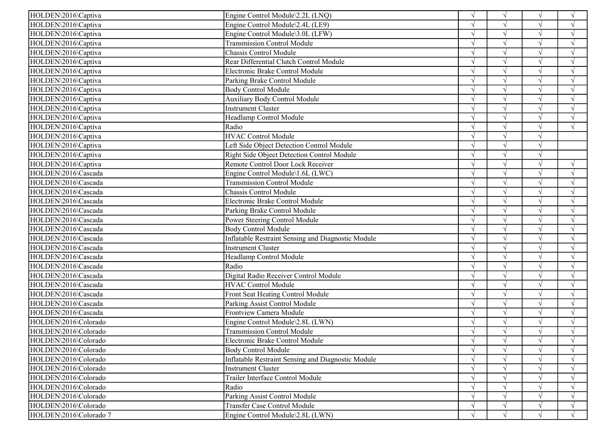| HOLDEN\2016\Captiva    | Engine Control Module\2.2L (LNQ)                   | $\sqrt{ }$    | $\sqrt{ }$ | $\sqrt{ }$ | $\sqrt{ }$         |
|------------------------|----------------------------------------------------|---------------|------------|------------|--------------------|
| HOLDEN\2016\Captiva    | Engine Control Module\2.4L (LE9)                   |               | $\sqrt{ }$ |            | $\sqrt{ }$         |
| HOLDEN\2016\Captiva    | Engine Control Module\3.0L (LFW)                   |               | $\sqrt{ }$ |            | $\mathcal{A}$      |
| HOLDEN\2016\Captiva    | <b>Transmission Control Module</b>                 |               | $\sqrt{ }$ | $\sqrt{ }$ | $\gamma$           |
| HOLDEN\2016\Captiva    | Chassis Control Module                             |               | $\sqrt{ }$ |            | $\mathbf{\hat{N}}$ |
| HOLDEN\2016\Captiva    | Rear Differential Clutch Control Module            |               | $\sqrt{ }$ |            | $\sqrt{ }$         |
| HOLDEN\2016\Captiva    | Electronic Brake Control Module                    |               | $\sqrt{ }$ | $\sqrt{ }$ | $\sqrt{ }$         |
| HOLDEN\2016\Captiva    | Parking Brake Control Module                       |               | $\sqrt{ }$ | $\sqrt{ }$ | $\mathcal{A}$      |
| HOLDEN\2016\Captiva    | <b>Body Control Module</b>                         |               | $\sqrt{ }$ |            | $\mathcal{L}$      |
| HOLDEN\2016\Captiva    | <b>Auxiliary Body Control Module</b>               |               | $\sqrt{ }$ |            | $\mathcal{L}$      |
| HOLDEN\2016\Captiva    | <b>Instrument Cluster</b>                          |               | $\sqrt{ }$ |            |                    |
| HOLDEN\2016\Captiva    | Headlamp Control Module                            |               | $\sqrt{ }$ |            | $\gamma$           |
| HOLDEN\2016\Captiva    | Radio                                              |               | $\sqrt{ }$ | $\sqrt{ }$ | $\sqrt{ }$         |
| HOLDEN\2016\Captiva    | <b>HVAC Control Module</b>                         |               | $\sqrt{ }$ |            |                    |
| HOLDEN\2016\Captiva    | Left Side Object Detection Control Module          |               | $\sqrt{ }$ |            |                    |
| HOLDEN\2016\Captiva    | Right Side Object Detection Control Module         |               | $\sqrt{ }$ | $\sqrt{ }$ |                    |
| HOLDEN\2016\Captiva    | Remote Control Door Lock Receiver                  |               | $\sqrt{ }$ | $\sqrt{ }$ | $\sqrt{ }$         |
| HOLDEN\2016\Cascada    | Engine Control Module\1.6L (LWC)                   |               | $\sqrt{ }$ |            | $\mathcal{L}$      |
| HOLDEN\2016\Cascada    | <b>Transmission Control Module</b>                 |               | $\sqrt{ }$ |            | $\sqrt{ }$         |
| HOLDEN\2016\Cascada    | Chassis Control Module                             |               | $\sqrt{ }$ |            | $\mathcal{L}$      |
| HOLDEN\2016\Cascada    | Electronic Brake Control Module                    |               | $\sqrt{ }$ |            | $\mathcal{A}$      |
| HOLDEN\2016\Cascada    | Parking Brake Control Module                       |               |            |            |                    |
| HOLDEN\2016\Cascada    | Power Steering Control Module                      |               | $\sqrt{ }$ |            | $\sqrt{ }$         |
| HOLDEN\2016\Cascada    | <b>Body Control Module</b>                         |               | $\sqrt{ }$ |            | $\mathcal{L}$      |
| HOLDEN\2016\Cascada    | Inflatable Restraint Sensing and Diagnostic Module |               | $\sqrt{ }$ |            | $\mathcal{L}$      |
| HOLDEN\2016\Cascada    | <b>Instrument Cluster</b>                          |               |            |            |                    |
| HOLDEN\2016\Cascada    | Headlamp Control Module                            |               | $\sqrt{ }$ |            | $\mathcal{L}$      |
| HOLDEN\2016\Cascada    | Radio                                              |               | $\sqrt{ }$ |            |                    |
| HOLDEN\2016\Cascada    | Digital Radio Receiver Control Module              |               | $\sqrt{ }$ | $\sqrt{ }$ | $\sqrt{ }$         |
| HOLDEN\2016\Cascada    | <b>HVAC Control Module</b>                         |               | $\sqrt{ }$ |            | $\mathbf{\hat{N}}$ |
| HOLDEN\2016\Cascada    | Front Seat Heating Control Module                  |               | $\sqrt{ }$ |            | $\sqrt{ }$         |
| HOLDEN\2016\Cascada    | Parking Assist Control Module                      |               | $\sqrt{ }$ |            | $\sqrt{ }$         |
| HOLDEN\2016\Cascada    | Frontview Camera Module                            | $\sqrt{ }$    | $\sqrt{ }$ | $\sqrt{ }$ | $\sqrt{ }$         |
| HOLDEN\2016\Colorado   | Engine Control Module\2.8L (LWN)                   |               | $\sqrt{ }$ |            |                    |
| HOLDEN\2016\Colorado   | <b>Transmission Control Module</b>                 |               | $\sqrt{ }$ |            |                    |
| HOLDEN\2016\Colorado   | Electronic Brake Control Module                    | $\sqrt{ }$    | V          | V          | $\sqrt{ }$         |
| HOLDEN\2016\Colorado   | <b>Body Control Module</b>                         | $\sqrt{ }$    | $\sqrt{ }$ |            | $\sqrt{ }$         |
| HOLDEN\2016\Colorado   | Inflatable Restraint Sensing and Diagnostic Module |               | $\sqrt{ }$ |            | $\sqrt{ }$         |
| HOLDEN\2016\Colorado   | <b>Instrument Cluster</b>                          |               |            |            | $\sqrt{ }$         |
| HOLDEN\2016\Colorado   | Trailer Interface Control Module                   | $\sqrt{ }$    |            |            | $\sqrt{ }$         |
| HOLDEN\2016\Colorado   | Radio                                              | $\mathcal{N}$ |            |            | $\mathcal{L}$      |
| HOLDEN\2016\Colorado   | Parking Assist Control Module                      | $\sqrt{ }$    | $\sqrt{ }$ |            | $\sqrt{ }$         |
| HOLDEN\2016\Colorado   | <b>Transfer Case Control Module</b>                |               | $\sqrt{ }$ |            | $\sqrt{ }$         |
| HOLDEN\2016\Colorado 7 | Engine Control Module\2.8L (LWN)                   | $\sqrt{ }$    | $\sqrt{ }$ |            | $\sqrt{ }$         |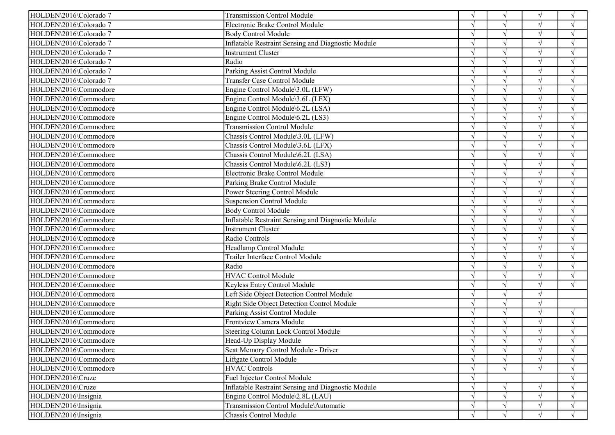| HOLDEN\2016\Colorado 7 | <b>Transmission Control Module</b>                 |               | $\sqrt{ }$ | $\sqrt{ }$ | $\sqrt{ }$    |
|------------------------|----------------------------------------------------|---------------|------------|------------|---------------|
| HOLDEN\2016\Colorado 7 | Electronic Brake Control Module                    |               | $\sqrt{ }$ |            | $\sqrt{ }$    |
| HOLDEN\2016\Colorado 7 | <b>Body Control Module</b>                         |               | $\sqrt{ }$ | $\sqrt{ }$ | $\sqrt{ }$    |
| HOLDEN\2016\Colorado 7 | Inflatable Restraint Sensing and Diagnostic Module |               | $\sqrt{ }$ | $\sqrt{ }$ | $\sqrt{ }$    |
| HOLDEN\2016\Colorado 7 | <b>Instrument Cluster</b>                          |               |            |            | $\sqrt{ }$    |
| HOLDEN\2016\Colorado 7 | Radio                                              |               | $\sqrt{ }$ | $\sqrt{ }$ | $\sqrt{ }$    |
| HOLDEN\2016\Colorado 7 | Parking Assist Control Module                      |               | $\gamma$   | $\sqrt{ }$ | $\sqrt{ }$    |
| HOLDEN\2016\Colorado 7 | <b>Transfer Case Control Module</b>                |               | $\gamma$   | $\sqrt{ }$ | $\sqrt{ }$    |
| HOLDEN\2016\Commodore  | Engine Control Module\3.0L (LFW)                   |               |            |            |               |
| HOLDEN\2016\Commodore  | Engine Control Module\3.6L (LFX)                   |               |            |            |               |
| HOLDEN\2016\Commodore  | Engine Control Module\6.2L (LSA)                   |               |            | $\sqrt{ }$ | $\mathcal{N}$ |
| HOLDEN\2016\Commodore  | Engine Control Module\6.2L (LS3)                   |               |            | $\sqrt{ }$ | $\sqrt{ }$    |
| HOLDEN\2016\Commodore  | <b>Transmission Control Module</b>                 |               |            |            | $\sqrt{}$     |
| HOLDEN\2016\Commodore  | Chassis Control Module\3.0L (LFW)                  |               | $\sqrt{ }$ | $\sqrt{ }$ | $\sqrt{ }$    |
| HOLDEN\2016\Commodore  | Chassis Control Module\3.6L (LFX)                  | $\mathcal{L}$ | $\sim$     | $\sqrt{ }$ | $\sqrt{ }$    |
| HOLDEN\2016\Commodore  | Chassis Control Module\6.2L (LSA)                  | $\mathcal{L}$ | $\gamma$   | $\sqrt{ }$ | $\sqrt{ }$    |
| HOLDEN\2016\Commodore  | Chassis Control Module\6.2L (LS3)                  |               | $\gamma$   | $\sqrt{}$  | $\sqrt{ }$    |
| HOLDEN\2016\Commodore  | Electronic Brake Control Module                    |               | $\sqrt{ }$ |            |               |
| HOLDEN\2016\Commodore  | Parking Brake Control Module                       |               |            | $\sqrt{ }$ | $\sqrt{ }$    |
| HOLDEN\2016\Commodore  | Power Steering Control Module                      |               | $\gamma$   | $\sqrt{ }$ | $\sqrt{ }$    |
| HOLDEN\2016\Commodore  | <b>Suspension Control Module</b>                   |               | $\gamma$   | $\sqrt{ }$ | $\sqrt{}$     |
| HOLDEN\2016\Commodore  | <b>Body Control Module</b>                         |               | $\sqrt{ }$ | $\sqrt{ }$ | $\sqrt{ }$    |
| HOLDEN\2016\Commodore  | Inflatable Restraint Sensing and Diagnostic Module |               |            | $\sqrt{ }$ | $\sqrt{ }$    |
| HOLDEN\2016\Commodore  | Instrument Cluster                                 |               | $\gamma$   | $\sqrt{ }$ | $\sqrt{ }$    |
| HOLDEN\2016\Commodore  | Radio Controls                                     |               | $\gamma$   | $\sqrt{ }$ | $\sqrt{ }$    |
| HOLDEN\2016\Commodore  | Headlamp Control Module                            |               | $\sqrt{ }$ |            |               |
| HOLDEN\2016\Commodore  | Trailer Interface Control Module                   |               | $\sqrt{ }$ | $\sqrt{ }$ | $\sqrt{ }$    |
| HOLDEN\2016\Commodore  | Radio                                              |               | $\gamma$   | $\sqrt{ }$ | $\sqrt{ }$    |
| HOLDEN\2016\Commodore  | <b>HVAC Control Module</b>                         |               | $\sqrt{ }$ | $\sqrt{ }$ | $\sqrt{ }$    |
| HOLDEN\2016\Commodore  | Keyless Entry Control Module                       |               |            | $\sqrt{ }$ | $\sqrt{ }$    |
| HOLDEN\2016\Commodore  | Left Side Object Detection Control Module          |               | $\sqrt{ }$ | $\sqrt{ }$ |               |
| HOLDEN\2016\Commodore  | Right Side Object Detection Control Module         |               | $\gamma$   | $\sqrt{ }$ |               |
| HOLDEN\2016\Commodore  | Parking Assist Control Module                      |               | $\gamma$   | $\sqrt{ }$ | $\sqrt{ }$    |
| HOLDEN\2016\Commodore  | Frontview Camera Module                            |               |            |            | $\sqrt{ }$    |
| HOLDEN\2016\Commodore  | Steering Column Lock Control Module                |               | $\sqrt{ }$ |            |               |
| HOLDEN\2016\Commodore  | Head-Up Display Module                             | V             | $\sqrt{ }$ | V          | $\sqrt{ }$    |
| HOLDEN\2016\Commodore  | Seat Memory Control Module - Driver                |               |            |            | $\sqrt{ }$    |
| HOLDEN\2016\Commodore  | Liftgate Control Module                            |               |            |            |               |
| HOLDEN\2016\Commodore  | <b>HVAC Controls</b>                               |               | $\sqrt{ }$ | $\sqrt{ }$ | $\sqrt{ }$    |
| HOLDEN\2016\Cruze      | Fuel Injector Control Module                       |               |            |            |               |
| HOLDEN\2016\Cruze      | Inflatable Restraint Sensing and Diagnostic Module | $\mathcal{L}$ | $\sqrt{ }$ | $\sqrt{ }$ | $\sqrt{ }$    |
| HOLDEN\2016\Insignia   | Engine Control Module\2.8L (LAU)                   |               |            |            | $\sqrt{ }$    |
| HOLDEN\2016\Insignia   | Transmission Control Module\Automatic              |               | $\sqrt{ }$ |            | $\sqrt{ }$    |
| HOLDEN\2016\Insignia   | Chassis Control Module                             | $\gamma$      | $\sqrt{ }$ | $\sqrt{ }$ | $\sqrt{ }$    |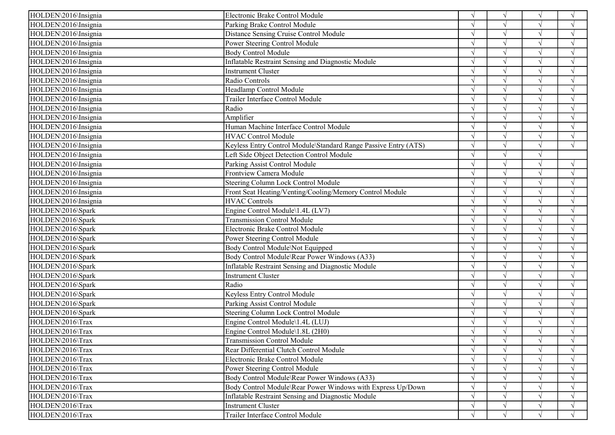| HOLDEN\2016\Insignia | Electronic Brake Control Module                                 | $\sqrt{ }$    | $\sqrt{ }$    |            | $\mathcal{L}$      |
|----------------------|-----------------------------------------------------------------|---------------|---------------|------------|--------------------|
| HOLDEN\2016\Insignia | Parking Brake Control Module                                    |               | $\sqrt{ }$    |            | $\sqrt{ }$         |
| HOLDEN\2016\Insignia | Distance Sensing Cruise Control Module                          |               | $\sqrt{ }$    |            | $\gamma$           |
| HOLDEN\2016\Insignia | Power Steering Control Module                                   |               | $\sqrt{ }$    |            | $\gamma$           |
| HOLDEN\2016\Insignia | <b>Body Control Module</b>                                      |               |               |            |                    |
| HOLDEN\2016\Insignia | Inflatable Restraint Sensing and Diagnostic Module              |               | $\sqrt{ }$    |            | $\sqrt{ }$         |
| HOLDEN\2016\Insignia | <b>Instrument Cluster</b>                                       |               | $\sqrt{ }$    |            | $\mathcal{L}$      |
| HOLDEN\2016\Insignia | Radio Controls                                                  |               | $\sqrt{ }$    | $\sqrt{ }$ | $\mathcal{L}$      |
| HOLDEN\2016\Insignia | Headlamp Control Module                                         |               | $\mathcal{L}$ |            |                    |
| HOLDEN\2016\Insignia | Trailer Interface Control Module                                |               |               |            |                    |
| HOLDEN\2016\Insignia | Radio                                                           |               | $\mathcal{L}$ |            |                    |
| HOLDEN\2016\Insignia | Amplifier                                                       |               | $\sqrt{ }$    | $\sqrt{2}$ | $\gamma$           |
| HOLDEN\2016\Insignia | Human Machine Interface Control Module                          |               | $\sqrt{ }$    | $\sqrt{ }$ | $\mathcal{A}$      |
| HOLDEN\2016\Insignia | <b>HVAC Control Module</b>                                      |               | $\sqrt{ }$    |            | $\sqrt{ }$         |
| HOLDEN\2016\Insignia | Keyless Entry Control Module\Standard Range Passive Entry (ATS) | $\sqrt{ }$    | $\sqrt{ }$    | $\sqrt{ }$ | $\sqrt{ }$         |
| HOLDEN\2016\Insignia | Left Side Object Detection Control Module                       | $\sqrt{ }$    | $\sqrt{ }$    | $\sqrt{ }$ |                    |
| HOLDEN\2016\Insignia | Parking Assist Control Module                                   |               | $\sqrt{ }$    | $\sqrt{ }$ | $\mathcal{L}$      |
| HOLDEN\2016\Insignia | Frontview Camera Module                                         |               | $\sqrt{ }$    |            | $\sqrt{ }$         |
| HOLDEN\2016\Insignia | Steering Column Lock Control Module                             | $\mathcal{L}$ | $\sqrt{ }$    | $\sqrt{ }$ | $\mathcal{A}$      |
| HOLDEN\2016\Insignia | Front Seat Heating/Venting/Cooling/Memory Control Module        |               | $\sqrt{ }$    | $\sqrt{}$  | $\gamma$           |
| HOLDEN\2016\Insignia | <b>HVAC Controls</b>                                            |               | $\sqrt{ }$    |            | $\mathbf{\hat{N}}$ |
| HOLDEN\2016\Spark    | Engine Control Module\1.4L (LV7)                                |               | $\sqrt{ }$    |            | $\sqrt{ }$         |
| HOLDEN\2016\Spark    | <b>Transmission Control Module</b>                              | $\sqrt{ }$    | $\sqrt{ }$    | $\sqrt{ }$ | $\sqrt{ }$         |
| HOLDEN\2016\Spark    | Electronic Brake Control Module                                 | $\mathcal{N}$ | $\sqrt{ }$    | $\sqrt{ }$ | $\mathcal{L}$      |
| HOLDEN\2016\Spark    | Power Steering Control Module                                   |               | $\sqrt{ }$    |            | $\Delta$           |
| HOLDEN\2016\Spark    | Body Control Module\Not Equipped                                |               | $\sqrt{ }$    |            | $\mathcal{L}$      |
| HOLDEN\2016\Spark    | Body Control Module\Rear Power Windows (A33)                    |               | $\sqrt{ }$    |            | $\gamma$           |
| HOLDEN\2016\Spark    | Inflatable Restraint Sensing and Diagnostic Module              |               | $\sqrt{ }$    | $\sqrt{ }$ | $\gamma$           |
| HOLDEN\2016\Spark    | <b>Instrument Cluster</b>                                       |               | $\sqrt{ }$    | $\sqrt{ }$ | $\gamma$           |
| HOLDEN\2016\Spark    | Radio                                                           |               | $\sqrt{ }$    |            | $\mathcal{A}$      |
| HOLDEN\2016\Spark    | Keyless Entry Control Module                                    | $\sqrt{ }$    | $\sqrt{ }$    | $\sqrt{ }$ | $\sqrt{ }$         |
| HOLDEN\2016\Spark    | Parking Assist Control Module                                   |               | $\sqrt{ }$    | $\sqrt{ }$ | $\mathcal{A}$      |
| HOLDEN\2016\Spark    | Steering Column Lock Control Module                             |               | $\sqrt{ }$    | $\sqrt{ }$ | $\mathcal{L}$      |
| HOLDEN\2016\Trax     | Engine Control Module\1.4L (LUJ)                                |               | $\mathcal{L}$ |            |                    |
| HOLDEN\2016\Trax     | Engine Control Module\1.8L (2H0)                                |               | $\sqrt{ }$    |            |                    |
| HOLDEN\2016\Trax     | <b>Transmission Control Module</b>                              | V             | $\sqrt{}$     | V          | $\sqrt{ }$         |
| HOLDEN\2016\Trax     | Rear Differential Clutch Control Module                         |               |               |            | $\sqrt{ }$         |
| HOLDEN\2016\Trax     | Electronic Brake Control Module                                 |               |               |            |                    |
| HOLDEN\2016\Trax     | Power Steering Control Module                                   |               |               |            | $\sqrt{ }$         |
| HOLDEN\2016\Trax     | Body Control Module\Rear Power Windows (A33)                    | $\mathcal{N}$ |               |            | $\gamma$           |
| HOLDEN\2016\Trax     | Body Control Module\Rear Power Windows with Express Up/Down     | $\sqrt{ }$    |               |            | $\mathcal{A}$      |
| HOLDEN\2016\Trax     | Inflatable Restraint Sensing and Diagnostic Module              |               |               |            |                    |
| HOLDEN\2016\Trax     | <b>Instrument Cluster</b>                                       | $\sqrt{ }$    | $\sqrt{ }$    |            | $\sqrt{ }$         |
| HOLDEN\2016\Trax     | Trailer Interface Control Module                                | $\sqrt{ }$    | $\sqrt{ }$    |            | $\sqrt{ }$         |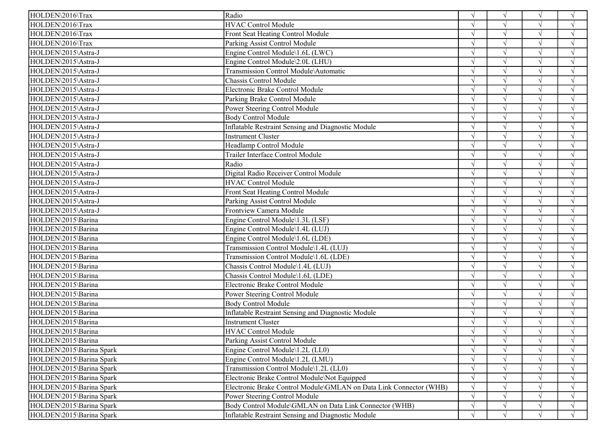| HOLDEN\2016\Trax         | Radio                                                              | $\sqrt{ }$ | $\sqrt{ }$ | $\sqrt{ }$ | $\sqrt{ }$ |
|--------------------------|--------------------------------------------------------------------|------------|------------|------------|------------|
| HOLDEN\2016\Trax         | <b>HVAC Control Module</b>                                         |            |            |            | $\sqrt{ }$ |
| HOLDEN\2016\Trax         | Front Seat Heating Control Module                                  |            |            | $\sqrt{ }$ | $\sqrt{ }$ |
| HOLDEN\2016\Trax         | Parking Assist Control Module                                      |            |            | $\sqrt{ }$ | $\sqrt{ }$ |
| HOLDEN\2015\Astra-J      | Engine Control Module\1.6L (LWC)                                   |            |            |            | $\sqrt{ }$ |
| HOLDEN\2015\Astra-J      | Engine Control Module\2.0L (LHU)                                   |            |            |            | $\sqrt{ }$ |
| HOLDEN\2015\Astra-J      | Transmission Control Module\Automatic                              | N          |            | $\sqrt{ }$ | $\sqrt{ }$ |
| HOLDEN\2015\Astra-J      | Chassis Control Module                                             |            |            | $\sqrt{ }$ | $\sqrt{ }$ |
| HOLDEN\2015\Astra-J      | Electronic Brake Control Module                                    |            | $\sqrt{ }$ | $\sqrt{ }$ | $\sqrt{ }$ |
| HOLDEN\2015\Astra-J      | Parking Brake Control Module                                       |            |            |            | $\sqrt{ }$ |
| HOLDEN\2015\Astra-J      | Power Steering Control Module                                      |            |            |            | V          |
| HOLDEN\2015\Astra-J      | <b>Body Control Module</b>                                         |            |            |            | $\sqrt{ }$ |
| HOLDEN\2015\Astra-J      | <b>Inflatable Restraint Sensing and Diagnostic Module</b>          |            | $\sqrt{ }$ |            | $\sqrt{ }$ |
| HOLDEN\2015\Astra-J      | <b>Instrument Cluster</b>                                          |            |            |            | $\sqrt{ }$ |
| HOLDEN\2015\Astra-J      | Headlamp Control Module                                            |            |            | $\sqrt{ }$ | $\sqrt{ }$ |
| HOLDEN\2015\Astra-J      | Trailer Interface Control Module                                   |            |            | $\sqrt{ }$ | $\sqrt{ }$ |
| HOLDEN\2015\Astra-J      | Radio                                                              |            |            | $\sqrt{ }$ | $\sqrt{ }$ |
| HOLDEN\2015\Astra-J      | Digital Radio Receiver Control Module                              |            |            |            | $\sqrt{ }$ |
| HOLDEN\2015\Astra-J      | <b>HVAC Control Module</b>                                         |            |            |            | $\sqrt{ }$ |
| HOLDEN\2015\Astra-J      | Front Seat Heating Control Module                                  |            |            |            | V          |
| HOLDEN\2015\Astra-J      | Parking Assist Control Module                                      |            |            |            | $\sqrt{ }$ |
| HOLDEN\2015\Astra-J      | Frontview Camera Module                                            |            |            |            |            |
| HOLDEN\2015\Barina       | Engine Control Module\1.3L (LSF)                                   |            |            |            |            |
| HOLDEN\2015\Barina       | Engine Control Module\1.4L (LUJ)                                   |            |            |            | $\sqrt{ }$ |
| HOLDEN\2015\Barina       | Engine Control Module\1.6L (LDE)                                   |            |            |            | $\sqrt{ }$ |
| HOLDEN\2015\Barina       | Transmission Control Module\1.4L (LUJ)                             |            |            |            |            |
| HOLDEN\2015\Barina       | Transmission Control Module\1.6L (LDE)                             |            |            |            | $\sqrt{ }$ |
| HOLDEN\2015\Barina       | Chassis Control Module\1.4L (LUJ)                                  |            |            |            | N          |
| HOLDEN\2015\Barina       | Chassis Control Module\1.6L (LDE)                                  |            |            | $\sqrt{ }$ | $\sqrt{ }$ |
| HOLDEN\2015\Barina       | Electronic Brake Control Module                                    |            |            |            | $\sqrt{ }$ |
| HOLDEN\2015\Barina       | Power Steering Control Module                                      |            |            | $\sqrt{ }$ | $\sqrt{ }$ |
| HOLDEN\2015\Barina       | <b>Body Control Module</b>                                         |            |            | $\sqrt{ }$ | $\sqrt{ }$ |
| HOLDEN\2015\Barina       | Inflatable Restraint Sensing and Diagnostic Module                 |            |            | $\sqrt{ }$ | $\sqrt{ }$ |
| HOLDEN\2015\Barina       | Instrument Cluster                                                 |            |            |            | $\sqrt{ }$ |
| HOLDEN\2015\Barina       | <b>HVAC Control Module</b>                                         |            |            |            |            |
| HOLDEN\2015\Barina       | Parking Assist Control Module                                      | $\sqrt{ }$ | V          | V          | $\sqrt{ }$ |
| HOLDEN\2015\Barina Spark | Engine Control Module\1.2L (LL0)                                   | $\sqrt{ }$ |            |            | $\sqrt{ }$ |
| HOLDEN\2015\Barina Spark | Engine Control Module\1.2L (LMU)                                   |            |            |            | $\sqrt{ }$ |
| HOLDEN\2015\Barina Spark | Transmission Control Module\1.2L (LL0)                             | $\sqrt{ }$ |            |            | $\sqrt{ }$ |
| HOLDEN\2015\Barina Spark | Electronic Brake Control Module\Not Equipped                       | $\sqrt{ }$ |            |            | $\sqrt{ }$ |
| HOLDEN\2015\Barina Spark | Electronic Brake Control Module\GMLAN on Data Link Connector (WHB) | $\sqrt{ }$ |            |            | $\sqrt{ }$ |
| HOLDEN\2015\Barina Spark | Power Steering Control Module                                      | $\sqrt{ }$ |            |            | $\sqrt{ }$ |
| HOLDEN\2015\Barina Spark | Body Control Module\GMLAN on Data Link Connector (WHB)             | $\sqrt{ }$ | $\sqrt{ }$ |            | $\sqrt{ }$ |
| HOLDEN\2015\Barina Spark | <b>Inflatable Restraint Sensing and Diagnostic Module</b>          | $\sqrt{ }$ | $\sqrt{ }$ | $\sqrt{ }$ | $\sqrt{ }$ |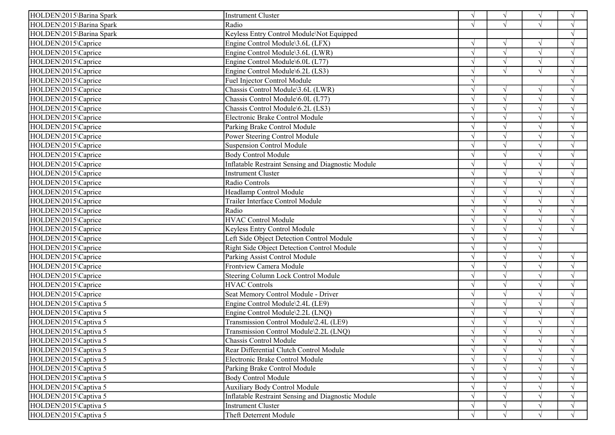| HOLDEN\2015\Barina Spark<br>Radio<br>$\sqrt{ }$<br>$\sqrt{ }$<br>Keyless Entry Control Module\Not Equipped<br>HOLDEN\2015\Barina Spark<br>$\mathcal{L}$<br>Engine Control Module\3.6L (LFX)<br>$\sqrt{ }$<br>$\sqrt{ }$<br>$\sqrt{}$<br>$\sqrt{ }$<br>$\sqrt{ }$<br>$\sqrt{ }$<br>$\sqrt{}$<br>Engine Control Module\3.6L (LWR)<br>$\mathbf{\hat{N}}$<br>$\sqrt{ }$<br>Engine Control Module\6.0L (L77)<br>$\sqrt{ }$<br>$\sqrt{ }$<br>$\sqrt{ }$<br>Engine Control Module\6.2L (LS3)<br>$\sqrt{ }$<br>$\sqrt{ }$<br>Fuel Injector Control Module<br>$\sqrt{ }$<br>$\mathcal{L}$<br>HOLDEN\2015\Caprice<br>Chassis Control Module\3.6L (LWR)<br>$\sqrt{ }$<br>$\mathcal{L}$<br>$\sqrt{ }$<br>$\sqrt{ }$<br>$\sqrt{ }$<br>HOLDEN\2015\Caprice<br>Chassis Control Module\6.0L (L77)<br>$\mathcal{L}$<br>HOLDEN\2015\Caprice<br>Chassis Control Module\6.2L (LS3)<br>$\sqrt{ }$<br>Electronic Brake Control Module<br>$\sqrt{ }$<br>$\gamma$<br>Parking Brake Control Module<br>$\sqrt{ }$<br>$\sqrt{ }$<br>$\gamma$<br>Power Steering Control Module<br>$\sqrt{ }$<br>$\mathcal{L}$<br><b>Suspension Control Module</b><br>$\sqrt{ }$<br>$\sqrt{ }$<br><b>Body Control Module</b><br>$\sqrt{ }$<br>$\sqrt{ }$<br>$\gamma$<br>$\mathcal{N}$<br>Inflatable Restraint Sensing and Diagnostic Module<br>$\sqrt{ }$<br>$\sqrt{ }$<br>$\sqrt{ }$<br>$\sqrt{ }$<br>HOLDEN\2015\Caprice<br><b>Instrument Cluster</b><br>$\sqrt{ }$<br>Radio Controls<br>$\sqrt{ }$<br>$\sqrt{ }$<br>Headlamp Control Module<br>HOLDEN\2015\Caprice<br>$\sqrt{ }$<br>$\mathcal{L}$<br>Trailer Interface Control Module<br>$\sqrt{ }$<br>$\mathcal{A}$<br>Radio<br><b>HVAC Control Module</b><br>HOLDEN\2015\Caprice<br>$\sqrt{ }$<br>$\sqrt{ }$<br>HOLDEN\2015\Caprice<br>Keyless Entry Control Module<br>$\sqrt{ }$<br>$\mathcal{L}$<br>Left Side Object Detection Control Module<br>$\sqrt{ }$<br>Right Side Object Detection Control Module<br>Parking Assist Control Module<br>HOLDEN\2015\Caprice<br>$\sqrt{ }$<br>$\sqrt{ }$<br>Frontview Camera Module<br>$\sqrt{ }$<br>$\mathcal{L}$<br>Steering Column Lock Control Module<br>$\sqrt{ }$<br>$\sqrt{ }$<br>$\sqrt{ }$<br><b>HVAC Controls</b><br>$\sqrt{ }$<br>$\gamma$<br>Seat Memory Control Module - Driver<br>$\sqrt{ }$<br>$\sqrt{ }$<br>Engine Control Module\2.4L (LE9)<br>$\sqrt{ }$<br>$\sqrt{ }$<br>$\sqrt{ }$<br>$\sqrt{ }$<br>Engine Control Module\2.2L (LNQ)<br>$\sqrt{ }$<br>$\sqrt{ }$<br>$\sqrt{ }$<br>$\sqrt{ }$<br>Transmission Control Module\2.4L (LE9)<br>$\sqrt{ }$<br>Transmission Control Module\2.2L (LNQ)<br>$\sqrt{ }$<br>Chassis Control Module<br>$\sqrt{}$<br>V<br>V<br>$\sqrt{ }$<br>Rear Differential Clutch Control Module<br>HOLDEN\2015\Captiva 5<br>$\sqrt{ }$<br>$\sqrt{ }$<br>$\sqrt{ }$<br>$\sqrt{ }$<br>Electronic Brake Control Module<br>$\sqrt{ }$<br>$\sqrt{ }$<br>HOLDEN\2015\Captiva 5<br>Parking Brake Control Module<br>$\sqrt{ }$<br>$\sqrt{ }$<br>HOLDEN\2015\Captiva 5<br><b>Body Control Module</b><br>$\sqrt{ }$<br>$\sqrt{ }$<br><b>Auxiliary Body Control Module</b><br>HOLDEN\2015\Captiva 5<br>$\mathcal{L}$<br>Inflatable Restraint Sensing and Diagnostic Module<br>$\sqrt{ }$<br>$\sqrt{ }$<br>$\sqrt{ }$ | HOLDEN\2015\Barina Spark | <b>Instrument Cluster</b> | $\sqrt{ }$ | $\sqrt{ }$ | $\sqrt{ }$ | $\sqrt{ }$ |
|-----------------------------------------------------------------------------------------------------------------------------------------------------------------------------------------------------------------------------------------------------------------------------------------------------------------------------------------------------------------------------------------------------------------------------------------------------------------------------------------------------------------------------------------------------------------------------------------------------------------------------------------------------------------------------------------------------------------------------------------------------------------------------------------------------------------------------------------------------------------------------------------------------------------------------------------------------------------------------------------------------------------------------------------------------------------------------------------------------------------------------------------------------------------------------------------------------------------------------------------------------------------------------------------------------------------------------------------------------------------------------------------------------------------------------------------------------------------------------------------------------------------------------------------------------------------------------------------------------------------------------------------------------------------------------------------------------------------------------------------------------------------------------------------------------------------------------------------------------------------------------------------------------------------------------------------------------------------------------------------------------------------------------------------------------------------------------------------------------------------------------------------------------------------------------------------------------------------------------------------------------------------------------------------------------------------------------------------------------------------------------------------------------------------------------------------------------------------------------------------------------------------------------------------------------------------------------------------------------------------------------------------------------------------------------------------------------------------------------------------------------------------------------------------------------------------------------------------------------------------------------------------------------------------------------------------------------------------------------------------------------------------------------------------------------------------------------------------------------------------------------------------------------------------------------------------------------|--------------------------|---------------------------|------------|------------|------------|------------|
|                                                                                                                                                                                                                                                                                                                                                                                                                                                                                                                                                                                                                                                                                                                                                                                                                                                                                                                                                                                                                                                                                                                                                                                                                                                                                                                                                                                                                                                                                                                                                                                                                                                                                                                                                                                                                                                                                                                                                                                                                                                                                                                                                                                                                                                                                                                                                                                                                                                                                                                                                                                                                                                                                                                                                                                                                                                                                                                                                                                                                                                                                                                                                                                                     |                          |                           |            |            |            |            |
|                                                                                                                                                                                                                                                                                                                                                                                                                                                                                                                                                                                                                                                                                                                                                                                                                                                                                                                                                                                                                                                                                                                                                                                                                                                                                                                                                                                                                                                                                                                                                                                                                                                                                                                                                                                                                                                                                                                                                                                                                                                                                                                                                                                                                                                                                                                                                                                                                                                                                                                                                                                                                                                                                                                                                                                                                                                                                                                                                                                                                                                                                                                                                                                                     |                          |                           |            |            |            |            |
|                                                                                                                                                                                                                                                                                                                                                                                                                                                                                                                                                                                                                                                                                                                                                                                                                                                                                                                                                                                                                                                                                                                                                                                                                                                                                                                                                                                                                                                                                                                                                                                                                                                                                                                                                                                                                                                                                                                                                                                                                                                                                                                                                                                                                                                                                                                                                                                                                                                                                                                                                                                                                                                                                                                                                                                                                                                                                                                                                                                                                                                                                                                                                                                                     | HOLDEN\2015\Caprice      |                           |            |            |            |            |
|                                                                                                                                                                                                                                                                                                                                                                                                                                                                                                                                                                                                                                                                                                                                                                                                                                                                                                                                                                                                                                                                                                                                                                                                                                                                                                                                                                                                                                                                                                                                                                                                                                                                                                                                                                                                                                                                                                                                                                                                                                                                                                                                                                                                                                                                                                                                                                                                                                                                                                                                                                                                                                                                                                                                                                                                                                                                                                                                                                                                                                                                                                                                                                                                     | HOLDEN\2015\Caprice      |                           |            |            |            |            |
|                                                                                                                                                                                                                                                                                                                                                                                                                                                                                                                                                                                                                                                                                                                                                                                                                                                                                                                                                                                                                                                                                                                                                                                                                                                                                                                                                                                                                                                                                                                                                                                                                                                                                                                                                                                                                                                                                                                                                                                                                                                                                                                                                                                                                                                                                                                                                                                                                                                                                                                                                                                                                                                                                                                                                                                                                                                                                                                                                                                                                                                                                                                                                                                                     | HOLDEN\2015\Caprice      |                           |            |            |            |            |
|                                                                                                                                                                                                                                                                                                                                                                                                                                                                                                                                                                                                                                                                                                                                                                                                                                                                                                                                                                                                                                                                                                                                                                                                                                                                                                                                                                                                                                                                                                                                                                                                                                                                                                                                                                                                                                                                                                                                                                                                                                                                                                                                                                                                                                                                                                                                                                                                                                                                                                                                                                                                                                                                                                                                                                                                                                                                                                                                                                                                                                                                                                                                                                                                     | HOLDEN\2015\Caprice      |                           |            |            |            |            |
|                                                                                                                                                                                                                                                                                                                                                                                                                                                                                                                                                                                                                                                                                                                                                                                                                                                                                                                                                                                                                                                                                                                                                                                                                                                                                                                                                                                                                                                                                                                                                                                                                                                                                                                                                                                                                                                                                                                                                                                                                                                                                                                                                                                                                                                                                                                                                                                                                                                                                                                                                                                                                                                                                                                                                                                                                                                                                                                                                                                                                                                                                                                                                                                                     | HOLDEN\2015\Caprice      |                           |            |            |            |            |
|                                                                                                                                                                                                                                                                                                                                                                                                                                                                                                                                                                                                                                                                                                                                                                                                                                                                                                                                                                                                                                                                                                                                                                                                                                                                                                                                                                                                                                                                                                                                                                                                                                                                                                                                                                                                                                                                                                                                                                                                                                                                                                                                                                                                                                                                                                                                                                                                                                                                                                                                                                                                                                                                                                                                                                                                                                                                                                                                                                                                                                                                                                                                                                                                     |                          |                           |            |            |            |            |
|                                                                                                                                                                                                                                                                                                                                                                                                                                                                                                                                                                                                                                                                                                                                                                                                                                                                                                                                                                                                                                                                                                                                                                                                                                                                                                                                                                                                                                                                                                                                                                                                                                                                                                                                                                                                                                                                                                                                                                                                                                                                                                                                                                                                                                                                                                                                                                                                                                                                                                                                                                                                                                                                                                                                                                                                                                                                                                                                                                                                                                                                                                                                                                                                     |                          |                           |            |            |            |            |
|                                                                                                                                                                                                                                                                                                                                                                                                                                                                                                                                                                                                                                                                                                                                                                                                                                                                                                                                                                                                                                                                                                                                                                                                                                                                                                                                                                                                                                                                                                                                                                                                                                                                                                                                                                                                                                                                                                                                                                                                                                                                                                                                                                                                                                                                                                                                                                                                                                                                                                                                                                                                                                                                                                                                                                                                                                                                                                                                                                                                                                                                                                                                                                                                     |                          |                           |            |            |            |            |
|                                                                                                                                                                                                                                                                                                                                                                                                                                                                                                                                                                                                                                                                                                                                                                                                                                                                                                                                                                                                                                                                                                                                                                                                                                                                                                                                                                                                                                                                                                                                                                                                                                                                                                                                                                                                                                                                                                                                                                                                                                                                                                                                                                                                                                                                                                                                                                                                                                                                                                                                                                                                                                                                                                                                                                                                                                                                                                                                                                                                                                                                                                                                                                                                     | HOLDEN\2015\Caprice      |                           |            |            |            |            |
|                                                                                                                                                                                                                                                                                                                                                                                                                                                                                                                                                                                                                                                                                                                                                                                                                                                                                                                                                                                                                                                                                                                                                                                                                                                                                                                                                                                                                                                                                                                                                                                                                                                                                                                                                                                                                                                                                                                                                                                                                                                                                                                                                                                                                                                                                                                                                                                                                                                                                                                                                                                                                                                                                                                                                                                                                                                                                                                                                                                                                                                                                                                                                                                                     | HOLDEN\2015\Caprice      |                           |            |            |            |            |
|                                                                                                                                                                                                                                                                                                                                                                                                                                                                                                                                                                                                                                                                                                                                                                                                                                                                                                                                                                                                                                                                                                                                                                                                                                                                                                                                                                                                                                                                                                                                                                                                                                                                                                                                                                                                                                                                                                                                                                                                                                                                                                                                                                                                                                                                                                                                                                                                                                                                                                                                                                                                                                                                                                                                                                                                                                                                                                                                                                                                                                                                                                                                                                                                     | HOLDEN\2015\Caprice      |                           |            |            |            |            |
|                                                                                                                                                                                                                                                                                                                                                                                                                                                                                                                                                                                                                                                                                                                                                                                                                                                                                                                                                                                                                                                                                                                                                                                                                                                                                                                                                                                                                                                                                                                                                                                                                                                                                                                                                                                                                                                                                                                                                                                                                                                                                                                                                                                                                                                                                                                                                                                                                                                                                                                                                                                                                                                                                                                                                                                                                                                                                                                                                                                                                                                                                                                                                                                                     | HOLDEN\2015\Caprice      |                           |            |            |            |            |
|                                                                                                                                                                                                                                                                                                                                                                                                                                                                                                                                                                                                                                                                                                                                                                                                                                                                                                                                                                                                                                                                                                                                                                                                                                                                                                                                                                                                                                                                                                                                                                                                                                                                                                                                                                                                                                                                                                                                                                                                                                                                                                                                                                                                                                                                                                                                                                                                                                                                                                                                                                                                                                                                                                                                                                                                                                                                                                                                                                                                                                                                                                                                                                                                     | HOLDEN\2015\Caprice      |                           |            |            |            |            |
|                                                                                                                                                                                                                                                                                                                                                                                                                                                                                                                                                                                                                                                                                                                                                                                                                                                                                                                                                                                                                                                                                                                                                                                                                                                                                                                                                                                                                                                                                                                                                                                                                                                                                                                                                                                                                                                                                                                                                                                                                                                                                                                                                                                                                                                                                                                                                                                                                                                                                                                                                                                                                                                                                                                                                                                                                                                                                                                                                                                                                                                                                                                                                                                                     | HOLDEN\2015\Caprice      |                           |            |            |            |            |
|                                                                                                                                                                                                                                                                                                                                                                                                                                                                                                                                                                                                                                                                                                                                                                                                                                                                                                                                                                                                                                                                                                                                                                                                                                                                                                                                                                                                                                                                                                                                                                                                                                                                                                                                                                                                                                                                                                                                                                                                                                                                                                                                                                                                                                                                                                                                                                                                                                                                                                                                                                                                                                                                                                                                                                                                                                                                                                                                                                                                                                                                                                                                                                                                     |                          |                           |            |            |            |            |
|                                                                                                                                                                                                                                                                                                                                                                                                                                                                                                                                                                                                                                                                                                                                                                                                                                                                                                                                                                                                                                                                                                                                                                                                                                                                                                                                                                                                                                                                                                                                                                                                                                                                                                                                                                                                                                                                                                                                                                                                                                                                                                                                                                                                                                                                                                                                                                                                                                                                                                                                                                                                                                                                                                                                                                                                                                                                                                                                                                                                                                                                                                                                                                                                     | HOLDEN\2015\Caprice      |                           |            |            |            |            |
|                                                                                                                                                                                                                                                                                                                                                                                                                                                                                                                                                                                                                                                                                                                                                                                                                                                                                                                                                                                                                                                                                                                                                                                                                                                                                                                                                                                                                                                                                                                                                                                                                                                                                                                                                                                                                                                                                                                                                                                                                                                                                                                                                                                                                                                                                                                                                                                                                                                                                                                                                                                                                                                                                                                                                                                                                                                                                                                                                                                                                                                                                                                                                                                                     |                          |                           |            |            |            |            |
|                                                                                                                                                                                                                                                                                                                                                                                                                                                                                                                                                                                                                                                                                                                                                                                                                                                                                                                                                                                                                                                                                                                                                                                                                                                                                                                                                                                                                                                                                                                                                                                                                                                                                                                                                                                                                                                                                                                                                                                                                                                                                                                                                                                                                                                                                                                                                                                                                                                                                                                                                                                                                                                                                                                                                                                                                                                                                                                                                                                                                                                                                                                                                                                                     | HOLDEN\2015\Caprice      |                           |            |            |            |            |
|                                                                                                                                                                                                                                                                                                                                                                                                                                                                                                                                                                                                                                                                                                                                                                                                                                                                                                                                                                                                                                                                                                                                                                                                                                                                                                                                                                                                                                                                                                                                                                                                                                                                                                                                                                                                                                                                                                                                                                                                                                                                                                                                                                                                                                                                                                                                                                                                                                                                                                                                                                                                                                                                                                                                                                                                                                                                                                                                                                                                                                                                                                                                                                                                     | HOLDEN\2015\Caprice      |                           |            |            |            |            |
|                                                                                                                                                                                                                                                                                                                                                                                                                                                                                                                                                                                                                                                                                                                                                                                                                                                                                                                                                                                                                                                                                                                                                                                                                                                                                                                                                                                                                                                                                                                                                                                                                                                                                                                                                                                                                                                                                                                                                                                                                                                                                                                                                                                                                                                                                                                                                                                                                                                                                                                                                                                                                                                                                                                                                                                                                                                                                                                                                                                                                                                                                                                                                                                                     |                          |                           |            |            |            |            |
|                                                                                                                                                                                                                                                                                                                                                                                                                                                                                                                                                                                                                                                                                                                                                                                                                                                                                                                                                                                                                                                                                                                                                                                                                                                                                                                                                                                                                                                                                                                                                                                                                                                                                                                                                                                                                                                                                                                                                                                                                                                                                                                                                                                                                                                                                                                                                                                                                                                                                                                                                                                                                                                                                                                                                                                                                                                                                                                                                                                                                                                                                                                                                                                                     |                          |                           |            |            |            |            |
|                                                                                                                                                                                                                                                                                                                                                                                                                                                                                                                                                                                                                                                                                                                                                                                                                                                                                                                                                                                                                                                                                                                                                                                                                                                                                                                                                                                                                                                                                                                                                                                                                                                                                                                                                                                                                                                                                                                                                                                                                                                                                                                                                                                                                                                                                                                                                                                                                                                                                                                                                                                                                                                                                                                                                                                                                                                                                                                                                                                                                                                                                                                                                                                                     | HOLDEN\2015\Caprice      |                           |            |            |            |            |
|                                                                                                                                                                                                                                                                                                                                                                                                                                                                                                                                                                                                                                                                                                                                                                                                                                                                                                                                                                                                                                                                                                                                                                                                                                                                                                                                                                                                                                                                                                                                                                                                                                                                                                                                                                                                                                                                                                                                                                                                                                                                                                                                                                                                                                                                                                                                                                                                                                                                                                                                                                                                                                                                                                                                                                                                                                                                                                                                                                                                                                                                                                                                                                                                     | HOLDEN\2015\Caprice      |                           |            |            |            |            |
|                                                                                                                                                                                                                                                                                                                                                                                                                                                                                                                                                                                                                                                                                                                                                                                                                                                                                                                                                                                                                                                                                                                                                                                                                                                                                                                                                                                                                                                                                                                                                                                                                                                                                                                                                                                                                                                                                                                                                                                                                                                                                                                                                                                                                                                                                                                                                                                                                                                                                                                                                                                                                                                                                                                                                                                                                                                                                                                                                                                                                                                                                                                                                                                                     |                          |                           |            |            |            |            |
|                                                                                                                                                                                                                                                                                                                                                                                                                                                                                                                                                                                                                                                                                                                                                                                                                                                                                                                                                                                                                                                                                                                                                                                                                                                                                                                                                                                                                                                                                                                                                                                                                                                                                                                                                                                                                                                                                                                                                                                                                                                                                                                                                                                                                                                                                                                                                                                                                                                                                                                                                                                                                                                                                                                                                                                                                                                                                                                                                                                                                                                                                                                                                                                                     | HOLDEN\2015\Caprice      |                           |            |            |            |            |
|                                                                                                                                                                                                                                                                                                                                                                                                                                                                                                                                                                                                                                                                                                                                                                                                                                                                                                                                                                                                                                                                                                                                                                                                                                                                                                                                                                                                                                                                                                                                                                                                                                                                                                                                                                                                                                                                                                                                                                                                                                                                                                                                                                                                                                                                                                                                                                                                                                                                                                                                                                                                                                                                                                                                                                                                                                                                                                                                                                                                                                                                                                                                                                                                     | HOLDEN\2015\Caprice      |                           |            |            |            |            |
|                                                                                                                                                                                                                                                                                                                                                                                                                                                                                                                                                                                                                                                                                                                                                                                                                                                                                                                                                                                                                                                                                                                                                                                                                                                                                                                                                                                                                                                                                                                                                                                                                                                                                                                                                                                                                                                                                                                                                                                                                                                                                                                                                                                                                                                                                                                                                                                                                                                                                                                                                                                                                                                                                                                                                                                                                                                                                                                                                                                                                                                                                                                                                                                                     | HOLDEN\2015\Caprice      |                           |            |            |            |            |
|                                                                                                                                                                                                                                                                                                                                                                                                                                                                                                                                                                                                                                                                                                                                                                                                                                                                                                                                                                                                                                                                                                                                                                                                                                                                                                                                                                                                                                                                                                                                                                                                                                                                                                                                                                                                                                                                                                                                                                                                                                                                                                                                                                                                                                                                                                                                                                                                                                                                                                                                                                                                                                                                                                                                                                                                                                                                                                                                                                                                                                                                                                                                                                                                     | HOLDEN\2015\Caprice      |                           |            |            |            |            |
|                                                                                                                                                                                                                                                                                                                                                                                                                                                                                                                                                                                                                                                                                                                                                                                                                                                                                                                                                                                                                                                                                                                                                                                                                                                                                                                                                                                                                                                                                                                                                                                                                                                                                                                                                                                                                                                                                                                                                                                                                                                                                                                                                                                                                                                                                                                                                                                                                                                                                                                                                                                                                                                                                                                                                                                                                                                                                                                                                                                                                                                                                                                                                                                                     | HOLDEN\2015\Captiva 5    |                           |            |            |            |            |
|                                                                                                                                                                                                                                                                                                                                                                                                                                                                                                                                                                                                                                                                                                                                                                                                                                                                                                                                                                                                                                                                                                                                                                                                                                                                                                                                                                                                                                                                                                                                                                                                                                                                                                                                                                                                                                                                                                                                                                                                                                                                                                                                                                                                                                                                                                                                                                                                                                                                                                                                                                                                                                                                                                                                                                                                                                                                                                                                                                                                                                                                                                                                                                                                     | HOLDEN\2015\Captiva 5    |                           |            |            |            |            |
|                                                                                                                                                                                                                                                                                                                                                                                                                                                                                                                                                                                                                                                                                                                                                                                                                                                                                                                                                                                                                                                                                                                                                                                                                                                                                                                                                                                                                                                                                                                                                                                                                                                                                                                                                                                                                                                                                                                                                                                                                                                                                                                                                                                                                                                                                                                                                                                                                                                                                                                                                                                                                                                                                                                                                                                                                                                                                                                                                                                                                                                                                                                                                                                                     | HOLDEN\2015\Captiva 5    |                           |            |            |            |            |
|                                                                                                                                                                                                                                                                                                                                                                                                                                                                                                                                                                                                                                                                                                                                                                                                                                                                                                                                                                                                                                                                                                                                                                                                                                                                                                                                                                                                                                                                                                                                                                                                                                                                                                                                                                                                                                                                                                                                                                                                                                                                                                                                                                                                                                                                                                                                                                                                                                                                                                                                                                                                                                                                                                                                                                                                                                                                                                                                                                                                                                                                                                                                                                                                     | HOLDEN\2015\Captiva 5    |                           |            |            |            |            |
|                                                                                                                                                                                                                                                                                                                                                                                                                                                                                                                                                                                                                                                                                                                                                                                                                                                                                                                                                                                                                                                                                                                                                                                                                                                                                                                                                                                                                                                                                                                                                                                                                                                                                                                                                                                                                                                                                                                                                                                                                                                                                                                                                                                                                                                                                                                                                                                                                                                                                                                                                                                                                                                                                                                                                                                                                                                                                                                                                                                                                                                                                                                                                                                                     | HOLDEN\2015\Captiva 5    |                           |            |            |            |            |
|                                                                                                                                                                                                                                                                                                                                                                                                                                                                                                                                                                                                                                                                                                                                                                                                                                                                                                                                                                                                                                                                                                                                                                                                                                                                                                                                                                                                                                                                                                                                                                                                                                                                                                                                                                                                                                                                                                                                                                                                                                                                                                                                                                                                                                                                                                                                                                                                                                                                                                                                                                                                                                                                                                                                                                                                                                                                                                                                                                                                                                                                                                                                                                                                     |                          |                           |            |            |            |            |
|                                                                                                                                                                                                                                                                                                                                                                                                                                                                                                                                                                                                                                                                                                                                                                                                                                                                                                                                                                                                                                                                                                                                                                                                                                                                                                                                                                                                                                                                                                                                                                                                                                                                                                                                                                                                                                                                                                                                                                                                                                                                                                                                                                                                                                                                                                                                                                                                                                                                                                                                                                                                                                                                                                                                                                                                                                                                                                                                                                                                                                                                                                                                                                                                     | HOLDEN\2015\Captiva 5    |                           |            |            |            |            |
|                                                                                                                                                                                                                                                                                                                                                                                                                                                                                                                                                                                                                                                                                                                                                                                                                                                                                                                                                                                                                                                                                                                                                                                                                                                                                                                                                                                                                                                                                                                                                                                                                                                                                                                                                                                                                                                                                                                                                                                                                                                                                                                                                                                                                                                                                                                                                                                                                                                                                                                                                                                                                                                                                                                                                                                                                                                                                                                                                                                                                                                                                                                                                                                                     |                          |                           |            |            |            |            |
|                                                                                                                                                                                                                                                                                                                                                                                                                                                                                                                                                                                                                                                                                                                                                                                                                                                                                                                                                                                                                                                                                                                                                                                                                                                                                                                                                                                                                                                                                                                                                                                                                                                                                                                                                                                                                                                                                                                                                                                                                                                                                                                                                                                                                                                                                                                                                                                                                                                                                                                                                                                                                                                                                                                                                                                                                                                                                                                                                                                                                                                                                                                                                                                                     |                          |                           |            |            |            |            |
|                                                                                                                                                                                                                                                                                                                                                                                                                                                                                                                                                                                                                                                                                                                                                                                                                                                                                                                                                                                                                                                                                                                                                                                                                                                                                                                                                                                                                                                                                                                                                                                                                                                                                                                                                                                                                                                                                                                                                                                                                                                                                                                                                                                                                                                                                                                                                                                                                                                                                                                                                                                                                                                                                                                                                                                                                                                                                                                                                                                                                                                                                                                                                                                                     |                          |                           |            |            |            |            |
|                                                                                                                                                                                                                                                                                                                                                                                                                                                                                                                                                                                                                                                                                                                                                                                                                                                                                                                                                                                                                                                                                                                                                                                                                                                                                                                                                                                                                                                                                                                                                                                                                                                                                                                                                                                                                                                                                                                                                                                                                                                                                                                                                                                                                                                                                                                                                                                                                                                                                                                                                                                                                                                                                                                                                                                                                                                                                                                                                                                                                                                                                                                                                                                                     | HOLDEN\2015\Captiva 5    |                           |            |            |            |            |
|                                                                                                                                                                                                                                                                                                                                                                                                                                                                                                                                                                                                                                                                                                                                                                                                                                                                                                                                                                                                                                                                                                                                                                                                                                                                                                                                                                                                                                                                                                                                                                                                                                                                                                                                                                                                                                                                                                                                                                                                                                                                                                                                                                                                                                                                                                                                                                                                                                                                                                                                                                                                                                                                                                                                                                                                                                                                                                                                                                                                                                                                                                                                                                                                     | HOLDEN\2015\Captiva 5    | <b>Instrument Cluster</b> |            | $\sqrt{ }$ |            | $\sqrt{ }$ |
| Theft Deterrent Module<br>$\sqrt{ }$<br>$\sqrt{ }$                                                                                                                                                                                                                                                                                                                                                                                                                                                                                                                                                                                                                                                                                                                                                                                                                                                                                                                                                                                                                                                                                                                                                                                                                                                                                                                                                                                                                                                                                                                                                                                                                                                                                                                                                                                                                                                                                                                                                                                                                                                                                                                                                                                                                                                                                                                                                                                                                                                                                                                                                                                                                                                                                                                                                                                                                                                                                                                                                                                                                                                                                                                                                  | HOLDEN\2015\Captiva 5    |                           |            |            |            |            |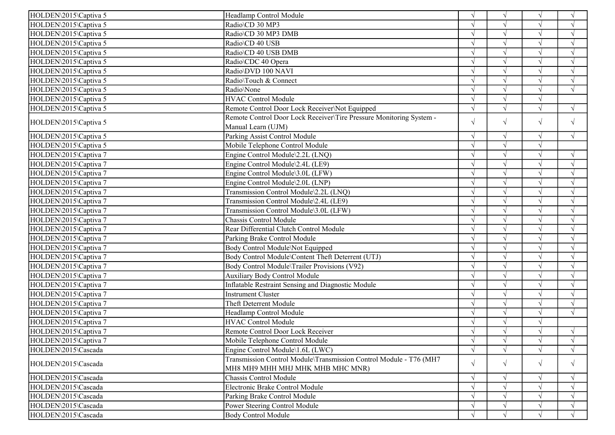| Radio\CD 30 MP3<br>HOLDEN\2015\Captiva 5<br>$\sqrt{ }$<br>$\sqrt{ }$<br>$\sqrt{ }$<br>HOLDEN\2015\Captiva 5<br>Radio\CD 30 MP3 DMB<br>$\sqrt{ }$<br>$\sqrt{ }$<br>$\sqrt{ }$<br>$\mathcal{A}$<br>HOLDEN\2015\Captiva 5<br>Radio\CD 40 USB<br>$\sqrt{ }$<br>$\sqrt{ }$<br>$\sqrt{ }$<br>$\sqrt{ }$<br>Radio\CD 40 USB DMB<br>$\sqrt{ }$<br>$\sqrt{}$<br>HOLDEN\2015\Captiva 5<br>$\mathbf{\hat{N}}$<br>$\sqrt{ }$<br>HOLDEN\2015\Captiva 5<br>Radio\CDC 40 Opera<br>$\sqrt{ }$<br>Radio\DVD 100 NAVI<br>HOLDEN\2015\Captiva 5<br>$\sqrt{ }$<br>$\sqrt{ }$<br>$\sqrt{ }$<br>$\sqrt{ }$<br>HOLDEN\2015\Captiva 5<br>Radio\Touch & Connect<br>$\sqrt{ }$<br>$\sqrt{ }$<br>$\sqrt{ }$<br>$\sqrt{ }$<br>$\sqrt{ }$<br>$\sqrt{ }$<br>$\sqrt{}$<br>$\mathbf{v}$<br>HOLDEN\2015\Captiva 5<br>Radio\None<br>$\sqrt{ }$<br><b>HVAC Control Module</b><br>HOLDEN\2015\Captiva 5<br>HOLDEN\2015\Captiva 5<br>Remote Control Door Lock Receiver\Not Equipped<br>$\sqrt{ }$<br>$\sqrt{ }$<br>$\sqrt{ }$<br>$\sqrt{ }$<br>Remote Control Door Lock Receiver\Tire Pressure Monitoring System -<br>$\sqrt{}$<br>$\sqrt{ }$<br>$\sqrt{ }$<br>HOLDEN\2015\Captiva 5<br>$\sqrt{ }$<br>Manual Learn (UJM)<br>Parking Assist Control Module<br>HOLDEN\2015\Captiva 5<br>$\sqrt{ }$<br>$\sqrt{ }$<br>$\sqrt{ }$<br>$\sqrt{ }$<br>Mobile Telephone Control Module<br>$\sqrt{ }$<br>$\sqrt{}$<br>HOLDEN\2015\Captiva 5<br>$\sqrt{ }$<br>Engine Control Module\2.2L (LNQ)<br>HOLDEN\2015\Captiva 7<br>$\sqrt{ }$<br>$\sqrt{ }$<br>$\sqrt{ }$<br>$\sqrt{ }$<br>Engine Control Module\2.4L (LE9)<br>HOLDEN\2015\Captiva 7<br>$\sqrt{ }$<br>$\sqrt{ }$<br>$\sqrt{ }$<br>$\sqrt{ }$<br>HOLDEN\2015\Captiva 7<br>Engine Control Module\3.0L (LFW)<br>$\sqrt{ }$<br>$\mathcal{L}$<br>HOLDEN\2015\Captiva 7<br>Engine Control Module\2.0L (LNP)<br>$\sqrt{ }$<br>$\gamma$<br>$\gamma$<br>Transmission Control Module\2.2L (LNQ)<br>HOLDEN\2015\Captiva 7<br>$\sqrt{ }$<br>$\sqrt{ }$<br>$\gamma$<br>$\lambda$<br>HOLDEN\2015\Captiva 7<br>Transmission Control Module\2.4L (LE9)<br>$\sqrt{ }$<br>$\sqrt{ }$<br>$\sqrt{}$<br>$\sqrt{ }$<br>Transmission Control Module\3.0L (LFW)<br>HOLDEN\2015\Captiva 7<br>$\sqrt{ }$<br>Chassis Control Module<br>HOLDEN\2015\Captiva 7<br>$\sqrt{ }$<br>$\sqrt{ }$<br>V<br>Rear Differential Clutch Control Module<br>HOLDEN\2015\Captiva 7<br>$\sqrt{ }$<br>$\mathcal{L}$<br>$\mathcal{N}$<br>HOLDEN\2015\Captiva 7<br>Parking Brake Control Module<br>$\sqrt{}$<br>$\sqrt{ }$<br>$\Delta$ |
|------------------------------------------------------------------------------------------------------------------------------------------------------------------------------------------------------------------------------------------------------------------------------------------------------------------------------------------------------------------------------------------------------------------------------------------------------------------------------------------------------------------------------------------------------------------------------------------------------------------------------------------------------------------------------------------------------------------------------------------------------------------------------------------------------------------------------------------------------------------------------------------------------------------------------------------------------------------------------------------------------------------------------------------------------------------------------------------------------------------------------------------------------------------------------------------------------------------------------------------------------------------------------------------------------------------------------------------------------------------------------------------------------------------------------------------------------------------------------------------------------------------------------------------------------------------------------------------------------------------------------------------------------------------------------------------------------------------------------------------------------------------------------------------------------------------------------------------------------------------------------------------------------------------------------------------------------------------------------------------------------------------------------------------------------------------------------------------------------------------------------------------------------------------------------------------------------------------------------------------------------------------------------------------------------------------------------------------------------------------------------------------------------------------------------------------------------------------------------------------------|
|                                                                                                                                                                                                                                                                                                                                                                                                                                                                                                                                                                                                                                                                                                                                                                                                                                                                                                                                                                                                                                                                                                                                                                                                                                                                                                                                                                                                                                                                                                                                                                                                                                                                                                                                                                                                                                                                                                                                                                                                                                                                                                                                                                                                                                                                                                                                                                                                                                                                                                |
|                                                                                                                                                                                                                                                                                                                                                                                                                                                                                                                                                                                                                                                                                                                                                                                                                                                                                                                                                                                                                                                                                                                                                                                                                                                                                                                                                                                                                                                                                                                                                                                                                                                                                                                                                                                                                                                                                                                                                                                                                                                                                                                                                                                                                                                                                                                                                                                                                                                                                                |
|                                                                                                                                                                                                                                                                                                                                                                                                                                                                                                                                                                                                                                                                                                                                                                                                                                                                                                                                                                                                                                                                                                                                                                                                                                                                                                                                                                                                                                                                                                                                                                                                                                                                                                                                                                                                                                                                                                                                                                                                                                                                                                                                                                                                                                                                                                                                                                                                                                                                                                |
|                                                                                                                                                                                                                                                                                                                                                                                                                                                                                                                                                                                                                                                                                                                                                                                                                                                                                                                                                                                                                                                                                                                                                                                                                                                                                                                                                                                                                                                                                                                                                                                                                                                                                                                                                                                                                                                                                                                                                                                                                                                                                                                                                                                                                                                                                                                                                                                                                                                                                                |
|                                                                                                                                                                                                                                                                                                                                                                                                                                                                                                                                                                                                                                                                                                                                                                                                                                                                                                                                                                                                                                                                                                                                                                                                                                                                                                                                                                                                                                                                                                                                                                                                                                                                                                                                                                                                                                                                                                                                                                                                                                                                                                                                                                                                                                                                                                                                                                                                                                                                                                |
|                                                                                                                                                                                                                                                                                                                                                                                                                                                                                                                                                                                                                                                                                                                                                                                                                                                                                                                                                                                                                                                                                                                                                                                                                                                                                                                                                                                                                                                                                                                                                                                                                                                                                                                                                                                                                                                                                                                                                                                                                                                                                                                                                                                                                                                                                                                                                                                                                                                                                                |
|                                                                                                                                                                                                                                                                                                                                                                                                                                                                                                                                                                                                                                                                                                                                                                                                                                                                                                                                                                                                                                                                                                                                                                                                                                                                                                                                                                                                                                                                                                                                                                                                                                                                                                                                                                                                                                                                                                                                                                                                                                                                                                                                                                                                                                                                                                                                                                                                                                                                                                |
|                                                                                                                                                                                                                                                                                                                                                                                                                                                                                                                                                                                                                                                                                                                                                                                                                                                                                                                                                                                                                                                                                                                                                                                                                                                                                                                                                                                                                                                                                                                                                                                                                                                                                                                                                                                                                                                                                                                                                                                                                                                                                                                                                                                                                                                                                                                                                                                                                                                                                                |
|                                                                                                                                                                                                                                                                                                                                                                                                                                                                                                                                                                                                                                                                                                                                                                                                                                                                                                                                                                                                                                                                                                                                                                                                                                                                                                                                                                                                                                                                                                                                                                                                                                                                                                                                                                                                                                                                                                                                                                                                                                                                                                                                                                                                                                                                                                                                                                                                                                                                                                |
|                                                                                                                                                                                                                                                                                                                                                                                                                                                                                                                                                                                                                                                                                                                                                                                                                                                                                                                                                                                                                                                                                                                                                                                                                                                                                                                                                                                                                                                                                                                                                                                                                                                                                                                                                                                                                                                                                                                                                                                                                                                                                                                                                                                                                                                                                                                                                                                                                                                                                                |
|                                                                                                                                                                                                                                                                                                                                                                                                                                                                                                                                                                                                                                                                                                                                                                                                                                                                                                                                                                                                                                                                                                                                                                                                                                                                                                                                                                                                                                                                                                                                                                                                                                                                                                                                                                                                                                                                                                                                                                                                                                                                                                                                                                                                                                                                                                                                                                                                                                                                                                |
|                                                                                                                                                                                                                                                                                                                                                                                                                                                                                                                                                                                                                                                                                                                                                                                                                                                                                                                                                                                                                                                                                                                                                                                                                                                                                                                                                                                                                                                                                                                                                                                                                                                                                                                                                                                                                                                                                                                                                                                                                                                                                                                                                                                                                                                                                                                                                                                                                                                                                                |
|                                                                                                                                                                                                                                                                                                                                                                                                                                                                                                                                                                                                                                                                                                                                                                                                                                                                                                                                                                                                                                                                                                                                                                                                                                                                                                                                                                                                                                                                                                                                                                                                                                                                                                                                                                                                                                                                                                                                                                                                                                                                                                                                                                                                                                                                                                                                                                                                                                                                                                |
|                                                                                                                                                                                                                                                                                                                                                                                                                                                                                                                                                                                                                                                                                                                                                                                                                                                                                                                                                                                                                                                                                                                                                                                                                                                                                                                                                                                                                                                                                                                                                                                                                                                                                                                                                                                                                                                                                                                                                                                                                                                                                                                                                                                                                                                                                                                                                                                                                                                                                                |
|                                                                                                                                                                                                                                                                                                                                                                                                                                                                                                                                                                                                                                                                                                                                                                                                                                                                                                                                                                                                                                                                                                                                                                                                                                                                                                                                                                                                                                                                                                                                                                                                                                                                                                                                                                                                                                                                                                                                                                                                                                                                                                                                                                                                                                                                                                                                                                                                                                                                                                |
|                                                                                                                                                                                                                                                                                                                                                                                                                                                                                                                                                                                                                                                                                                                                                                                                                                                                                                                                                                                                                                                                                                                                                                                                                                                                                                                                                                                                                                                                                                                                                                                                                                                                                                                                                                                                                                                                                                                                                                                                                                                                                                                                                                                                                                                                                                                                                                                                                                                                                                |
|                                                                                                                                                                                                                                                                                                                                                                                                                                                                                                                                                                                                                                                                                                                                                                                                                                                                                                                                                                                                                                                                                                                                                                                                                                                                                                                                                                                                                                                                                                                                                                                                                                                                                                                                                                                                                                                                                                                                                                                                                                                                                                                                                                                                                                                                                                                                                                                                                                                                                                |
|                                                                                                                                                                                                                                                                                                                                                                                                                                                                                                                                                                                                                                                                                                                                                                                                                                                                                                                                                                                                                                                                                                                                                                                                                                                                                                                                                                                                                                                                                                                                                                                                                                                                                                                                                                                                                                                                                                                                                                                                                                                                                                                                                                                                                                                                                                                                                                                                                                                                                                |
|                                                                                                                                                                                                                                                                                                                                                                                                                                                                                                                                                                                                                                                                                                                                                                                                                                                                                                                                                                                                                                                                                                                                                                                                                                                                                                                                                                                                                                                                                                                                                                                                                                                                                                                                                                                                                                                                                                                                                                                                                                                                                                                                                                                                                                                                                                                                                                                                                                                                                                |
|                                                                                                                                                                                                                                                                                                                                                                                                                                                                                                                                                                                                                                                                                                                                                                                                                                                                                                                                                                                                                                                                                                                                                                                                                                                                                                                                                                                                                                                                                                                                                                                                                                                                                                                                                                                                                                                                                                                                                                                                                                                                                                                                                                                                                                                                                                                                                                                                                                                                                                |
|                                                                                                                                                                                                                                                                                                                                                                                                                                                                                                                                                                                                                                                                                                                                                                                                                                                                                                                                                                                                                                                                                                                                                                                                                                                                                                                                                                                                                                                                                                                                                                                                                                                                                                                                                                                                                                                                                                                                                                                                                                                                                                                                                                                                                                                                                                                                                                                                                                                                                                |
|                                                                                                                                                                                                                                                                                                                                                                                                                                                                                                                                                                                                                                                                                                                                                                                                                                                                                                                                                                                                                                                                                                                                                                                                                                                                                                                                                                                                                                                                                                                                                                                                                                                                                                                                                                                                                                                                                                                                                                                                                                                                                                                                                                                                                                                                                                                                                                                                                                                                                                |
|                                                                                                                                                                                                                                                                                                                                                                                                                                                                                                                                                                                                                                                                                                                                                                                                                                                                                                                                                                                                                                                                                                                                                                                                                                                                                                                                                                                                                                                                                                                                                                                                                                                                                                                                                                                                                                                                                                                                                                                                                                                                                                                                                                                                                                                                                                                                                                                                                                                                                                |
|                                                                                                                                                                                                                                                                                                                                                                                                                                                                                                                                                                                                                                                                                                                                                                                                                                                                                                                                                                                                                                                                                                                                                                                                                                                                                                                                                                                                                                                                                                                                                                                                                                                                                                                                                                                                                                                                                                                                                                                                                                                                                                                                                                                                                                                                                                                                                                                                                                                                                                |
| Body Control Module\Not Equipped<br>$\sqrt{ }$<br>HOLDEN\2015\Captiva 7                                                                                                                                                                                                                                                                                                                                                                                                                                                                                                                                                                                                                                                                                                                                                                                                                                                                                                                                                                                                                                                                                                                                                                                                                                                                                                                                                                                                                                                                                                                                                                                                                                                                                                                                                                                                                                                                                                                                                                                                                                                                                                                                                                                                                                                                                                                                                                                                                        |
| Body Control Module\Content Theft Deterrent (UTJ)<br>HOLDEN\2015\Captiva 7<br>$\sqrt{ }$<br>$\mathcal{L}$                                                                                                                                                                                                                                                                                                                                                                                                                                                                                                                                                                                                                                                                                                                                                                                                                                                                                                                                                                                                                                                                                                                                                                                                                                                                                                                                                                                                                                                                                                                                                                                                                                                                                                                                                                                                                                                                                                                                                                                                                                                                                                                                                                                                                                                                                                                                                                                      |
| Body Control Module\Trailer Provisions (V92)<br>HOLDEN\2015\Captiva 7<br>$\sqrt{ }$<br>$\sqrt{ }$<br>$\sqrt{ }$<br>$\mathcal{L}$                                                                                                                                                                                                                                                                                                                                                                                                                                                                                                                                                                                                                                                                                                                                                                                                                                                                                                                                                                                                                                                                                                                                                                                                                                                                                                                                                                                                                                                                                                                                                                                                                                                                                                                                                                                                                                                                                                                                                                                                                                                                                                                                                                                                                                                                                                                                                               |
| HOLDEN\2015\Captiva 7<br><b>Auxiliary Body Control Module</b><br>$\sqrt{ }$<br>$\sqrt{ }$<br>$\sqrt{ }$<br>$\sqrt{ }$                                                                                                                                                                                                                                                                                                                                                                                                                                                                                                                                                                                                                                                                                                                                                                                                                                                                                                                                                                                                                                                                                                                                                                                                                                                                                                                                                                                                                                                                                                                                                                                                                                                                                                                                                                                                                                                                                                                                                                                                                                                                                                                                                                                                                                                                                                                                                                          |
| HOLDEN\2015\Captiva 7<br>Inflatable Restraint Sensing and Diagnostic Module<br>$\sqrt{ }$<br>$\sqrt{ }$<br>$\mathcal{L}$                                                                                                                                                                                                                                                                                                                                                                                                                                                                                                                                                                                                                                                                                                                                                                                                                                                                                                                                                                                                                                                                                                                                                                                                                                                                                                                                                                                                                                                                                                                                                                                                                                                                                                                                                                                                                                                                                                                                                                                                                                                                                                                                                                                                                                                                                                                                                                       |
| HOLDEN\2015\Captiva 7<br><b>Instrument Cluster</b><br>$\sqrt{ }$<br>$\sqrt{ }$<br>$\sqrt{ }$                                                                                                                                                                                                                                                                                                                                                                                                                                                                                                                                                                                                                                                                                                                                                                                                                                                                                                                                                                                                                                                                                                                                                                                                                                                                                                                                                                                                                                                                                                                                                                                                                                                                                                                                                                                                                                                                                                                                                                                                                                                                                                                                                                                                                                                                                                                                                                                                   |
| $\sqrt{}$<br>HOLDEN\2015\Captiva 7<br>Theft Deterrent Module<br>$\sqrt{ }$<br>$\sqrt{ }$<br>$\sqrt{ }$                                                                                                                                                                                                                                                                                                                                                                                                                                                                                                                                                                                                                                                                                                                                                                                                                                                                                                                                                                                                                                                                                                                                                                                                                                                                                                                                                                                                                                                                                                                                                                                                                                                                                                                                                                                                                                                                                                                                                                                                                                                                                                                                                                                                                                                                                                                                                                                         |
| Headlamp Control Module<br>HOLDEN\2015\Captiva 7<br>$\sqrt{}$<br>$\sqrt{ }$<br>$\sqrt{ }$<br>$\sqrt{ }$                                                                                                                                                                                                                                                                                                                                                                                                                                                                                                                                                                                                                                                                                                                                                                                                                                                                                                                                                                                                                                                                                                                                                                                                                                                                                                                                                                                                                                                                                                                                                                                                                                                                                                                                                                                                                                                                                                                                                                                                                                                                                                                                                                                                                                                                                                                                                                                        |
| <b>HVAC Control Module</b><br>$\sqrt{}$<br>HOLDEN\2015\Captiva 7<br>$\sqrt{ }$<br>$\sqrt{ }$                                                                                                                                                                                                                                                                                                                                                                                                                                                                                                                                                                                                                                                                                                                                                                                                                                                                                                                                                                                                                                                                                                                                                                                                                                                                                                                                                                                                                                                                                                                                                                                                                                                                                                                                                                                                                                                                                                                                                                                                                                                                                                                                                                                                                                                                                                                                                                                                   |
| Remote Control Door Lock Receiver<br>$\sqrt{}$<br>HOLDEN\2015\Captiva 7<br>$\sqrt{ }$                                                                                                                                                                                                                                                                                                                                                                                                                                                                                                                                                                                                                                                                                                                                                                                                                                                                                                                                                                                                                                                                                                                                                                                                                                                                                                                                                                                                                                                                                                                                                                                                                                                                                                                                                                                                                                                                                                                                                                                                                                                                                                                                                                                                                                                                                                                                                                                                          |
| HOLDEN\2015\Captiva 7<br>Mobile Telephone Control Module<br>$\sqrt{}$<br>$\sqrt{ }$<br>V<br>$\sqrt{ }$                                                                                                                                                                                                                                                                                                                                                                                                                                                                                                                                                                                                                                                                                                                                                                                                                                                                                                                                                                                                                                                                                                                                                                                                                                                                                                                                                                                                                                                                                                                                                                                                                                                                                                                                                                                                                                                                                                                                                                                                                                                                                                                                                                                                                                                                                                                                                                                         |
| $\sqrt{ }$<br>$\sqrt{ }$<br>HOLDEN\2015\Cascada<br>Engine Control Module\1.6L (LWC)<br>$\sqrt{ }$<br>$\sqrt{ }$                                                                                                                                                                                                                                                                                                                                                                                                                                                                                                                                                                                                                                                                                                                                                                                                                                                                                                                                                                                                                                                                                                                                                                                                                                                                                                                                                                                                                                                                                                                                                                                                                                                                                                                                                                                                                                                                                                                                                                                                                                                                                                                                                                                                                                                                                                                                                                                |
| Transmission Control Module\Transmission Control Module - T76 (MH7                                                                                                                                                                                                                                                                                                                                                                                                                                                                                                                                                                                                                                                                                                                                                                                                                                                                                                                                                                                                                                                                                                                                                                                                                                                                                                                                                                                                                                                                                                                                                                                                                                                                                                                                                                                                                                                                                                                                                                                                                                                                                                                                                                                                                                                                                                                                                                                                                             |
| $\sqrt{ }$<br>$\sqrt{ }$<br>$\sqrt{}$<br>$\sqrt{ }$<br>HOLDEN\2015\Cascada<br>MH8 MH9 MHH MHJ MHK MHB MHC MNR)                                                                                                                                                                                                                                                                                                                                                                                                                                                                                                                                                                                                                                                                                                                                                                                                                                                                                                                                                                                                                                                                                                                                                                                                                                                                                                                                                                                                                                                                                                                                                                                                                                                                                                                                                                                                                                                                                                                                                                                                                                                                                                                                                                                                                                                                                                                                                                                 |
| HOLDEN\2015\Cascada<br>Chassis Control Module<br>$\sqrt{ }$<br>$\sqrt{ }$<br>$\sqrt{ }$<br>$\sqrt{ }$                                                                                                                                                                                                                                                                                                                                                                                                                                                                                                                                                                                                                                                                                                                                                                                                                                                                                                                                                                                                                                                                                                                                                                                                                                                                                                                                                                                                                                                                                                                                                                                                                                                                                                                                                                                                                                                                                                                                                                                                                                                                                                                                                                                                                                                                                                                                                                                          |
| Electronic Brake Control Module<br>HOLDEN\2015\Cascada                                                                                                                                                                                                                                                                                                                                                                                                                                                                                                                                                                                                                                                                                                                                                                                                                                                                                                                                                                                                                                                                                                                                                                                                                                                                                                                                                                                                                                                                                                                                                                                                                                                                                                                                                                                                                                                                                                                                                                                                                                                                                                                                                                                                                                                                                                                                                                                                                                         |
| HOLDEN\2015\Cascada<br>Parking Brake Control Module<br>$\sqrt{ }$                                                                                                                                                                                                                                                                                                                                                                                                                                                                                                                                                                                                                                                                                                                                                                                                                                                                                                                                                                                                                                                                                                                                                                                                                                                                                                                                                                                                                                                                                                                                                                                                                                                                                                                                                                                                                                                                                                                                                                                                                                                                                                                                                                                                                                                                                                                                                                                                                              |
| HOLDEN\2015\Cascada<br>Power Steering Control Module<br>$\sqrt{ }$                                                                                                                                                                                                                                                                                                                                                                                                                                                                                                                                                                                                                                                                                                                                                                                                                                                                                                                                                                                                                                                                                                                                                                                                                                                                                                                                                                                                                                                                                                                                                                                                                                                                                                                                                                                                                                                                                                                                                                                                                                                                                                                                                                                                                                                                                                                                                                                                                             |
| <b>Body Control Module</b><br>HOLDEN\2015\Cascada<br>$\sqrt{ }$<br>$\sqrt{ }$<br>$\sqrt{ }$                                                                                                                                                                                                                                                                                                                                                                                                                                                                                                                                                                                                                                                                                                                                                                                                                                                                                                                                                                                                                                                                                                                                                                                                                                                                                                                                                                                                                                                                                                                                                                                                                                                                                                                                                                                                                                                                                                                                                                                                                                                                                                                                                                                                                                                                                                                                                                                                    |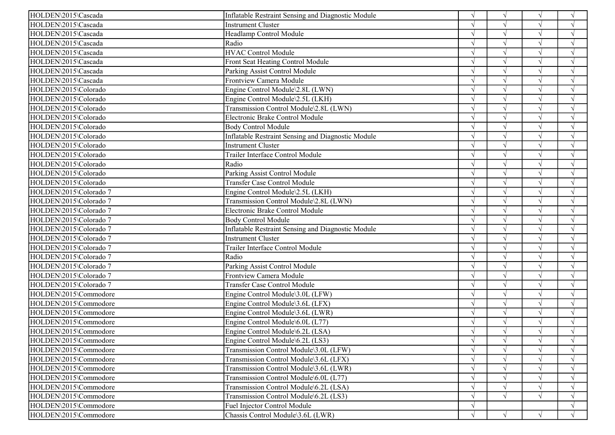| HOLDEN\2015\Cascada    | Inflatable Restraint Sensing and Diagnostic Module        | $\sqrt{ }$    | $\sqrt{ }$ | $\sqrt{ }$ | $\sqrt{ }$    |
|------------------------|-----------------------------------------------------------|---------------|------------|------------|---------------|
| HOLDEN\2015\Cascada    | <b>Instrument Cluster</b>                                 |               |            | $\sqrt{ }$ | $\sqrt{ }$    |
| HOLDEN\2015\Cascada    | Headlamp Control Module                                   |               | $\gamma$   | $\sqrt{ }$ | $\sqrt{ }$    |
| HOLDEN\2015\Cascada    | Radio                                                     |               |            |            | $\sqrt{ }$    |
| HOLDEN\2015\Cascada    | <b>HVAC Control Module</b>                                |               |            | $\sqrt{ }$ | $\sqrt{ }$    |
| HOLDEN\2015\Cascada    | Front Seat Heating Control Module                         |               |            | $\sqrt{}$  | $\sqrt{ }$    |
| HOLDEN\2015\Cascada    | Parking Assist Control Module                             |               | $\sqrt{ }$ | $\sqrt{ }$ | $\sqrt{ }$    |
| HOLDEN\2015\Cascada    | Frontview Camera Module                                   |               | $\sqrt{ }$ | $\sqrt{ }$ | $\sqrt{ }$    |
| HOLDEN\2015\Colorado   | Engine Control Module\2.8L (LWN)                          |               | $\sqrt{ }$ |            |               |
| HOLDEN\2015\Colorado   | Engine Control Module\2.5L (LKH)                          |               |            | $\sqrt{ }$ | $\sqrt{ }$    |
| HOLDEN\2015\Colorado   | Transmission Control Module\2.8L (LWN)                    |               | $\gamma$   | $\sqrt{ }$ | $\sqrt{ }$    |
| HOLDEN\2015\Colorado   | Electronic Brake Control Module                           |               |            |            | $\sqrt{ }$    |
| HOLDEN\2015\Colorado   | <b>Body Control Module</b>                                |               |            | $\sqrt{ }$ | $\sqrt{ }$    |
| HOLDEN\2015\Colorado   | Inflatable Restraint Sensing and Diagnostic Module        |               | $\sqrt{ }$ | $\sqrt{ }$ | $\sqrt{ }$    |
| HOLDEN\2015\Colorado   | <b>Instrument Cluster</b>                                 |               | $\sqrt{ }$ | $\sqrt{ }$ | $\sqrt{ }$    |
| HOLDEN\2015\Colorado   | Trailer Interface Control Module                          |               | $\sqrt{ }$ | $\sqrt{ }$ | $\sqrt{ }$    |
| HOLDEN\2015\Colorado   | Radio                                                     |               | $\gamma$   |            | $\sqrt{ }$    |
| HOLDEN\2015\Colorado   | Parking Assist Control Module                             |               | $\sqrt{ }$ | $\sqrt{ }$ | $\sqrt{ }$    |
| HOLDEN\2015\Colorado   | <b>Transfer Case Control Module</b>                       |               | $\gamma$   | $\sqrt{ }$ | $\mathcal{N}$ |
| HOLDEN\2015\Colorado 7 | Engine Control Module\2.5L (LKH)                          |               | $\sqrt{ }$ | $\sqrt{ }$ | $\sqrt{ }$    |
| HOLDEN\2015\Colorado 7 | Transmission Control Module\2.8L (LWN)                    |               |            |            |               |
| HOLDEN\2015\Colorado 7 | Electronic Brake Control Module                           |               |            | $\sqrt{ }$ | $\sqrt{ }$    |
| HOLDEN\2015\Colorado 7 | <b>Body Control Module</b>                                |               |            | $\sqrt{ }$ | $\sqrt{ }$    |
| HOLDEN\2015\Colorado 7 | <b>Inflatable Restraint Sensing and Diagnostic Module</b> |               | $\gamma$   | $\sqrt{ }$ | $\sqrt{ }$    |
| HOLDEN\2015\Colorado 7 | <b>Instrument Cluster</b>                                 |               |            |            |               |
| HOLDEN\2015\Colorado 7 | Trailer Interface Control Module                          |               |            |            |               |
| HOLDEN\2015\Colorado 7 | Radio                                                     |               |            | $\sqrt{ }$ | $\mathcal{N}$ |
| HOLDEN\2015\Colorado 7 | Parking Assist Control Module                             |               | $\gamma$   | $\sqrt{ }$ | $\sqrt{ }$    |
| HOLDEN\2015\Colorado 7 | Frontview Camera Module                                   |               |            | $\sqrt{ }$ | $\sqrt{}$     |
| HOLDEN\2015\Colorado 7 | <b>Transfer Case Control Module</b>                       |               | $\sqrt{ }$ | $\sqrt{ }$ | $\sqrt{ }$    |
| HOLDEN\2015\Commodore  | Engine Control Module\3.0L (LFW)                          |               |            | $\sqrt{ }$ | $\sqrt{ }$    |
| HOLDEN\2015\Commodore  | Engine Control Module\3.6L (LFX)                          | $\mathcal{L}$ | $\sim$     | $\sqrt{ }$ | $\sqrt{ }$    |
| HOLDEN\2015\Commodore  | Engine Control Module\3.6L (LWR)                          |               | $\gamma$   | $\sqrt{ }$ | $\sqrt{ }$    |
| HOLDEN\2015\Commodore  | Engine Control Module\6.0L (L77)                          |               |            |            |               |
| HOLDEN\2015\Commodore  | Engine Control Module\6.2L (LSA)                          |               |            |            |               |
| HOLDEN\2015\Commodore  | Engine Control Module\6.2L (LS3)                          | $\sqrt{ }$    | $\sqrt{ }$ | $\sqrt{ }$ | $\sqrt{ }$    |
| HOLDEN\2015\Commodore  | Transmission Control Module\3.0L (LFW)                    |               |            |            | $\sqrt{ }$    |
| HOLDEN\2015\Commodore  | Transmission Control Module\3.6L (LFX)                    |               |            |            |               |
| HOLDEN\2015\Commodore  | Transmission Control Module\3.6L (LWR)                    |               |            |            |               |
| HOLDEN\2015\Commodore  | Transmission Control Module\6.0L (L77)                    |               |            |            |               |
| HOLDEN\2015\Commodore  | Transmission Control Module\6.2L (LSA)                    |               |            |            |               |
| HOLDEN\2015\Commodore  | Transmission Control Module\6.2L (LS3)                    |               | $\sqrt{ }$ |            |               |
| HOLDEN\2015\Commodore  | Fuel Injector Control Module                              |               |            |            | $\sqrt{ }$    |
| HOLDEN\2015\Commodore  | Chassis Control Module\3.6L (LWR)                         |               | $\sqrt{ }$ |            | $\sqrt{ }$    |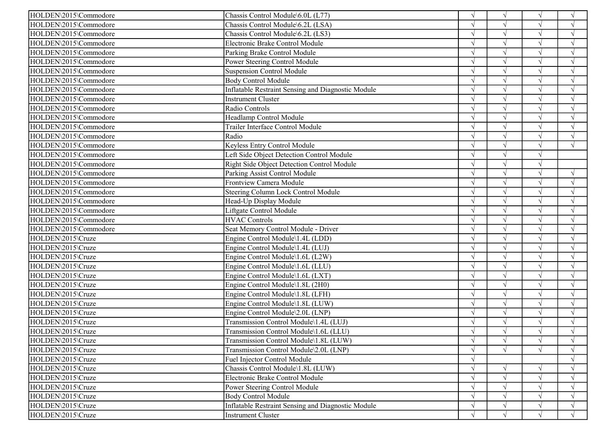| HOLDEN\2015\Commodore<br>Chassis Control Module\6.0L (L77)                     | $\sqrt{ }$ | $\sqrt{ }$ | $\sqrt{ }$ | $\sqrt{ }$         |
|--------------------------------------------------------------------------------|------------|------------|------------|--------------------|
| HOLDEN\2015\Commodore<br>Chassis Control Module\6.2L (LSA)                     |            | $\sqrt{ }$ |            | $\sqrt{ }$         |
| HOLDEN\2015\Commodore<br>Chassis Control Module\6.2L (LS3)                     |            | $\sqrt{ }$ |            | $\sqrt{ }$         |
| HOLDEN\2015\Commodore<br>Electronic Brake Control Module                       |            | $\sqrt{ }$ | $\sqrt{ }$ | $\sqrt{ }$         |
| HOLDEN\2015\Commodore<br>Parking Brake Control Module                          |            | $\sqrt{ }$ |            | $\mathbf{\hat{N}}$ |
| HOLDEN\2015\Commodore<br>Power Steering Control Module                         |            | $\sqrt{ }$ |            | $\sqrt{ }$         |
| HOLDEN\2015\Commodore<br><b>Suspension Control Module</b>                      |            | $\sqrt{ }$ | $\sqrt{ }$ | $\sqrt{ }$         |
| HOLDEN\2015\Commodore<br><b>Body Control Module</b>                            |            | $\sqrt{ }$ | $\sqrt{ }$ | $\sqrt{ }$         |
| HOLDEN\2015\Commodore<br>Inflatable Restraint Sensing and Diagnostic Module    |            | $\sqrt{ }$ |            | $\sqrt{ }$         |
| HOLDEN\2015\Commodore<br>Instrument Cluster                                    |            | $\sqrt{ }$ |            | $\sqrt{ }$         |
| HOLDEN\2015\Commodore<br>Radio Controls                                        |            | $\sqrt{ }$ |            | $\gamma$           |
| HOLDEN\2015\Commodore<br>Headlamp Control Module                               |            | $\sqrt{ }$ |            | $\sqrt{ }$         |
| HOLDEN\2015\Commodore<br>Trailer Interface Control Module                      |            | $\sqrt{}$  | $\sqrt{ }$ | $\sqrt{ }$         |
| Radio<br>HOLDEN\2015\Commodore                                                 |            | $\sqrt{ }$ |            | $\sqrt{ }$         |
| HOLDEN\2015\Commodore<br>Keyless Entry Control Module                          |            | $\sqrt{ }$ |            | $\sqrt{ }$         |
| HOLDEN\2015\Commodore<br>Left Side Object Detection Control Module             |            | $\sqrt{ }$ | $\sqrt{ }$ |                    |
| HOLDEN\2015\Commodore<br>Right Side Object Detection Control Module            |            | $\sqrt{ }$ | $\sqrt{ }$ |                    |
| HOLDEN\2015\Commodore<br>Parking Assist Control Module                         |            | $\sqrt{ }$ |            | $\sqrt{ }$         |
| Frontview Camera Module<br>HOLDEN\2015\Commodore                               |            | $\sqrt{ }$ |            | $\sqrt{ }$         |
| HOLDEN\2015\Commodore<br>Steering Column Lock Control Module                   |            | $\sqrt{ }$ |            | $\gamma$           |
| HOLDEN\2015\Commodore<br>Head-Up Display Module                                |            | $\sqrt{ }$ |            | $\mathcal{A}$      |
| HOLDEN\2015\Commodore<br>Liftgate Control Module                               |            |            |            |                    |
| HOLDEN\2015\Commodore<br><b>HVAC Controls</b>                                  |            | $\sqrt{ }$ |            | $\sqrt{ }$         |
| HOLDEN\2015\Commodore<br>Seat Memory Control Module - Driver                   |            | $\sqrt{ }$ |            | $\mathcal{L}$      |
| HOLDEN\2015\Cruze<br>Engine Control Module\1.4L (LDD)                          |            | $\sqrt{ }$ |            | $\mathcal{L}$      |
| HOLDEN\2015\Cruze<br>Engine Control Module\1.4L (LUJ)                          |            |            |            |                    |
| HOLDEN\2015\Cruze<br>Engine Control Module\1.6L (L2W)                          |            | $\sqrt{ }$ |            | $\sqrt{ }$         |
| HOLDEN\2015\Cruze<br>Engine Control Module\1.6L (LLU)                          |            | $\sqrt{ }$ |            | $\mathcal{L}$      |
| HOLDEN\2015\Cruze<br>Engine Control Module\1.6L (LXT)                          |            | $\sqrt{ }$ | $\sqrt{ }$ | $\sqrt{ }$         |
| HOLDEN\2015\Cruze<br>Engine Control Module\1.8L (2H0)                          |            | $\sqrt{ }$ |            | $\mathbf{\hat{N}}$ |
| HOLDEN\2015\Cruze<br>Engine Control Module\1.8L (LFH)                          |            | $\sqrt{ }$ |            | $\sqrt{ }$         |
| HOLDEN\2015\Cruze<br>Engine Control Module\1.8L (LUW)                          | $\sqrt{ }$ | $\sqrt{ }$ | $\sqrt{ }$ | $\sqrt{ }$         |
| HOLDEN\2015\Cruze<br>Engine Control Module\2.0L (LNP)                          | $\sqrt{ }$ | $\sqrt{ }$ | $\sqrt{ }$ | $\sqrt{ }$         |
| Transmission Control Module\1.4L (LUJ)<br>HOLDEN\2015\Cruze                    |            | $\sqrt{ }$ |            | $\mathcal{L}$      |
| HOLDEN\2015\Cruze<br>Transmission Control Module\1.6L (LLU)                    |            | $\sqrt{ }$ |            |                    |
| HOLDEN\2015\Cruze<br>Transmission Control Module\1.8L (LUW)                    | $\sqrt{ }$ | V          | V          | $\sqrt{ }$         |
| HOLDEN\2015\Cruze<br>Transmission Control Module\2.0L (LNP)                    | $\sqrt{ }$ | $\sqrt{ }$ | $\sqrt{ }$ | $\sqrt{ }$         |
| HOLDEN\2015\Cruze<br>Fuel Injector Control Module                              |            |            |            | $\sqrt{ }$         |
| Chassis Control Module\1.8L (LUW)<br>HOLDEN\2015\Cruze                         |            | $\sqrt{ }$ |            | $\sqrt{ }$         |
| Electronic Brake Control Module<br>HOLDEN\2015\Cruze                           | $\sqrt{ }$ |            |            | $\sqrt{ }$         |
| HOLDEN\2015\Cruze<br>Power Steering Control Module                             |            |            |            | $\mathcal{L}$      |
| <b>Body Control Module</b><br>HOLDEN\2015\Cruze                                | $\sqrt{ }$ | $\sqrt{ }$ |            | $\sqrt{ }$         |
| <b>Inflatable Restraint Sensing and Diagnostic Module</b><br>HOLDEN\2015\Cruze |            | $\sqrt{ }$ |            | $\sqrt{ }$         |
| HOLDEN\2015\Cruze<br><b>Instrument Cluster</b>                                 | V          | $\sqrt{ }$ |            | $\sqrt{ }$         |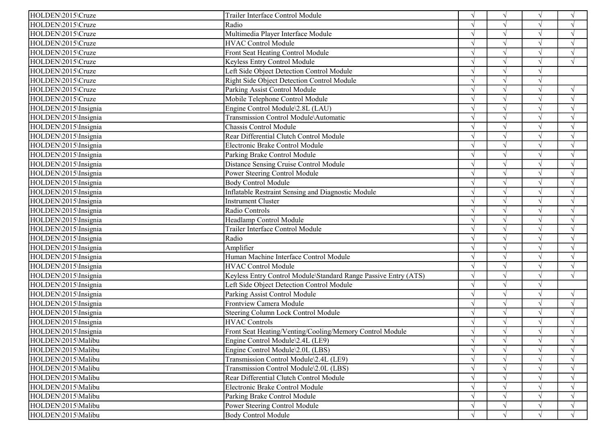| HOLDEN\2015\Cruze    | Trailer Interface Control Module                                |               | $\sqrt{ }$    |               | $\gamma$           |
|----------------------|-----------------------------------------------------------------|---------------|---------------|---------------|--------------------|
| HOLDEN\2015\Cruze    | Radio                                                           |               | $\sqrt{ }$    |               | $\sqrt{ }$         |
| HOLDEN\2015\Cruze    | Multimedia Player Interface Module                              |               | $\sqrt{ }$    |               | $\gamma$           |
| HOLDEN\2015\Cruze    | <b>HVAC Control Module</b>                                      |               | $\sqrt{ }$    |               | $\gamma$           |
| HOLDEN\2015\Cruze    | Front Seat Heating Control Module                               |               |               |               |                    |
| HOLDEN\2015\Cruze    | Keyless Entry Control Module                                    |               | $\sqrt{ }$    |               | $\sqrt{ }$         |
| HOLDEN\2015\Cruze    | Left Side Object Detection Control Module                       |               | $\sqrt{ }$    |               |                    |
| HOLDEN\2015\Cruze    | Right Side Object Detection Control Module                      |               | $\sqrt{ }$    | $\sqrt{ }$    |                    |
| HOLDEN\2015\Cruze    | Parking Assist Control Module                                   |               |               |               |                    |
| HOLDEN\2015\Cruze    | Mobile Telephone Control Module                                 |               |               |               |                    |
| HOLDEN\2015\Insignia | Engine Control Module\2.8L (LAU)                                |               | $\mathcal{L}$ |               |                    |
| HOLDEN\2015\Insignia | Transmission Control Module\Automatic                           |               | $\sqrt{ }$    | $\sqrt{ }$    | $\gamma$           |
| HOLDEN\2015\Insignia | Chassis Control Module                                          |               | $\sqrt{ }$    |               | $\mathcal{A}$      |
| HOLDEN\2015\Insignia | Rear Differential Clutch Control Module                         |               | $\sqrt{ }$    |               | $\sqrt{ }$         |
| HOLDEN\2015\Insignia | Electronic Brake Control Module                                 |               | $\sqrt{ }$    |               | $\sqrt{ }$         |
| HOLDEN\2015\Insignia | Parking Brake Control Module                                    | $\sqrt{ }$    | $\sqrt{ }$    | $\sqrt{ }$    | $\sqrt{ }$         |
| HOLDEN\2015\Insignia | Distance Sensing Cruise Control Module                          |               | $\sqrt{ }$    |               | $\Delta$           |
| HOLDEN\2015\Insignia | Power Steering Control Module                                   |               | $\sqrt{ }$    |               | $\sqrt{ }$         |
| HOLDEN\2015\Insignia | <b>Body Control Module</b>                                      |               | $\sqrt{ }$    | $\sqrt{ }$    | $\mathcal{A}$      |
| HOLDEN\2015\Insignia | <b>Inflatable Restraint Sensing and Diagnostic Module</b>       |               | $\sqrt{ }$    | $\sqrt{ }$    | $\gamma$           |
| HOLDEN\2015\Insignia | <b>Instrument Cluster</b>                                       |               | $\sqrt{ }$    |               | $\mathbf{\hat{N}}$ |
| HOLDEN\2015\Insignia | Radio Controls                                                  |               | $\sqrt{ }$    |               | $\sqrt{ }$         |
| HOLDEN\2015\Insignia | Headlamp Control Module                                         |               | $\sqrt{ }$    | $\sqrt{ }$    | $\sqrt{ }$         |
| HOLDEN\2015\Insignia | Trailer Interface Control Module                                |               | $\sqrt{ }$    | $\sqrt{ }$    | $\mathcal{L}$      |
| HOLDEN\2015\Insignia | Radio                                                           |               | $\sqrt{ }$    |               | $\mathcal{L}$      |
| HOLDEN\2015\Insignia | Amplifier                                                       |               | $\sqrt{ }$    |               | $\mathcal{L}$      |
| HOLDEN\2015\Insignia | Human Machine Interface Control Module                          |               | $\sqrt{ }$    |               | $\sqrt{ }$         |
| HOLDEN\2015\Insignia | <b>HVAC Control Module</b>                                      |               | $\sqrt{ }$    | $\mathcal{N}$ | $\sqrt{ }$         |
| HOLDEN\2015\Insignia | Keyless Entry Control Module\Standard Range Passive Entry (ATS) |               | $\sqrt{ }$    | $\sqrt{ }$    | $\sqrt{ }$         |
| HOLDEN\2015\Insignia | Left Side Object Detection Control Module                       |               | $\sqrt{ }$    |               |                    |
| HOLDEN\2015\Insignia | Parking Assist Control Module                                   | $\sqrt{ }$    | $\sqrt{ }$    | $\sqrt{ }$    | $\sqrt{ }$         |
| HOLDEN\2015\Insignia | Frontview Camera Module                                         |               | $\sqrt{ }$    | $\sqrt{ }$    | $\sqrt{ }$         |
| HOLDEN\2015\Insignia | Steering Column Lock Control Module                             |               | $\sqrt{ }$    | $\sqrt{ }$    | $\mathcal{L}$      |
| HOLDEN\2015\Insignia | <b>HVAC Controls</b>                                            |               | $\mathcal{L}$ |               |                    |
| HOLDEN\2015\Insignia | Front Seat Heating/Venting/Cooling/Memory Control Module        |               | $\sqrt{ }$    |               |                    |
| HOLDEN\2015\Malibu   | Engine Control Module\2.4L (LE9)                                | V             | $\sqrt{}$     | V             | $\sqrt{ }$         |
| HOLDEN\2015\Malibu   | Engine Control Module\2.0L (LBS)                                |               |               |               | $\sqrt{ }$         |
| HOLDEN\2015\Malibu   | Transmission Control Module\2.4L (LE9)                          |               |               |               |                    |
| HOLDEN\2015\Malibu   | Transmission Control Module\2.0L (LBS)                          |               |               |               |                    |
| HOLDEN\2015\Malibu   | Rear Differential Clutch Control Module                         | $\mathcal{N}$ |               |               |                    |
| HOLDEN\2015\Malibu   | Electronic Brake Control Module                                 |               |               |               |                    |
| HOLDEN\2015\Malibu   | Parking Brake Control Module                                    |               |               |               |                    |
| HOLDEN\2015\Malibu   | Power Steering Control Module                                   | V             | $\sqrt{ }$    |               | $\sqrt{ }$         |
| HOLDEN\2015\Malibu   | <b>Body Control Module</b>                                      | $\sqrt{ }$    | $\sqrt{ }$    |               | $\sqrt{ }$         |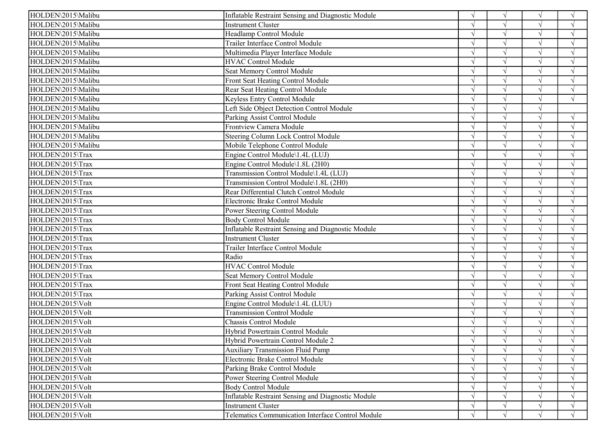| HOLDEN\2015\Malibu | Inflatable Restraint Sensing and Diagnostic Module       |            | $\sqrt{ }$ |               | $\sqrt{ }$ |
|--------------------|----------------------------------------------------------|------------|------------|---------------|------------|
| HOLDEN\2015\Malibu | Instrument Cluster                                       |            |            |               | $\sqrt{ }$ |
| HOLDEN\2015\Malibu | Headlamp Control Module                                  |            | V          |               | $\sqrt{ }$ |
| HOLDEN\2015\Malibu | Trailer Interface Control Module                         |            |            |               | $\sqrt{ }$ |
| HOLDEN\2015\Malibu | Multimedia Player Interface Module                       |            |            |               |            |
| HOLDEN\2015\Malibu | <b>HVAC Control Module</b>                               |            |            | $\sqrt{ }$    | $\sqrt{ }$ |
| HOLDEN\2015\Malibu | Seat Memory Control Module                               |            |            | $\mathcal{N}$ | N          |
| HOLDEN\2015\Malibu | Front Seat Heating Control Module                        |            |            | $\sqrt{ }$    | $\sqrt{ }$ |
| HOLDEN\2015\Malibu | Rear Seat Heating Control Module                         |            |            |               |            |
| HOLDEN\2015\Malibu | Keyless Entry Control Module                             |            |            |               | $\sqrt{ }$ |
| HOLDEN\2015\Malibu | Left Side Object Detection Control Module                |            |            |               |            |
| HOLDEN\2015\Malibu | Parking Assist Control Module                            |            |            |               | $\sqrt{ }$ |
| HOLDEN\2015\Malibu | Frontview Camera Module                                  |            |            |               | $\sqrt{ }$ |
| HOLDEN\2015\Malibu | Steering Column Lock Control Module                      |            |            | $\sqrt{ }$    | $\sqrt{ }$ |
| HOLDEN\2015\Malibu | Mobile Telephone Control Module                          | N          |            | $\sqrt{ }$    | $\sqrt{ }$ |
| HOLDEN\2015\Trax   | Engine Control Module\1.4L (LUJ)                         |            |            | $\sqrt{ }$    | $\sqrt{ }$ |
| HOLDEN\2015\Trax   | Engine Control Module\1.8L (2H0)                         | $\sim$     |            | $\sqrt{ }$    | $\sqrt{ }$ |
| HOLDEN\2015\Trax   | Transmission Control Module\1.4L (LUJ)                   |            |            |               | $\sqrt{ }$ |
| HOLDEN\2015\Trax   | Transmission Control Module\1.8L (2H0)                   |            |            | $\sqrt{ }$    | $\sqrt{ }$ |
| HOLDEN\2015\Trax   | Rear Differential Clutch Control Module                  |            |            | $\sqrt{ }$    | $\sqrt{ }$ |
| HOLDEN\2015\Trax   | Electronic Brake Control Module                          |            |            |               | $\sqrt{ }$ |
| HOLDEN\2015\Trax   | Power Steering Control Module                            |            |            |               | $\sqrt{ }$ |
| HOLDEN\2015\Trax   | <b>Body Control Module</b>                               |            |            | $\sqrt{ }$    | $\sqrt{ }$ |
| HOLDEN\2015\Trax   | Inflatable Restraint Sensing and Diagnostic Module       |            |            | $\sqrt{ }$    | $\sqrt{ }$ |
| HOLDEN\2015\Trax   | Instrument Cluster                                       | اد         |            |               | $\sqrt{ }$ |
| HOLDEN\2015\Trax   | Trailer Interface Control Module                         |            |            |               | $\sqrt{ }$ |
| HOLDEN\2015\Trax   | Radio                                                    |            |            |               | N          |
| HOLDEN\2015\Trax   | <b>HVAC Control Module</b>                               |            | $\gamma$   |               | $\sqrt{ }$ |
| HOLDEN\2015\Trax   | Seat Memory Control Module                               |            |            | $\sqrt{ }$    | $\sqrt{ }$ |
| HOLDEN\2015\Trax   | Front Seat Heating Control Module                        |            |            |               | $\sqrt{ }$ |
| HOLDEN\2015\Trax   | Parking Assist Control Module                            |            |            | $\sqrt{ }$    | $\sqrt{ }$ |
| HOLDEN\2015\Volt   | Engine Control Module\1.4L (LUU)                         |            |            | $\sqrt{ }$    | $\sqrt{ }$ |
| HOLDEN\2015\Volt   | <b>Transmission Control Module</b>                       |            |            | $\sqrt{ }$    | $\sqrt{ }$ |
| HOLDEN\2015\Volt   | Chassis Control Module                                   |            |            |               |            |
| HOLDEN\2015\Volt   | Hybrid Powertrain Control Module                         |            |            |               | $\sqrt{ }$ |
| HOLDEN\2015\Volt   | Hybrid Powertrain Control Module 2                       | $\sqrt{ }$ | $\sqrt{ }$ | $\sqrt{ }$    | $\sqrt{ }$ |
| HOLDEN\2015\Volt   | <b>Auxiliary Transmission Fluid Pump</b>                 | $\sqrt{ }$ |            |               | $\sqrt{ }$ |
| HOLDEN\2015\Volt   | Electronic Brake Control Module                          |            |            |               | $\sqrt{ }$ |
| HOLDEN\2015\Volt   | Parking Brake Control Module                             |            |            |               | V          |
| HOLDEN\2015\Volt   | Power Steering Control Module                            |            |            |               | V          |
| HOLDEN\2015\Volt   | <b>Body Control Module</b>                               | $\sqrt{ }$ |            |               | $\sqrt{ }$ |
| HOLDEN\2015\Volt   | Inflatable Restraint Sensing and Diagnostic Module       | $\sqrt{ }$ |            |               | $\sqrt{ }$ |
| HOLDEN\2015\Volt   | <b>Instrument Cluster</b>                                | $\sqrt{ }$ | $\sqrt{ }$ |               | $\sqrt{ }$ |
| HOLDEN\2015\Volt   | <b>Telematics Communication Interface Control Module</b> | V          | V          |               | $\sqrt{ }$ |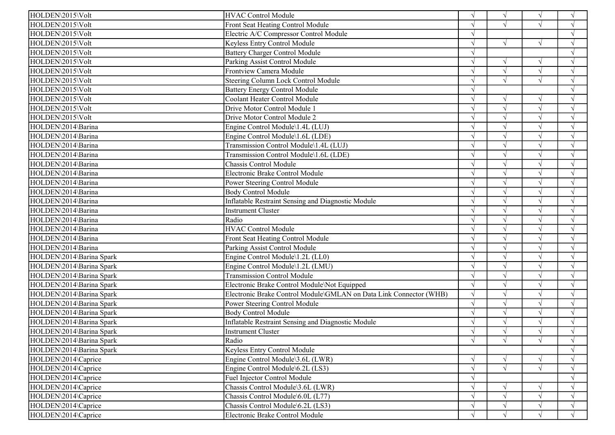| HOLDEN\2015\Volt         | <b>HVAC Control Module</b>                                         | $\sqrt{ }$    | $\sqrt{ }$ | $\sqrt{ }$ | $\sqrt{ }$         |
|--------------------------|--------------------------------------------------------------------|---------------|------------|------------|--------------------|
| HOLDEN\2015\Volt         | Front Seat Heating Control Module                                  |               | $\sqrt{ }$ |            | $\sqrt{ }$         |
| HOLDEN\2015\Volt         | Electric A/C Compressor Control Module                             |               |            |            | $\mathcal{A}$      |
| HOLDEN\2015\Volt         | Keyless Entry Control Module                                       |               | $\sqrt{ }$ | $\sqrt{ }$ | $\gamma$           |
| HOLDEN\2015\Volt         | <b>Battery Charger Control Module</b>                              |               |            |            |                    |
| HOLDEN\2015\Volt         | Parking Assist Control Module                                      | $\sqrt{ }$    | $\sqrt{ }$ | $\sqrt{}$  | $\sqrt{ }$         |
| HOLDEN\2015\Volt         | Frontview Camera Module                                            | $\mathcal{N}$ | $\sqrt{ }$ | $\sqrt{ }$ | $\gamma$           |
| HOLDEN\2015\Volt         | Steering Column Lock Control Module                                |               | $\sqrt{ }$ | $\sqrt{ }$ | $\mathcal{L}$      |
| HOLDEN\2015\Volt         | <b>Battery Energy Control Module</b>                               |               |            |            |                    |
| HOLDEN\2015\Volt         | Coolant Heater Control Module                                      |               | $\sqrt{ }$ |            |                    |
| HOLDEN\2015\Volt         | Drive Motor Control Module 1                                       |               | $\sqrt{ }$ | $\sqrt{ }$ |                    |
| HOLDEN\2015\Volt         | Drive Motor Control Module 2                                       |               | $\sqrt{ }$ | $\sqrt{}$  | $\mathcal{A}$      |
| HOLDEN\2014\Barina       | Engine Control Module\1.4L (LUJ)                                   |               | $\sqrt{ }$ |            | $\mathbf{\hat{N}}$ |
| HOLDEN\2014\Barina       | Engine Control Module\1.6L (LDE)                                   |               | $\sqrt{ }$ |            | $\sqrt{ }$         |
| HOLDEN\2014\Barina       | Transmission Control Module\1.4L (LUJ)                             | $\sqrt{ }$    | $\sqrt{ }$ | $\sqrt{ }$ | $\sqrt{ }$         |
| HOLDEN\2014\Barina       | Transmission Control Module\1.6L (LDE)                             | $\sqrt{ }$    | $\sqrt{ }$ | $\sqrt{}$  | $\sqrt{ }$         |
| HOLDEN\2014\Barina       | Chassis Control Module                                             |               | $\sqrt{ }$ | $\sqrt{ }$ | $\mathcal{L}$      |
| HOLDEN\2014\Barina       | Electronic Brake Control Module                                    |               | $\sqrt{ }$ |            | $\sqrt{ }$         |
| HOLDEN\2014\Barina       | Power Steering Control Module                                      | $\sqrt{ }$    | $\sqrt{ }$ |            | $\mathcal{A}$      |
| HOLDEN\2014\Barina       | <b>Body Control Module</b>                                         | $\sqrt{ }$    | $\sqrt{}$  | $\sqrt{}$  | $\sqrt{ }$         |
| HOLDEN\2014\Barina       | <b>Inflatable Restraint Sensing and Diagnostic Module</b>          |               | $\sqrt{ }$ | $\sqrt{}$  | $\mathbf{\hat{N}}$ |
| HOLDEN\2014\Barina       | <b>Instrument Cluster</b>                                          |               | $\sqrt{ }$ |            | $\sqrt{ }$         |
| HOLDEN\2014\Barina       | Radio                                                              | $\sqrt{ }$    | $\sqrt{ }$ | $\sqrt{ }$ | $\sqrt{ }$         |
| HOLDEN\2014\Barina       | <b>HVAC Control Module</b>                                         | $\sqrt{ }$    | $\sqrt{ }$ | $\sqrt{ }$ | $\sqrt{ }$         |
| HOLDEN\2014\Barina       | Front Seat Heating Control Module                                  |               | $\sqrt{ }$ |            | $\mathcal{L}$      |
| HOLDEN\2014\Barina       | Parking Assist Control Module                                      |               | $\sqrt{ }$ |            | $\mathcal{L}$      |
| HOLDEN\2014\Barina Spark | Engine Control Module\1.2L (LL0)                                   |               | $\sqrt{ }$ |            | $\sqrt{ }$         |
| HOLDEN\2014\Barina Spark | Engine Control Module\1.2L (LMU)                                   |               | $\sqrt{ }$ |            | $\gamma$           |
| HOLDEN\2014\Barina Spark | <b>Transmission Control Module</b>                                 | $\sqrt{ }$    | $\sqrt{}$  | $\sqrt{ }$ | $\sqrt{ }$         |
| HOLDEN\2014\Barina Spark | Electronic Brake Control Module\Not Equipped                       |               | $\sqrt{ }$ |            | $\sqrt{ }$         |
| HOLDEN\2014\Barina Spark | Electronic Brake Control Module\GMLAN on Data Link Connector (WHB) | $\sqrt{ }$    | $\sqrt{ }$ |            | $\sqrt{ }$         |
| HOLDEN\2014\Barina Spark | Power Steering Control Module                                      | $\sqrt{ }$    | $\sqrt{ }$ | $\sqrt{ }$ | $\sqrt{ }$         |
| HOLDEN\2014\Barina Spark | <b>Body Control Module</b>                                         | $\sqrt{ }$    | $\sqrt{ }$ | $\sqrt{ }$ | $\sqrt{ }$         |
| HOLDEN\2014\Barina Spark | Inflatable Restraint Sensing and Diagnostic Module                 |               | $\sqrt{ }$ |            |                    |
| HOLDEN\2014\Barina Spark | <b>Instrument Cluster</b>                                          |               | $\sqrt{}$  |            |                    |
| HOLDEN\2014\Barina Spark | Radio                                                              | $\sqrt{ }$    | $\sqrt{ }$ | $\sqrt{ }$ | $\sqrt{ }$         |
| HOLDEN\2014\Barina Spark | Keyless Entry Control Module                                       |               |            |            | $\sqrt{}$          |
| HOLDEN\2014\Caprice      | Engine Control Module\3.6L (LWR)                                   | $\sqrt{ }$    | $\sqrt{ }$ |            | $\sqrt{ }$         |
| HOLDEN\2014\Caprice      | Engine Control Module\6.2L (LS3)                                   | $\sqrt{ }$    | $\sqrt{ }$ | $\sqrt{ }$ | $\sqrt{ }$         |
| HOLDEN\2014\Caprice      | Fuel Injector Control Module                                       | $\sqrt{ }$    |            |            | $\gamma$           |
| HOLDEN\2014\Caprice      | Chassis Control Module\3.6L (LWR)                                  | $\sqrt{ }$    | $\sqrt{}$  | $\sqrt{}$  | $\mathcal{A}$      |
| HOLDEN\2014\Caprice      | Chassis Control Module\6.0L (L77)                                  | $\sqrt{ }$    | $\sqrt{ }$ |            |                    |
| HOLDEN\2014\Caprice      | Chassis Control Module\6.2L (LS3)                                  | $\sqrt{ }$    | $\sqrt{ }$ | $\sqrt{ }$ | $\sqrt{ }$         |
| HOLDEN\2014\Caprice      | Electronic Brake Control Module                                    | $\sqrt{ }$    | $\sqrt{ }$ |            | $\sqrt{ }$         |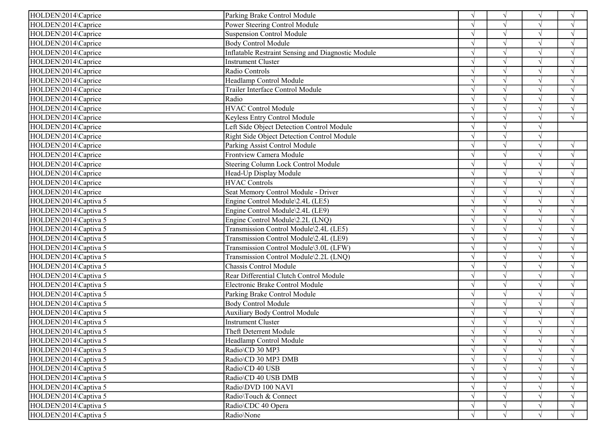| HOLDEN\2014\Caprice   | Parking Brake Control Module                              | $\sqrt{ }$    | $\sqrt{ }$    |            | $\sqrt{ }$         |
|-----------------------|-----------------------------------------------------------|---------------|---------------|------------|--------------------|
| HOLDEN\2014\Caprice   | Power Steering Control Module                             |               | $\sqrt{ }$    |            | $\sqrt{ }$         |
| HOLDEN\2014\Caprice   | <b>Suspension Control Module</b>                          |               | $\sqrt{ }$    | $\sqrt{ }$ | $\gamma$           |
| HOLDEN\2014\Caprice   | <b>Body Control Module</b>                                |               | $\sqrt{ }$    |            | $\gamma$           |
| HOLDEN\2014\Caprice   | <b>Inflatable Restraint Sensing and Diagnostic Module</b> |               | $\sqrt{ }$    |            |                    |
| HOLDEN\2014\Caprice   | Instrument Cluster                                        |               | $\sqrt{ }$    |            | $\sqrt{ }$         |
| HOLDEN\2014\Caprice   | Radio Controls                                            |               | $\sqrt{ }$    |            | $\mathcal{L}$      |
| HOLDEN\2014\Caprice   | Headlamp Control Module                                   |               | $\sqrt{ }$    | $\sqrt{ }$ | $\mathcal{L}$      |
| HOLDEN\2014\Caprice   | Trailer Interface Control Module                          |               | $\mathcal{L}$ |            |                    |
| HOLDEN\2014\Caprice   | Radio                                                     |               | $\sqrt{ }$    |            |                    |
| HOLDEN\2014\Caprice   | <b>HVAC Control Module</b>                                |               | $\mathcal{L}$ |            |                    |
| HOLDEN\2014\Caprice   | Keyless Entry Control Module                              |               | $\sqrt{ }$    | $\sqrt{}$  | $\sqrt{ }$         |
| HOLDEN\2014\Caprice   | Left Side Object Detection Control Module                 |               | $\sqrt{ }$    |            |                    |
| HOLDEN\2014\Caprice   | Right Side Object Detection Control Module                |               | $\sqrt{ }$    | $\sqrt{ }$ |                    |
| HOLDEN\2014\Caprice   | Parking Assist Control Module                             | $\sqrt{ }$    | $\sqrt{ }$    | $\sqrt{ }$ | $\sqrt{ }$         |
| HOLDEN\2014\Caprice   | <b>Frontview Camera Module</b>                            | $\sqrt{ }$    | $\sqrt{ }$    | $\sqrt{ }$ | $\sqrt{ }$         |
| HOLDEN\2014\Caprice   | Steering Column Lock Control Module                       |               | $\sqrt{ }$    |            | $\Delta$           |
| HOLDEN\2014\Caprice   | Head-Up Display Module                                    |               | $\sqrt{ }$    |            | $\sqrt{ }$         |
| HOLDEN\2014\Caprice   | <b>HVAC Controls</b>                                      |               | $\sqrt{ }$    | $\sqrt{ }$ | $\mathcal{A}$      |
| HOLDEN\2014\Caprice   | Seat Memory Control Module - Driver                       |               | $\sqrt{ }$    | $\sqrt{ }$ | $\sqrt{ }$         |
| HOLDEN\2014\Captiva 5 | Engine Control Module\2.4L (LE5)                          |               | $\sqrt{ }$    |            | $\mathbf{\hat{N}}$ |
| HOLDEN\2014\Captiva 5 | Engine Control Module\2.4L (LE9)                          |               | $\sqrt{ }$    |            | $\sqrt{ }$         |
| HOLDEN\2014\Captiva 5 | Engine Control Module\2.2L (LNQ)                          | $\sqrt{ }$    | $\sqrt{ }$    | $\sqrt{ }$ | $\sqrt{ }$         |
| HOLDEN\2014\Captiva 5 | Transmission Control Module\2.4L (LE5)                    | $\mathcal{N}$ | $\sqrt{ }$    | $\sqrt{ }$ | $\mathcal{L}$      |
| HOLDEN\2014\Captiva 5 | Transmission Control Module\2.4L (LE9)                    |               | $\sqrt{ }$    |            | $\Delta$           |
| HOLDEN\2014\Captiva 5 | Transmission Control Module\3.0L (LFW)                    |               | $\sqrt{ }$    |            | $\mathcal{L}$      |
| HOLDEN\2014\Captiva 5 | Transmission Control Module\2.2L (LNQ)                    |               | $\sqrt{ }$    |            | $\sqrt{ }$         |
| HOLDEN\2014\Captiva 5 | Chassis Control Module                                    |               | $\sqrt{ }$    | $\sqrt{ }$ | $\gamma$           |
| HOLDEN\2014\Captiva 5 | Rear Differential Clutch Control Module                   |               | $\sqrt{ }$    | $\sqrt{ }$ | $\mathcal{A}$      |
| HOLDEN\2014\Captiva 5 | Electronic Brake Control Module                           |               | $\sqrt{ }$    |            | $\mathcal{L}$      |
| HOLDEN\2014\Captiva 5 | Parking Brake Control Module                              | $\sqrt{ }$    | $\sqrt{ }$    | $\sqrt{ }$ | $\sqrt{ }$         |
| HOLDEN\2014\Captiva 5 | <b>Body Control Module</b>                                |               | $\sqrt{ }$    | $\sqrt{ }$ | $\mathcal{A}$      |
| HOLDEN\2014\Captiva 5 | <b>Auxiliary Body Control Module</b>                      |               | $\sqrt{ }$    | $\sqrt{ }$ | $\sqrt{ }$         |
| HOLDEN\2014\Captiva 5 | <b>Instrument Cluster</b>                                 |               | $\mathcal{L}$ |            |                    |
| HOLDEN\2014\Captiva 5 | Theft Deterrent Module                                    |               | $\sqrt{}$     |            |                    |
| HOLDEN\2014\Captiva 5 | Headlamp Control Module                                   | $\sqrt{ }$    | $\sqrt{ }$    | V          | $\sqrt{ }$         |
| HOLDEN\2014\Captiva 5 | Radio\CD 30 MP3                                           | $\sqrt{ }$    | $\sqrt{ }$    |            | $\sqrt{ }$         |
| HOLDEN\2014\Captiva 5 | Radio\CD 30 MP3 DMB                                       |               |               |            |                    |
| HOLDEN\2014\Captiva 5 | Radio\CD 40 USB                                           |               |               |            | $\sqrt{ }$         |
| HOLDEN\2014\Captiva 5 | Radio\CD 40 USB DMB                                       | $\mathcal{N}$ |               |            |                    |
| HOLDEN\2014\Captiva 5 | Radio\DVD 100 NAVI                                        |               |               |            |                    |
| HOLDEN\2014\Captiva 5 | Radio\Touch & Connect                                     |               |               |            |                    |
| HOLDEN\2014\Captiva 5 | Radio\CDC 40 Opera                                        | V             | $\sqrt{ }$    |            | $\sqrt{ }$         |
| HOLDEN\2014\Captiva 5 | Radio\None                                                | $\sqrt{ }$    | $\sqrt{ }$    |            | $\sqrt{ }$         |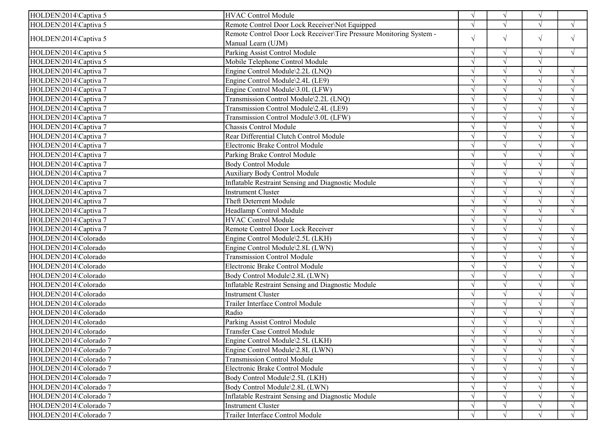| HOLDEN\2014\Captiva 5  | <b>HVAC Control Module</b>                                          | $\sqrt{ }$    | $\sqrt{ }$ | $\sqrt{ }$ |                    |
|------------------------|---------------------------------------------------------------------|---------------|------------|------------|--------------------|
| HOLDEN\2014\Captiva 5  | Remote Control Door Lock Receiver\Not Equipped                      | $\sqrt{ }$    | $\sqrt{ }$ |            | $\sqrt{ }$         |
|                        | Remote Control Door Lock Receiver\Tire Pressure Monitoring System - | $\sqrt{ }$    |            | $\sqrt{ }$ |                    |
| HOLDEN\2014\Captiva 5  | Manual Learn (UJM)                                                  |               | $\sqrt{}$  |            | $\sqrt{ }$         |
| HOLDEN\2014\Captiva 5  | Parking Assist Control Module                                       | $\sqrt{ }$    | $\sqrt{ }$ | $\sqrt{ }$ | $\sqrt{ }$         |
| HOLDEN\2014\Captiva 5  | Mobile Telephone Control Module                                     | $\sqrt{ }$    | $\sqrt{ }$ | $\sqrt{}$  |                    |
| HOLDEN\2014\Captiva 7  | Engine Control Module\2.2L (LNQ)                                    | $\sqrt{ }$    | $\sqrt{ }$ | $\sqrt{ }$ | $\sqrt{ }$         |
| HOLDEN\2014\Captiva 7  | Engine Control Module\2.4L (LE9)                                    |               | $\sqrt{ }$ |            | $\mathcal{L}$      |
| HOLDEN\2014\Captiva 7  | Engine Control Module\3.0L (LFW)                                    |               | $\sqrt{ }$ |            | $\mathcal{L}$      |
| HOLDEN\2014\Captiva 7  | Transmission Control Module\2.2L (LNQ)                              |               | $\sqrt{ }$ |            | $\mathcal{A}$      |
| HOLDEN\2014\Captiva 7  | Transmission Control Module\2.4L (LE9)                              |               | $\sqrt{ }$ |            | $\sqrt{ }$         |
| HOLDEN\2014\Captiva 7  | Transmission Control Module\3.0L (LFW)                              |               | $\sqrt{ }$ |            | $\mathcal{L}$      |
| HOLDEN\2014\Captiva 7  | Chassis Control Module                                              |               | $\sqrt{ }$ |            | $\mathcal{A}$      |
| HOLDEN\2014\Captiva 7  | Rear Differential Clutch Control Module                             | $\sqrt{ }$    | $\sqrt{ }$ |            | $\sqrt{ }$         |
| HOLDEN\2014\Captiva 7  | Electronic Brake Control Module                                     |               | $\sqrt{ }$ | $\sqrt{ }$ | $\mathcal{A}$      |
| HOLDEN\2014\Captiva 7  | Parking Brake Control Module                                        |               | $\sqrt{ }$ | $\sqrt{ }$ | $\sqrt{ }$         |
| HOLDEN\2014\Captiva 7  | <b>Body Control Module</b>                                          |               | $\sqrt{ }$ |            |                    |
| HOLDEN\2014\Captiva 7  | <b>Auxiliary Body Control Module</b>                                |               | $\sqrt{ }$ |            | $\mathcal{A}$      |
| HOLDEN\2014\Captiva 7  | Inflatable Restraint Sensing and Diagnostic Module                  |               | $\sqrt{ }$ |            |                    |
| HOLDEN\2014\Captiva 7  | <b>Instrument Cluster</b>                                           |               | $\sqrt{ }$ | $\sqrt{}$  | $\mathcal{L}$      |
| HOLDEN\2014\Captiva 7  | Theft Deterrent Module                                              |               |            |            |                    |
| HOLDEN\2014\Captiva 7  | Headlamp Control Module                                             |               |            |            | $\sqrt{ }$         |
| HOLDEN\2014\Captiva 7  | <b>HVAC Control Module</b>                                          |               | $\sqrt{ }$ |            |                    |
| HOLDEN\2014\Captiva 7  | Remote Control Door Lock Receiver                                   |               | $\sqrt{ }$ | $\sqrt{}$  | $\sqrt{ }$         |
| HOLDEN\2014\Colorado   | Engine Control Module\2.5L (LKH)                                    |               |            |            |                    |
| HOLDEN\2014\Colorado   | Engine Control Module\2.8L (LWN)                                    |               |            |            |                    |
| HOLDEN\2014\Colorado   | <b>Transmission Control Module</b>                                  |               | $\sqrt{ }$ |            | $\mathcal{L}$      |
| HOLDEN\2014\Colorado   | Electronic Brake Control Module                                     |               | $\sqrt{ }$ | $\sqrt{ }$ | $\sqrt{ }$         |
| HOLDEN\2014\Colorado   | Body Control Module\2.8L (LWN)                                      |               | $\sqrt{ }$ |            | $\mathbf{\hat{N}}$ |
| HOLDEN\2014\Colorado   | Inflatable Restraint Sensing and Diagnostic Module                  |               | $\sqrt{ }$ |            | $\sqrt{ }$         |
| HOLDEN\2014\Colorado   | <b>Instrument Cluster</b>                                           | $\sqrt{ }$    | $\sqrt{ }$ | $\sqrt{ }$ | $\sqrt{ }$         |
| HOLDEN\2014\Colorado   | Trailer Interface Control Module                                    | $\sqrt{ }$    | $\sqrt{ }$ | $\sqrt{ }$ | $\sqrt{ }$         |
| HOLDEN\2014\Colorado   | Radio                                                               |               | $\sqrt{ }$ |            | $\mathcal{L}$      |
| HOLDEN\2014\Colorado   | Parking Assist Control Module                                       |               | $\sqrt{ }$ |            | $\mathcal{A}$      |
| HOLDEN\2014\Colorado   | <b>Transfer Case Control Module</b>                                 | $\sqrt{ }$    | $\sqrt{ }$ |            |                    |
| HOLDEN\2014\Colorado 7 | Engine Control Module\2.5L (LKH)                                    | $\sqrt{ }$    | $\sqrt{ }$ | $\sqrt{}$  | $\sqrt{ }$         |
| HOLDEN\2014\Colorado 7 | Engine Control Module\2.8L (LWN)                                    |               | $\sqrt{ }$ |            | $\sqrt{ }$         |
| HOLDEN\2014\Colorado 7 | <b>Transmission Control Module</b>                                  |               | $\sqrt{ }$ |            | $\sqrt{ }$         |
| HOLDEN\2014\Colorado 7 | Electronic Brake Control Module                                     | $\sqrt{ }$    |            |            |                    |
| HOLDEN\2014\Colorado 7 | Body Control Module\2.5L (LKH)                                      | $\mathcal{N}$ |            |            |                    |
| HOLDEN\2014\Colorado 7 | Body Control Module\2.8L (LWN)                                      |               |            |            |                    |
| HOLDEN\2014\Colorado 7 | Inflatable Restraint Sensing and Diagnostic Module                  |               |            |            |                    |
| HOLDEN\2014\Colorado 7 | <b>Instrument Cluster</b>                                           |               | $\sqrt{ }$ |            | $\sqrt{ }$         |
| HOLDEN\2014\Colorado 7 | Trailer Interface Control Module                                    |               | $\sqrt{ }$ |            | $\sqrt{ }$         |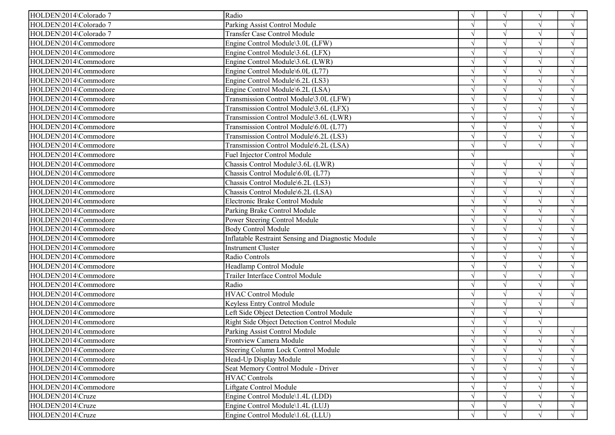| HOLDEN\2014\Colorado 7<br>Parking Assist Control Module<br>$\gamma$<br>$\sqrt{ }$<br>$\sqrt{ }$<br>HOLDEN\2014\Colorado 7<br><b>Transfer Case Control Module</b><br>$\sqrt{ }$<br>$\sqrt{ }$<br>$\gamma$<br>HOLDEN\2014\Commodore<br>$\sqrt{ }$<br>Engine Control Module\3.0L (LFW)<br>$\sqrt{ }$<br>$\sqrt{}$<br>$\sqrt{ }$<br>$\sqrt{ }$<br>HOLDEN\2014\Commodore<br>$\sqrt{ }$<br>Engine Control Module\3.6L (LFX)<br>HOLDEN\2014\Commodore<br>Engine Control Module\3.6L (LWR)<br>$\sqrt{}$<br>$\sqrt{ }$<br>HOLDEN\2014\Commodore<br>Engine Control Module\6.0L (L77)<br>$\sqrt{ }$<br>$\sqrt{ }$<br>$\gamma$<br>HOLDEN\2014\Commodore<br>$\sqrt{ }$<br>Engine Control Module\6.2L (LS3)<br>$\sqrt{ }$<br>$\sqrt{ }$<br>HOLDEN\2014\Commodore<br>Engine Control Module\6.2L (LSA)<br>$\sqrt{ }$<br>HOLDEN\2014\Commodore<br>Transmission Control Module\3.0L (LFW)<br>$\sqrt{ }$<br>$\sim$<br>$\sqrt{ }$ |
|---------------------------------------------------------------------------------------------------------------------------------------------------------------------------------------------------------------------------------------------------------------------------------------------------------------------------------------------------------------------------------------------------------------------------------------------------------------------------------------------------------------------------------------------------------------------------------------------------------------------------------------------------------------------------------------------------------------------------------------------------------------------------------------------------------------------------------------------------------------------------------------------------------------|
|                                                                                                                                                                                                                                                                                                                                                                                                                                                                                                                                                                                                                                                                                                                                                                                                                                                                                                               |
|                                                                                                                                                                                                                                                                                                                                                                                                                                                                                                                                                                                                                                                                                                                                                                                                                                                                                                               |
|                                                                                                                                                                                                                                                                                                                                                                                                                                                                                                                                                                                                                                                                                                                                                                                                                                                                                                               |
|                                                                                                                                                                                                                                                                                                                                                                                                                                                                                                                                                                                                                                                                                                                                                                                                                                                                                                               |
|                                                                                                                                                                                                                                                                                                                                                                                                                                                                                                                                                                                                                                                                                                                                                                                                                                                                                                               |
|                                                                                                                                                                                                                                                                                                                                                                                                                                                                                                                                                                                                                                                                                                                                                                                                                                                                                                               |
|                                                                                                                                                                                                                                                                                                                                                                                                                                                                                                                                                                                                                                                                                                                                                                                                                                                                                                               |
|                                                                                                                                                                                                                                                                                                                                                                                                                                                                                                                                                                                                                                                                                                                                                                                                                                                                                                               |
|                                                                                                                                                                                                                                                                                                                                                                                                                                                                                                                                                                                                                                                                                                                                                                                                                                                                                                               |
| HOLDEN\2014\Commodore<br>Transmission Control Module\3.6L (LFX)<br>$\sqrt{ }$<br>$\gamma$<br>$\sqrt{ }$                                                                                                                                                                                                                                                                                                                                                                                                                                                                                                                                                                                                                                                                                                                                                                                                       |
| HOLDEN\2014\Commodore<br>$\sqrt{ }$<br>Transmission Control Module\3.6L (LWR)<br>$\sqrt{ }$<br>$\sqrt{}$                                                                                                                                                                                                                                                                                                                                                                                                                                                                                                                                                                                                                                                                                                                                                                                                      |
| HOLDEN\2014\Commodore<br>Transmission Control Module\6.0L (L77)<br>$\sqrt{ }$<br>$\sqrt{ }$<br>$\sqrt{ }$                                                                                                                                                                                                                                                                                                                                                                                                                                                                                                                                                                                                                                                                                                                                                                                                     |
| HOLDEN\2014\Commodore<br>Transmission Control Module\6.2L (LS3)<br>$\sqrt{ }$<br>$\sqrt{ }$<br>$\sqrt{ }$<br>$\gamma$                                                                                                                                                                                                                                                                                                                                                                                                                                                                                                                                                                                                                                                                                                                                                                                         |
| HOLDEN\2014\Commodore<br>Transmission Control Module\6.2L (LSA)<br>$\sqrt{ }$<br>$\sqrt{ }$<br>$\sqrt{ }$<br>$\mathcal{L}$                                                                                                                                                                                                                                                                                                                                                                                                                                                                                                                                                                                                                                                                                                                                                                                    |
| HOLDEN\2014\Commodore<br>Fuel Injector Control Module<br>$\mathbf{v}$<br>$\sqrt{ }$                                                                                                                                                                                                                                                                                                                                                                                                                                                                                                                                                                                                                                                                                                                                                                                                                           |
| HOLDEN\2014\Commodore<br>Chassis Control Module\3.6L (LWR)<br>$\sqrt{ }$<br>$\sqrt{ }$<br>$\sqrt{ }$                                                                                                                                                                                                                                                                                                                                                                                                                                                                                                                                                                                                                                                                                                                                                                                                          |
| HOLDEN\2014\Commodore<br>Chassis Control Module\6.0L (L77)<br>$\sqrt{ }$<br>$\sqrt{ }$<br>$\sqrt{ }$                                                                                                                                                                                                                                                                                                                                                                                                                                                                                                                                                                                                                                                                                                                                                                                                          |
| HOLDEN\2014\Commodore<br>Chassis Control Module\6.2L (LS3)<br>$\sqrt{ }$<br>$\sqrt{ }$<br>$\gamma$                                                                                                                                                                                                                                                                                                                                                                                                                                                                                                                                                                                                                                                                                                                                                                                                            |
| HOLDEN\2014\Commodore<br>Chassis Control Module\6.2L (LSA)<br>$\sqrt{ }$<br>$\gamma$<br>$\sqrt{ }$                                                                                                                                                                                                                                                                                                                                                                                                                                                                                                                                                                                                                                                                                                                                                                                                            |
| $\sqrt{ }$<br>HOLDEN\2014\Commodore<br>Electronic Brake Control Module                                                                                                                                                                                                                                                                                                                                                                                                                                                                                                                                                                                                                                                                                                                                                                                                                                        |
| $\sqrt{ }$<br>HOLDEN\2014\Commodore<br>$\sqrt{ }$<br>$\sqrt{ }$<br>Parking Brake Control Module                                                                                                                                                                                                                                                                                                                                                                                                                                                                                                                                                                                                                                                                                                                                                                                                               |
| HOLDEN\2014\Commodore<br>Power Steering Control Module<br>$\sqrt{ }$<br>$\sqrt{ }$                                                                                                                                                                                                                                                                                                                                                                                                                                                                                                                                                                                                                                                                                                                                                                                                                            |
| HOLDEN\2014\Commodore<br><b>Body Control Module</b><br>$\sqrt{ }$<br>$\sim$<br>$\sqrt{ }$                                                                                                                                                                                                                                                                                                                                                                                                                                                                                                                                                                                                                                                                                                                                                                                                                     |
| HOLDEN\2014\Commodore<br>Inflatable Restraint Sensing and Diagnostic Module                                                                                                                                                                                                                                                                                                                                                                                                                                                                                                                                                                                                                                                                                                                                                                                                                                   |
| HOLDEN\2014\Commodore<br>Instrument Cluster                                                                                                                                                                                                                                                                                                                                                                                                                                                                                                                                                                                                                                                                                                                                                                                                                                                                   |
| HOLDEN\2014\Commodore<br>Radio Controls<br>$\sqrt{ }$<br>$\mathcal{L}$                                                                                                                                                                                                                                                                                                                                                                                                                                                                                                                                                                                                                                                                                                                                                                                                                                        |
| HOLDEN\2014\Commodore<br>Headlamp Control Module<br>$\sqrt{ }$<br>$\sqrt{ }$<br>$\gamma$                                                                                                                                                                                                                                                                                                                                                                                                                                                                                                                                                                                                                                                                                                                                                                                                                      |
| HOLDEN\2014\Commodore<br>Trailer Interface Control Module<br>$\sqrt{ }$<br>$\sqrt{ }$                                                                                                                                                                                                                                                                                                                                                                                                                                                                                                                                                                                                                                                                                                                                                                                                                         |
| Radio<br>HOLDEN\2014\Commodore<br>$\sqrt{ }$<br>$\sqrt{ }$<br>$\sqrt{ }$                                                                                                                                                                                                                                                                                                                                                                                                                                                                                                                                                                                                                                                                                                                                                                                                                                      |
| HOLDEN\2014\Commodore<br><b>HVAC Control Module</b><br>$\sqrt{}$<br>$\sqrt{ }$<br>$\sqrt{ }$<br>$\mathcal{L}$                                                                                                                                                                                                                                                                                                                                                                                                                                                                                                                                                                                                                                                                                                                                                                                                 |
| HOLDEN\2014\Commodore<br>$\sqrt{ }$<br>Keyless Entry Control Module<br>$\sqrt{ }$<br>$\Delta$<br>$\gamma$                                                                                                                                                                                                                                                                                                                                                                                                                                                                                                                                                                                                                                                                                                                                                                                                     |
| HOLDEN\2014\Commodore<br>$\sqrt{ }$<br>Left Side Object Detection Control Module<br>$\gamma$                                                                                                                                                                                                                                                                                                                                                                                                                                                                                                                                                                                                                                                                                                                                                                                                                  |
| Right Side Object Detection Control Module<br>HOLDEN\2014\Commodore<br>$\sqrt{ }$                                                                                                                                                                                                                                                                                                                                                                                                                                                                                                                                                                                                                                                                                                                                                                                                                             |
| HOLDEN\2014\Commodore<br>Parking Assist Control Module<br>$\sqrt{ }$<br>$\sqrt{ }$                                                                                                                                                                                                                                                                                                                                                                                                                                                                                                                                                                                                                                                                                                                                                                                                                            |
| HOLDEN\2014\Commodore<br>Frontview Camera Module<br>$\sqrt{ }$<br>$\sqrt{ }$<br>$\sqrt{ }$<br>$\sqrt{ }$                                                                                                                                                                                                                                                                                                                                                                                                                                                                                                                                                                                                                                                                                                                                                                                                      |
| HOLDEN\2014\Commodore<br>Steering Column Lock Control Module<br>$\sqrt{ }$                                                                                                                                                                                                                                                                                                                                                                                                                                                                                                                                                                                                                                                                                                                                                                                                                                    |
| HOLDEN\2014\Commodore<br>Head-Up Display Module<br>$\sqrt{ }$                                                                                                                                                                                                                                                                                                                                                                                                                                                                                                                                                                                                                                                                                                                                                                                                                                                 |
| HOLDEN\2014\Commodore<br>Seat Memory Control Module - Driver<br>$\sqrt{ }$<br>$\sqrt{ }$<br>$\sqrt{}$                                                                                                                                                                                                                                                                                                                                                                                                                                                                                                                                                                                                                                                                                                                                                                                                         |
| HOLDEN\2014\Commodore<br><b>HVAC Controls</b><br>$\sqrt{ }$<br>$\sqrt{ }$<br>$\mathcal{L}$                                                                                                                                                                                                                                                                                                                                                                                                                                                                                                                                                                                                                                                                                                                                                                                                                    |
| HOLDEN\2014\Commodore<br>Liftgate Control Module                                                                                                                                                                                                                                                                                                                                                                                                                                                                                                                                                                                                                                                                                                                                                                                                                                                              |
| HOLDEN\2014\Cruze<br>Engine Control Module\1.4L (LDD)<br>$\sqrt{ }$                                                                                                                                                                                                                                                                                                                                                                                                                                                                                                                                                                                                                                                                                                                                                                                                                                           |
| HOLDEN\2014\Cruze<br>Engine Control Module\1.4L (LUJ)<br>$\sqrt{ }$<br>$\sqrt{ }$<br>$\sqrt{ }$                                                                                                                                                                                                                                                                                                                                                                                                                                                                                                                                                                                                                                                                                                                                                                                                               |
| HOLDEN\2014\Cruze<br>Engine Control Module\1.6L (LLU)<br>$\sqrt{ }$<br>$\sqrt{ }$<br>$\sqrt{ }$                                                                                                                                                                                                                                                                                                                                                                                                                                                                                                                                                                                                                                                                                                                                                                                                               |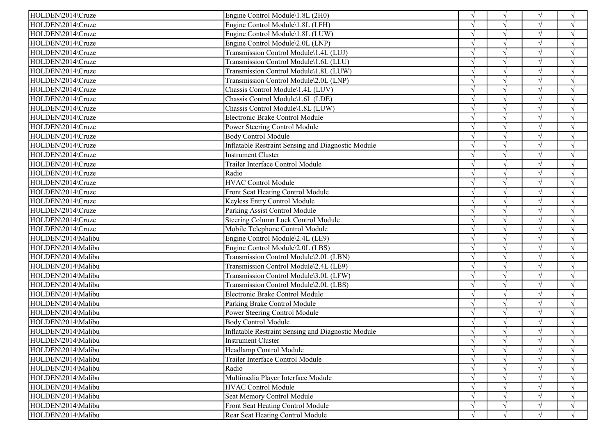| HOLDEN\2014\Cruze  | Engine Control Module\1.8L (2H0)                          |               | $\sqrt{ }$ | $\sqrt{ }$ | $\sqrt{ }$ |
|--------------------|-----------------------------------------------------------|---------------|------------|------------|------------|
| HOLDEN\2014\Cruze  | Engine Control Module\1.8L (LFH)                          |               | $\sqrt{ }$ |            | $\sqrt{ }$ |
| HOLDEN\2014\Cruze  | Engine Control Module\1.8L (LUW)                          |               | $\sqrt{ }$ | $\sqrt{ }$ | $\sqrt{ }$ |
| HOLDEN\2014\Cruze  | Engine Control Module\2.0L (LNP)                          |               |            | $\sqrt{ }$ | $\sqrt{ }$ |
| HOLDEN\2014\Cruze  | Transmission Control Module\1.4L (LUJ)                    |               |            |            |            |
| HOLDEN\2014\Cruze  | Transmission Control Module\1.6L (LLU)                    |               |            | $\sqrt{ }$ | $\sqrt{ }$ |
| HOLDEN\2014\Cruze  | Transmission Control Module\1.8L (LUW)                    |               |            | $\sqrt{ }$ | $\sqrt{ }$ |
| HOLDEN\2014\Cruze  | Transmission Control Module\2.0L (LNP)                    |               | $\gamma$   | $\sqrt{ }$ | $\sqrt{ }$ |
| HOLDEN\2014\Cruze  | Chassis Control Module\1.4L (LUV)                         |               |            |            |            |
| HOLDEN\2014\Cruze  | Chassis Control Module\1.6L (LDE)                         |               |            |            |            |
| HOLDEN\2014\Cruze  | Chassis Control Module\1.8L (LUW)                         |               |            | $\sqrt{ }$ |            |
| HOLDEN\2014\Cruze  | Electronic Brake Control Module                           |               |            | $\sqrt{ }$ | $\sqrt{ }$ |
| HOLDEN\2014\Cruze  | Power Steering Control Module                             |               |            |            | $\sqrt{ }$ |
| HOLDEN\2014\Cruze  | <b>Body Control Module</b>                                |               | $\sqrt{ }$ | $\sqrt{ }$ | $\sqrt{ }$ |
| HOLDEN\2014\Cruze  | Inflatable Restraint Sensing and Diagnostic Module        | $\mathcal{L}$ | $\sim$     | $\sqrt{}$  | $\sqrt{ }$ |
| HOLDEN\2014\Cruze  | Instrument Cluster                                        | $\mathcal{L}$ | $\sqrt{ }$ | $\sqrt{ }$ | $\sqrt{ }$ |
| HOLDEN\2014\Cruze  | Trailer Interface Control Module                          |               | $\sqrt{ }$ | $\sqrt{ }$ | $\sqrt{ }$ |
| HOLDEN\2014\Cruze  | Radio                                                     |               | $\sqrt{ }$ |            |            |
| HOLDEN\2014\Cruze  | <b>HVAC Control Module</b>                                |               |            | $\sqrt{ }$ | $\sqrt{ }$ |
| HOLDEN\2014\Cruze  | Front Seat Heating Control Module                         |               | $\gamma$   | $\sqrt{ }$ | $\sqrt{ }$ |
| HOLDEN\2014\Cruze  | Keyless Entry Control Module                              |               |            | $\sqrt{ }$ | $\sqrt{}$  |
| HOLDEN\2014\Cruze  | Parking Assist Control Module                             |               | $\sqrt{ }$ |            |            |
| HOLDEN\2014\Cruze  | Steering Column Lock Control Module                       |               |            | $\sqrt{ }$ | $\sqrt{ }$ |
| HOLDEN\2014\Cruze  | Mobile Telephone Control Module                           | $\mathcal{L}$ | $\gamma$   | $\sqrt{ }$ | $\sqrt{ }$ |
| HOLDEN\2014\Malibu | Engine Control Module\2.4L (LE9)                          |               | $\sqrt{ }$ | $\sqrt{ }$ | $\sqrt{ }$ |
| HOLDEN\2014\Malibu | Engine Control Module\2.0L (LBS)                          |               | $\sqrt{ }$ |            |            |
| HOLDEN\2014\Malibu | Transmission Control Module\2.0L (LBN)                    |               | $\sqrt{ }$ | $\sqrt{ }$ | $\sqrt{ }$ |
| HOLDEN\2014\Malibu | Transmission Control Module\2.4L (LE9)                    |               | $\gamma$   | $\sqrt{ }$ | $\sqrt{ }$ |
| HOLDEN\2014\Malibu | Transmission Control Module\3.0L (LFW)                    |               | $\sqrt{ }$ | $\sqrt{ }$ | $\sqrt{ }$ |
| HOLDEN\2014\Malibu | Transmission Control Module\2.0L (LBS)                    |               |            |            | $\sqrt{ }$ |
| HOLDEN\2014\Malibu | Electronic Brake Control Module                           |               | $\sqrt{ }$ | $\sqrt{ }$ | $\sqrt{ }$ |
| HOLDEN\2014\Malibu | Parking Brake Control Module                              |               | $\sqrt{ }$ | $\sqrt{ }$ | $\sqrt{ }$ |
| HOLDEN\2014\Malibu | Power Steering Control Module                             |               | $\sqrt{ }$ | $\sqrt{ }$ | $\sqrt{ }$ |
| HOLDEN\2014\Malibu | <b>Body Control Module</b>                                |               |            |            |            |
| HOLDEN\2014\Malibu | <b>Inflatable Restraint Sensing and Diagnostic Module</b> |               | $\sqrt{ }$ | $\sqrt{ }$ |            |
| HOLDEN\2014\Malibu | <b>Instrument Cluster</b>                                 | $\sqrt{ }$    | $\sqrt{ }$ | V          | $\sqrt{ }$ |
| HOLDEN\2014\Malibu | Headlamp Control Module                                   | $\sqrt{ }$    |            |            | $\sqrt{ }$ |
| HOLDEN\2014\Malibu | Trailer Interface Control Module                          |               |            |            | $\sqrt{ }$ |
| HOLDEN\2014\Malibu | Radio                                                     |               |            |            | $\sqrt{ }$ |
| HOLDEN\2014\Malibu | Multimedia Player Interface Module                        | $\mathcal{L}$ |            | $\sqrt{ }$ | $\sqrt{ }$ |
| HOLDEN\2014\Malibu | <b>HVAC Control Module</b>                                | $\mathcal{L}$ |            | $\sqrt{ }$ | $\sqrt{ }$ |
| HOLDEN\2014\Malibu | Seat Memory Control Module                                |               |            |            | $\sqrt{ }$ |
| HOLDEN\2014\Malibu | <b>Front Seat Heating Control Module</b>                  | $\sqrt{ }$    | $\sqrt{ }$ | $\sqrt{ }$ | $\sqrt{ }$ |
| HOLDEN\2014\Malibu | Rear Seat Heating Control Module                          | $\sqrt{ }$    | $\sqrt{ }$ | $\sqrt{ }$ | $\sqrt{ }$ |
|                    |                                                           |               |            |            |            |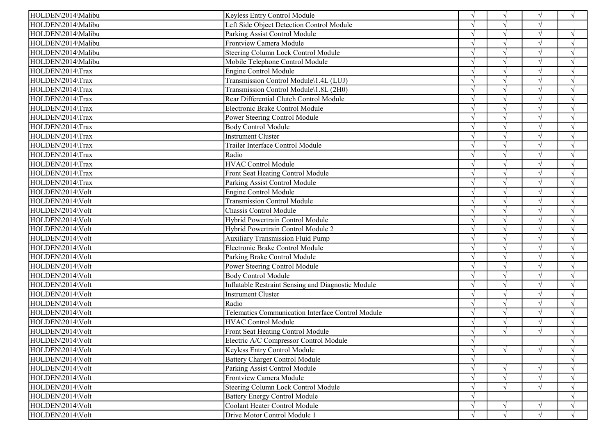| HOLDEN\2014\Malibu | Keyless Entry Control Module                       |               | $\sqrt{ }$    | $\sqrt{ }$ | $\sqrt{ }$    |
|--------------------|----------------------------------------------------|---------------|---------------|------------|---------------|
| HOLDEN\2014\Malibu | Left Side Object Detection Control Module          |               | $\gamma$      |            |               |
| HOLDEN\2014\Malibu | Parking Assist Control Module                      |               |               | $\sqrt{ }$ | $\sqrt{ }$    |
| HOLDEN\2014\Malibu | Frontview Camera Module                            |               |               |            | $\sqrt{ }$    |
| HOLDEN\2014\Malibu | Steering Column Lock Control Module                |               |               |            |               |
| HOLDEN\2014\Malibu | Mobile Telephone Control Module                    |               |               | $\sqrt{ }$ | $\sqrt{ }$    |
| HOLDEN\2014\Trax   | <b>Engine Control Module</b>                       |               |               | $\sqrt{ }$ | $\sqrt{ }$    |
| HOLDEN\2014\Trax   | Transmission Control Module\1.4L (LUJ)             |               |               | $\sqrt{ }$ | $\sqrt{ }$    |
| HOLDEN\2014\Trax   | Transmission Control Module\1.8L (2H0)             |               |               |            |               |
| HOLDEN\2014\Trax   | Rear Differential Clutch Control Module            |               |               |            |               |
| HOLDEN\2014\Trax   | Electronic Brake Control Module                    |               |               | $\gamma$   |               |
| HOLDEN\2014\Trax   | Power Steering Control Module                      |               |               |            | $\sqrt{ }$    |
| HOLDEN\2014\Trax   | <b>Body Control Module</b>                         |               |               |            | $\sqrt{ }$    |
| HOLDEN\2014\Trax   | <b>Instrument Cluster</b>                          |               | $\sqrt{2}$    | $\sqrt{ }$ | $\sqrt{ }$    |
| HOLDEN\2014\Trax   | Trailer Interface Control Module                   |               |               | $\sqrt{ }$ | $\sqrt{ }$    |
| HOLDEN\2014\Trax   | Radio                                              |               | $\mathcal{N}$ | $\sqrt{ }$ | $\sqrt{ }$    |
| HOLDEN\2014\Trax   | <b>HVAC Control Module</b>                         |               | $\sqrt{2}$    |            | $\sqrt{ }$    |
| HOLDEN\2014\Trax   | Front Seat Heating Control Module                  |               |               |            |               |
| HOLDEN\2014\Trax   | Parking Assist Control Module                      |               |               | $\sqrt{ }$ |               |
| HOLDEN\2014\Volt   | Engine Control Module                              |               |               | $\sqrt{ }$ | $\sqrt{ }$    |
| HOLDEN\2014\Volt   | <b>Transmission Control Module</b>                 |               |               |            | $\sqrt{ }$    |
| HOLDEN\2014\Volt   | Chassis Control Module                             |               |               |            |               |
| HOLDEN\2014\Volt   | Hybrid Powertrain Control Module                   |               |               | $\sqrt{ }$ | $\sqrt{ }$    |
| HOLDEN\2014\Volt   | Hybrid Powertrain Control Module 2                 |               | $\gamma$      | $\sqrt{ }$ | $\sqrt{ }$    |
| HOLDEN\2014\Volt   | <b>Auxiliary Transmission Fluid Pump</b>           |               | $\sqrt{2}$    | $\sqrt{ }$ | $\sqrt{ }$    |
| HOLDEN\2014\Volt   | Electronic Brake Control Module                    |               | $\sqrt{ }$    |            |               |
| HOLDEN\2014\Volt   | Parking Brake Control Module                       |               |               |            | $\mathcal{N}$ |
| HOLDEN\2014\Volt   | Power Steering Control Module                      |               | $\mathcal{A}$ | $\sqrt{ }$ | $\sqrt{ }$    |
| HOLDEN\2014\Volt   | <b>Body Control Module</b>                         |               |               | $\sqrt{ }$ | $\sqrt{ }$    |
| HOLDEN\2014\Volt   | Inflatable Restraint Sensing and Diagnostic Module |               |               |            | $\sqrt{ }$    |
| HOLDEN\2014\Volt   | <b>Instrument Cluster</b>                          |               |               | $\sqrt{ }$ | $\sqrt{ }$    |
| HOLDEN\2014\Volt   | Radio                                              |               | $\mathcal{N}$ | $\sqrt{ }$ | $\sqrt{ }$    |
| HOLDEN\2014\Volt   | Telematics Communication Interface Control Module  |               | $\gamma$      | $\sqrt{ }$ | $\sqrt{ }$    |
| HOLDEN\2014\Volt   | <b>HVAC Control Module</b>                         |               |               |            |               |
| HOLDEN\2014\Volt   | Front Seat Heating Control Module                  |               | $\sqrt{ }$    |            |               |
| HOLDEN\2014\Volt   | Electric A/C Compressor Control Module             | V             |               |            | $\sqrt{ }$    |
| HOLDEN\2014\Volt   | Keyless Entry Control Module                       | $\sqrt{ }$    | $\sqrt{ }$    | $\sqrt{ }$ | $\sqrt{ }$    |
| HOLDEN\2014\Volt   | <b>Battery Charger Control Module</b>              |               |               |            |               |
| HOLDEN\2014\Volt   | Parking Assist Control Module                      |               |               | $\sqrt{ }$ | $\sqrt{ }$    |
| HOLDEN\2014\Volt   | Frontview Camera Module                            |               |               | $\sqrt{ }$ |               |
| HOLDEN\2014\Volt   | Steering Column Lock Control Module                |               | $\sqrt{ }$    |            | $\sqrt{ }$    |
| HOLDEN\2014\Volt   | <b>Battery Energy Control Module</b>               |               |               |            |               |
| HOLDEN\2014\Volt   | Coolant Heater Control Module                      | $\mathcal{N}$ | $\sqrt{ }$    |            | $\sqrt{ }$    |
| HOLDEN\2014\Volt   | Drive Motor Control Module 1                       | $\mathcal{N}$ | $\sqrt{ }$    | $\sqrt{ }$ | $\sqrt{ }$    |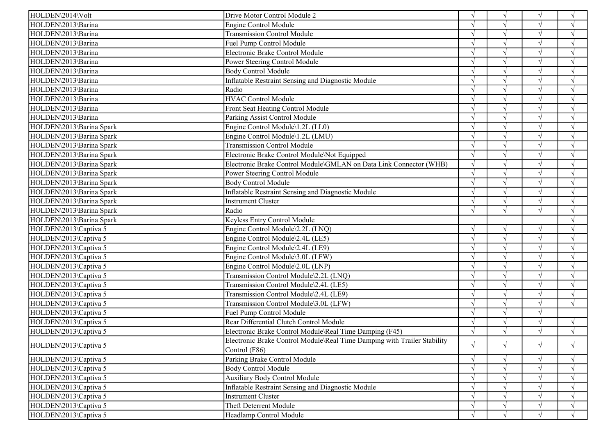| HOLDEN\2014\Volt         | Drive Motor Control Module 2                                             | $\sqrt{ }$    | $\sqrt{ }$    |            | $\sqrt{ }$         |
|--------------------------|--------------------------------------------------------------------------|---------------|---------------|------------|--------------------|
| HOLDEN\2013\Barina       | <b>Engine Control Module</b>                                             |               | $\sqrt{ }$    |            | $\sqrt{ }$         |
| HOLDEN\2013\Barina       | <b>Transmission Control Module</b>                                       |               | $\sqrt{ }$    |            | $\mathcal{A}$      |
| HOLDEN\2013\Barina       | Fuel Pump Control Module                                                 |               | $\sqrt{ }$    |            | $\mathcal{A}$      |
| HOLDEN\2013\Barina       | Electronic Brake Control Module                                          |               |               |            |                    |
| HOLDEN\2013\Barina       | Power Steering Control Module                                            |               | $\sqrt{ }$    |            | $\sqrt{ }$         |
| HOLDEN\2013\Barina       | <b>Body Control Module</b>                                               |               | $\sqrt{ }$    |            | $\gamma$           |
| HOLDEN\2013\Barina       | Inflatable Restraint Sensing and Diagnostic Module                       |               | $\sqrt{ }$    | $\sqrt{}$  | $\sqrt{ }$         |
| HOLDEN\2013\Barina       | Radio                                                                    |               |               |            |                    |
| HOLDEN\2013\Barina       | <b>HVAC Control Module</b>                                               |               |               |            |                    |
| HOLDEN\2013\Barina       | Front Seat Heating Control Module                                        |               | $\mathcal{L}$ |            |                    |
| HOLDEN\2013\Barina       | Parking Assist Control Module                                            |               | $\sqrt{ }$    | $\sqrt{}$  | $\sqrt{ }$         |
| HOLDEN\2013\Barina Spark | Engine Control Module\1.2L (LL0)                                         |               | $\sqrt{ }$    |            | $\mathbf{\hat{N}}$ |
| HOLDEN\2013\Barina Spark | Engine Control Module\1.2L (LMU)                                         |               | $\sqrt{ }$    |            | $\sqrt{ }$         |
| HOLDEN\2013\Barina Spark | <b>Transmission Control Module</b>                                       | $\sqrt{ }$    | $\sqrt{ }$    | $\sqrt{ }$ | $\sqrt{ }$         |
| HOLDEN\2013\Barina Spark | Electronic Brake Control Module\Not Equipped                             | $\sqrt{ }$    | $\sqrt{ }$    | $\sqrt{ }$ | $\sqrt{ }$         |
| HOLDEN\2013\Barina Spark | Electronic Brake Control Module\GMLAN on Data Link Connector (WHB)       | $\sqrt{ }$    | $\sqrt{ }$    |            | $\mathcal{L}$      |
| HOLDEN\2013\Barina Spark | Power Steering Control Module                                            |               | $\sqrt{}$     |            | $\sqrt{ }$         |
| HOLDEN\2013\Barina Spark | <b>Body Control Module</b>                                               | $\sqrt{ }$    | $\sqrt{ }$    | $\sqrt{ }$ | $\mathcal{A}$      |
| HOLDEN\2013\Barina Spark | <b>Inflatable Restraint Sensing and Diagnostic Module</b>                |               | $\sqrt{ }$    | $\sqrt{}$  | $\sqrt{ }$         |
| HOLDEN\2013\Barina Spark | <b>Instrument Cluster</b>                                                |               | $\sqrt{ }$    | $\sqrt{ }$ | $\mathbf{\hat{N}}$ |
| HOLDEN\2013\Barina Spark | Radio                                                                    |               | $\sqrt{ }$    |            | $\sqrt{ }$         |
| HOLDEN\2013\Barina Spark | Keyless Entry Control Module                                             |               |               |            | $\sqrt{ }$         |
| HOLDEN\2013\Captiva 5    | Engine Control Module\2.2L (LNQ)                                         | $\sqrt{ }$    | $\sqrt{ }$    | $\sqrt{ }$ | $\mathcal{L}$      |
| HOLDEN\2013\Captiva 5    | Engine Control Module\2.4L (LE5)                                         |               | $\sqrt{ }$    | $\sqrt{}$  | $\mathcal{L}$      |
| HOLDEN\2013\Captiva 5    | Engine Control Module\2.4L (LE9)                                         |               | $\sqrt{ }$    |            | $\mathcal{L}$      |
| HOLDEN\2013\Captiva 5    | Engine Control Module\3.0L (LFW)                                         |               | $\sqrt{ }$    |            | $\sqrt{ }$         |
| HOLDEN\2013\Captiva 5    | Engine Control Module\2.0L (LNP)                                         |               | $\sqrt{ }$    | $\sqrt{ }$ | $\sqrt{ }$         |
| HOLDEN\2013\Captiva 5    | Transmission Control Module\2.2L (LNQ)                                   |               | $\sqrt{ }$    | $\sqrt{ }$ | $\gamma$           |
| HOLDEN\2013\Captiva 5    | Transmission Control Module\2.4L (LE5)                                   |               | $\sqrt{ }$    |            | $\sqrt{ }$         |
| HOLDEN\2013\Captiva 5    | Transmission Control Module\2.4L (LE9)                                   | $\sqrt{ }$    | $\sqrt{ }$    | $\sqrt{ }$ | $\sqrt{ }$         |
| HOLDEN\2013\Captiva 5    | Transmission Control Module\3.0L (LFW)                                   | $\mathcal{N}$ | $\sqrt{ }$    | $\sqrt{ }$ | $\sqrt{ }$         |
| HOLDEN\2013\Captiva 5    | Fuel Pump Control Module                                                 | $\sqrt{ }$    | $\sqrt{ }$    | $\sqrt{ }$ |                    |
| HOLDEN\2013\Captiva 5    | Rear Differential Clutch Control Module                                  |               | $\sqrt{ }$    |            | $\mathcal{L}$      |
| HOLDEN\2013\Captiva 5    | Electronic Brake Control Module\Real Time Damping (F45)                  |               | $\sqrt{}$     |            | $\sqrt{ }$         |
|                          | Electronic Brake Control Module\Real Time Damping with Trailer Stability |               |               |            |                    |
| HOLDEN\2013\Captiva 5    | Control (F86)                                                            | $\sqrt{ }$    | $\sqrt{ }$    | $\sqrt{}$  | $\sqrt{ }$         |
| HOLDEN\2013\Captiva 5    | Parking Brake Control Module                                             | $\sqrt{ }$    | $\sqrt{ }$    | $\sqrt{ }$ | $\sqrt{ }$         |
| HOLDEN\2013\Captiva 5    | <b>Body Control Module</b>                                               | $\sqrt{ }$    |               |            | $\sqrt{ }$         |
| HOLDEN\2013\Captiva 5    | <b>Auxiliary Body Control Module</b>                                     | V             |               |            |                    |
| HOLDEN\2013\Captiva 5    | <b>Inflatable Restraint Sensing and Diagnostic Module</b>                |               |               |            | $\mathcal{A}$      |
| HOLDEN\2013\Captiva 5    | <b>Instrument Cluster</b>                                                |               |               |            | $\gamma$           |
| HOLDEN\2013\Captiva 5    | <b>Theft Deterrent Module</b>                                            | V             | $\sqrt{ }$    | $\sqrt{ }$ | $\sqrt{ }$         |
| HOLDEN\2013\Captiva 5    | Headlamp Control Module                                                  | $\sqrt{ }$    | $\sqrt{ }$    |            | $\sqrt{ }$         |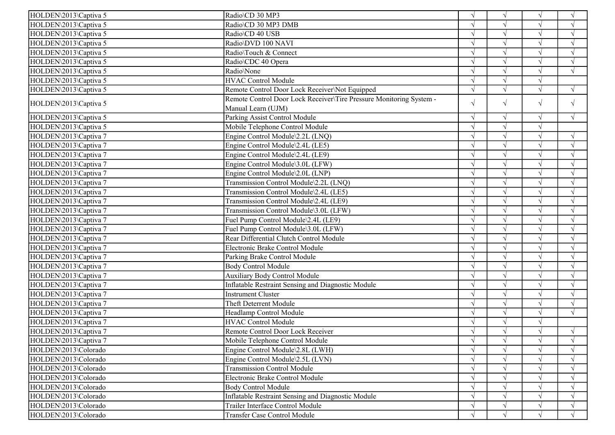| HOLDEN\2013\Captiva 5 | Radio\CD 30 MP3                                                     | $\sqrt{ }$    | $\sqrt{ }$ | $\sqrt{ }$ | $\sqrt{ }$         |
|-----------------------|---------------------------------------------------------------------|---------------|------------|------------|--------------------|
| HOLDEN\2013\Captiva 5 | Radio\CD 30 MP3 DMB                                                 | $\sqrt{ }$    | $\sqrt{ }$ |            | $\sqrt{ }$         |
| HOLDEN\2013\Captiva 5 | Radio\CD 40 USB                                                     | $\sqrt{ }$    | $\sqrt{ }$ | $\sqrt{ }$ | $\mathcal{A}$      |
| HOLDEN\2013\Captiva 5 | Radio\DVD 100 NAVI                                                  | $\sqrt{ }$    | $\sqrt{ }$ | $\sqrt{ }$ | $\sqrt{ }$         |
| HOLDEN\2013\Captiva 5 | Radio\Touch & Connect                                               |               | $\sqrt{ }$ | $\sqrt{}$  | $\mathbf{\hat{N}}$ |
| HOLDEN\2013\Captiva 5 | Radio\CDC 40 Opera                                                  |               | $\sqrt{ }$ |            | $\sqrt{ }$         |
| HOLDEN\2013\Captiva 5 | Radio\None                                                          | $\sqrt{ }$    | $\sqrt{ }$ | $\sqrt{ }$ | $\sqrt{ }$         |
| HOLDEN\2013\Captiva 5 | <b>HVAC Control Module</b>                                          | $\sqrt{ }$    | $\sqrt{ }$ | $\sqrt{ }$ |                    |
| HOLDEN\2013\Captiva 5 | Remote Control Door Lock Receiver\Not Equipped                      | $\sqrt{ }$    | $\sqrt{ }$ | $\sqrt{ }$ | $\sqrt{ }$         |
|                       | Remote Control Door Lock Receiver\Tire Pressure Monitoring System - |               |            |            |                    |
| HOLDEN\2013\Captiva 5 | Manual Learn (UJM)                                                  | $\sqrt{ }$    | $\sqrt{ }$ | $\sqrt{}$  | $\sqrt{ }$         |
| HOLDEN\2013\Captiva 5 | Parking Assist Control Module                                       | $\sqrt{ }$    | $\sqrt{ }$ | $\sqrt{}$  | $\sqrt{ }$         |
| HOLDEN\2013\Captiva 5 | Mobile Telephone Control Module                                     | $\sqrt{ }$    | $\sqrt{}$  | $\sqrt{ }$ |                    |
| HOLDEN\2013\Captiva 7 | Engine Control Module\2.2L (LNQ)                                    |               | $\sqrt{ }$ |            | $\sqrt{ }$         |
| HOLDEN\2013\Captiva 7 | Engine Control Module\2.4L (LE5)                                    | $\sqrt{ }$    | $\sqrt{ }$ | $\sqrt{ }$ | $\sqrt{ }$         |
| HOLDEN\2013\Captiva 7 | Engine Control Module\2.4L (LE9)                                    | $\mathcal{N}$ | $\sqrt{ }$ | $\sqrt{ }$ | $\mathcal{A}$      |
| HOLDEN\2013\Captiva 7 | Engine Control Module\3.0L (LFW)                                    | $\sqrt{ }$    | $\sqrt{ }$ | $\sqrt{ }$ | $\mathcal{L}$      |
| HOLDEN\2013\Captiva 7 | Engine Control Module\2.0L (LNP)                                    |               | $\sqrt{ }$ |            |                    |
| HOLDEN\2013\Captiva 7 | Transmission Control Module\2.2L (LNQ)                              | $\gamma$      | $\sqrt{ }$ |            | $\gamma$           |
| HOLDEN\2013\Captiva 7 | Transmission Control Module\2.4L (LE5)                              | $\gamma$      | $\sqrt{ }$ | $\sqrt{ }$ |                    |
| HOLDEN\2013\Captiva 7 | Transmission Control Module\2.4L (LE9)                              | $\sqrt{ }$    | $\sqrt{ }$ | $\sqrt{}$  | $\mathcal{L}$      |
| HOLDEN\2013\Captiva 7 | Transmission Control Module\3.0L (LFW)                              |               | $\sqrt{ }$ |            |                    |
| HOLDEN\2013\Captiva 7 | Fuel Pump Control Module\2.4L (LE9)                                 | V             | $\sqrt{ }$ |            | $\sqrt{ }$         |
| HOLDEN\2013\Captiva 7 | Fuel Pump Control Module\3.0L (LFW)                                 | $\sqrt{ }$    | $\sqrt{ }$ |            | $\mathcal{L}$      |
| HOLDEN\2013\Captiva 7 | Rear Differential Clutch Control Module                             |               | $\sqrt{ }$ | $\sqrt{}$  | $\Delta$           |
| HOLDEN\2013\Captiva 7 | Electronic Brake Control Module                                     |               |            |            |                    |
| HOLDEN\2013\Captiva 7 | Parking Brake Control Module                                        |               | $\sqrt{ }$ |            | $\mathcal{L}$      |
| HOLDEN\2013\Captiva 7 | <b>Body Control Module</b>                                          | $\sqrt{ }$    | $\sqrt{ }$ |            | $\mathcal{L}$      |
| HOLDEN\2013\Captiva 7 | <b>Auxiliary Body Control Module</b>                                | $\sqrt{ }$    | $\sqrt{ }$ | $\sqrt{ }$ | $\sqrt{ }$         |
| HOLDEN\2013\Captiva 7 | Inflatable Restraint Sensing and Diagnostic Module                  |               | $\sqrt{ }$ |            | $\mathcal{L}$      |
| HOLDEN\2013\Captiva 7 | <b>Instrument Cluster</b>                                           | $\sqrt{ }$    | $\sqrt{ }$ |            | $\sqrt{ }$         |
| HOLDEN\2013\Captiva 7 | Theft Deterrent Module                                              | $\sqrt{ }$    | $\sqrt{ }$ | $\sqrt{ }$ | $\sqrt{ }$         |
| HOLDEN\2013\Captiva 7 | Headlamp Control Module                                             | $\sqrt{ }$    | $\sqrt{ }$ | $\sqrt{}$  | $\sqrt{ }$         |
| HOLDEN\2013\Captiva 7 | <b>HVAC Control Module</b>                                          | $\sqrt{ }$    | $\sqrt{ }$ | $\sqrt{}$  |                    |
| HOLDEN\2013\Captiva 7 | Remote Control Door Lock Receiver                                   |               | $\sqrt{ }$ |            | $\sqrt{ }$         |
| HOLDEN\2013\Captiva 7 | Mobile Telephone Control Module                                     | $\sqrt{ }$    | $\sqrt{}$  | V          | $\sqrt{ }$         |
| HOLDEN\2013\Colorado  | Engine Control Module\2.8L (LWH)                                    | $\sqrt{ }$    | $\sqrt{ }$ |            | $\sqrt{ }$         |
| HOLDEN\2013\Colorado  | Engine Control Module\2.5L (LVN)                                    |               | $\sqrt{ }$ |            | $\sqrt{ }$         |
| HOLDEN\2013\Colorado  | <b>Transmission Control Module</b>                                  |               | $\sqrt{ }$ |            | $\sqrt{ }$         |
| HOLDEN\2013\Colorado  | Electronic Brake Control Module                                     | $\sqrt{ }$    |            |            | $\sqrt{ }$         |
| HOLDEN\2013\Colorado  | <b>Body Control Module</b>                                          | $\sqrt{ }$    |            |            |                    |
| HOLDEN\2013\Colorado  | Inflatable Restraint Sensing and Diagnostic Module                  | $\sqrt{ }$    |            |            |                    |
| HOLDEN\2013\Colorado  | Trailer Interface Control Module                                    |               | $\sqrt{ }$ |            |                    |
| HOLDEN\2013\Colorado  | Transfer Case Control Module                                        | $\sqrt{ }$    | $\sqrt{ }$ |            | $\sqrt{ }$         |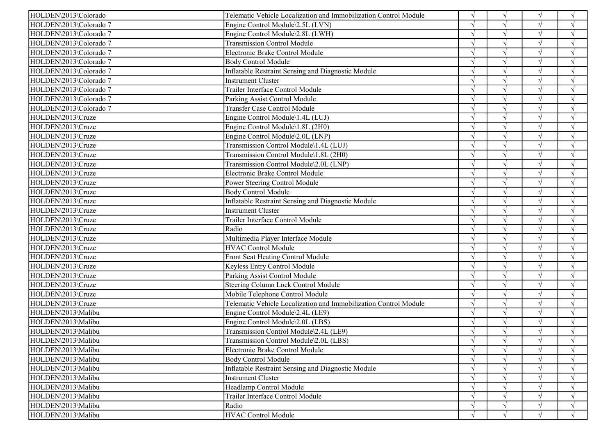| HOLDEN\2013\Colorado<br>Telematic Vehicle Localization and Immobilization Control Module |               | $\sqrt{ }$ |            | $\sqrt{ }$         |
|------------------------------------------------------------------------------------------|---------------|------------|------------|--------------------|
| HOLDEN\2013\Colorado 7<br>Engine Control Module\2.5L (LVN)                               |               | $\sqrt{ }$ |            | $\sqrt{ }$         |
| HOLDEN\2013\Colorado 7<br>Engine Control Module\2.8L (LWH)                               |               | $\sqrt{ }$ |            | $\sqrt{ }$         |
| HOLDEN\2013\Colorado 7<br><b>Transmission Control Module</b>                             |               | $\sqrt{ }$ |            | $\mathcal{A}$      |
| HOLDEN\2013\Colorado 7<br>Electronic Brake Control Module                                |               |            |            |                    |
| HOLDEN\2013\Colorado 7<br><b>Body Control Module</b>                                     |               | $\sqrt{ }$ |            | $\sqrt{ }$         |
| Inflatable Restraint Sensing and Diagnostic Module<br>HOLDEN\2013\Colorado 7             |               | $\sqrt{ }$ |            | $\mathcal{L}$      |
| HOLDEN\2013\Colorado 7<br>Instrument Cluster                                             |               | $\sqrt{ }$ |            | $\sqrt{ }$         |
| Trailer Interface Control Module<br>HOLDEN\2013\Colorado 7                               |               |            |            |                    |
| HOLDEN\2013\Colorado 7<br>Parking Assist Control Module                                  |               |            |            |                    |
| <b>Transfer Case Control Module</b><br>HOLDEN\2013\Colorado 7                            |               |            |            |                    |
| HOLDEN\2013\Cruze<br>Engine Control Module\1.4L (LUJ)                                    |               | $\sqrt{ }$ | $\sqrt{}$  | $\gamma$           |
| HOLDEN\2013\Cruze<br>Engine Control Module\1.8L (2H0)                                    |               | $\sqrt{ }$ |            | $\mathbf{\hat{N}}$ |
| HOLDEN\2013\Cruze<br>Engine Control Module\2.0L (LNP)                                    |               | $\sqrt{ }$ |            | $\sqrt{ }$         |
| HOLDEN\2013\Cruze<br>Transmission Control Module\1.4L (LUJ)                              |               | $\sqrt{ }$ |            | $\sqrt{ }$         |
| HOLDEN\2013\Cruze<br>Transmission Control Module\1.8L (2H0)                              | $\sqrt{ }$    | $\sqrt{ }$ | $\sqrt{ }$ | $\sqrt{ }$         |
| Transmission Control Module\2.0L (LNP)<br>HOLDEN\2013\Cruze                              |               | $\sqrt{ }$ |            | $\mathcal{L}$      |
| HOLDEN\2013\Cruze<br>Electronic Brake Control Module                                     |               | $\sqrt{ }$ |            | $\sqrt{ }$         |
| HOLDEN\2013\Cruze<br>Power Steering Control Module                                       |               | $\sqrt{ }$ |            | $\sqrt{ }$         |
| HOLDEN\2013\Cruze<br><b>Body Control Module</b>                                          |               | $\sqrt{ }$ | $\sqrt{ }$ | $\sqrt{ }$         |
| HOLDEN\2013\Cruze<br>Inflatable Restraint Sensing and Diagnostic Module                  |               | $\sqrt{ }$ |            | $\mathbf{v}$       |
| HOLDEN\2013\Cruze<br><b>Instrument Cluster</b>                                           |               | $\sqrt{ }$ |            | $\sqrt{ }$         |
| Trailer Interface Control Module<br>HOLDEN\2013\Cruze                                    |               | $\sqrt{ }$ | $\sqrt{ }$ | $\sqrt{ }$         |
| Radio<br>HOLDEN\2013\Cruze                                                               |               | $\sqrt{ }$ | $\sqrt{ }$ | $\sqrt{ }$         |
| Multimedia Player Interface Module<br>HOLDEN\2013\Cruze                                  |               | $\sqrt{ }$ |            | $\mathcal{L}$      |
| <b>HVAC Control Module</b><br>HOLDEN\2013\Cruze                                          |               | $\sqrt{ }$ |            | $\mathcal{L}$      |
| HOLDEN\2013\Cruze<br>Front Seat Heating Control Module                                   |               | $\sqrt{ }$ |            | $\sqrt{ }$         |
| HOLDEN\2013\Cruze<br>Keyless Entry Control Module                                        |               | $\sqrt{ }$ |            | $\sqrt{ }$         |
| HOLDEN\2013\Cruze<br>Parking Assist Control Module                                       |               | $\sqrt{ }$ | $\sqrt{ }$ | $\sqrt{ }$         |
| HOLDEN\2013\Cruze<br>Steering Column Lock Control Module                                 |               | $\sqrt{ }$ |            | $\sqrt{ }$         |
| HOLDEN\2013\Cruze<br>Mobile Telephone Control Module                                     | $\sqrt{ }$    | $\sqrt{ }$ |            | $\sqrt{ }$         |
| HOLDEN\2013\Cruze<br>Telematic Vehicle Localization and Immobilization Control Module    |               | $\sqrt{ }$ | $\sqrt{ }$ | $\sqrt{ }$         |
| HOLDEN\2013\Malibu<br>Engine Control Module\2.4L (LE9)                                   |               | $\sqrt{ }$ | $\sqrt{ }$ | $\sqrt{ }$         |
| HOLDEN\2013\Malibu<br>Engine Control Module\2.0L (LBS)                                   |               |            |            |                    |
| Transmission Control Module\2.4L (LE9)<br>HOLDEN\2013\Malibu                             |               | $\sqrt{ }$ |            |                    |
| HOLDEN\2013\Malibu<br>Transmission Control Module\2.0L (LBS)                             | $\sqrt{ }$    | $\sqrt{}$  | $\sqrt{ }$ | $\sqrt{ }$         |
| HOLDEN\2013\Malibu<br>Electronic Brake Control Module                                    | $\sqrt{ }$    | $\sqrt{ }$ |            | $\sqrt{ }$         |
| HOLDEN\2013\Malibu<br><b>Body Control Module</b>                                         |               |            |            |                    |
| HOLDEN\2013\Malibu<br>Inflatable Restraint Sensing and Diagnostic Module                 |               |            |            | $\sqrt{ }$         |
| HOLDEN\2013\Malibu<br><b>Instrument Cluster</b>                                          | $\mathcal{N}$ |            |            | $\gamma$           |
| Headlamp Control Module<br>HOLDEN\2013\Malibu                                            | $\sqrt{ }$    |            |            | $\sqrt{ }$         |
| HOLDEN\2013\Malibu<br>Trailer Interface Control Module                                   |               |            |            | $\sqrt{ }$         |
| HOLDEN\2013\Malibu<br>Radio                                                              | V             | $\sqrt{ }$ |            | $\sqrt{ }$         |
| HOLDEN\2013\Malibu<br><b>HVAC Control Module</b>                                         |               | $\sqrt{ }$ |            | $\sqrt{ }$         |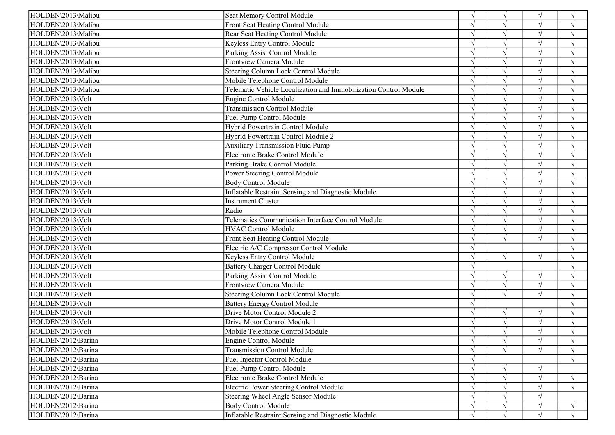| HOLDEN\2013\Malibu | Seat Memory Control Module                                       | $\sqrt{ }$    | $\sqrt{ }$ | $\sqrt{}$  | $\sqrt{ }$    |
|--------------------|------------------------------------------------------------------|---------------|------------|------------|---------------|
| HOLDEN\2013\Malibu | <b>Front Seat Heating Control Module</b>                         |               | $\sqrt{ }$ |            | $\sqrt{ }$    |
| HOLDEN\2013\Malibu | Rear Seat Heating Control Module                                 |               | $\gamma$   | $\sqrt{ }$ | $\sqrt{ }$    |
| HOLDEN\2013\Malibu | Keyless Entry Control Module                                     |               | $\gamma$   | $\sqrt{ }$ | $\sqrt{ }$    |
| HOLDEN\2013\Malibu | Parking Assist Control Module                                    |               |            | $\sqrt{ }$ | $\sqrt{ }$    |
| HOLDEN\2013\Malibu | Frontview Camera Module                                          |               | $\sqrt{ }$ | $\sqrt{ }$ | $\sqrt{}$     |
| HOLDEN\2013\Malibu | Steering Column Lock Control Module                              |               | $\sim$     | $\sqrt{ }$ | $\sqrt{ }$    |
| HOLDEN\2013\Malibu | Mobile Telephone Control Module                                  |               | $\gamma$   | $\sqrt{ }$ | $\sqrt{ }$    |
| HOLDEN\2013\Malibu | Telematic Vehicle Localization and Immobilization Control Module |               | $\gamma$   | $\sqrt{ }$ | $\sqrt{ }$    |
| HOLDEN\2013\Volt   | <b>Engine Control Module</b>                                     |               | $\sqrt{ }$ |            |               |
| HOLDEN\2013\Volt   | <b>Transmission Control Module</b>                               |               |            | $\sqrt{ }$ | $\sqrt{ }$    |
| HOLDEN\2013\Volt   | Fuel Pump Control Module                                         |               | $\gamma$   | $\sqrt{ }$ |               |
| HOLDEN\2013\Volt   | Hybrid Powertrain Control Module                                 |               | $\sqrt{ }$ | $\sqrt{ }$ | $\sqrt{ }$    |
| HOLDEN\2013\Volt   | Hybrid Powertrain Control Module 2                               |               |            | $\sqrt{ }$ | $\sqrt{ }$    |
| HOLDEN\2013\Volt   | <b>Auxiliary Transmission Fluid Pump</b>                         |               | $\sqrt{ }$ | $\sqrt{ }$ | $\sqrt{ }$    |
| HOLDEN\2013\Volt   | Electronic Brake Control Module                                  |               | $\sim$     | $\sqrt{ }$ | $\sqrt{ }$    |
| HOLDEN\2013\Volt   | Parking Brake Control Module                                     |               | $\sqrt{ }$ | $\sqrt{ }$ | $\sqrt{ }$    |
| HOLDEN\2013\Volt   | Power Steering Control Module                                    |               | $\gamma$   |            | $\sqrt{ }$    |
| HOLDEN\2013\Volt   | <b>Body Control Module</b>                                       |               | $\sqrt{ }$ | $\sqrt{ }$ | $\sqrt{ }$    |
| HOLDEN\2013\Volt   | <b>Inflatable Restraint Sensing and Diagnostic Module</b>        |               | $\gamma$   | $\sqrt{ }$ | $\mathcal{L}$ |
| HOLDEN\2013\Volt   | Instrument Cluster                                               |               | $\gamma$   | $\sqrt{ }$ | $\sqrt{ }$    |
| HOLDEN\2013\Volt   | Radio                                                            |               |            | $\sqrt{ }$ |               |
| HOLDEN\2013\Volt   | Telematics Communication Interface Control Module                |               | $\sqrt{ }$ | $\sqrt{ }$ | $\sqrt{ }$    |
| HOLDEN\2013\Volt   | <b>HVAC Control Module</b>                                       |               | $\gamma$   | $\sqrt{ }$ | $\sqrt{ }$    |
| HOLDEN\2013\Volt   | Front Seat Heating Control Module                                |               | $\sqrt{ }$ | $\sqrt{ }$ | $\sqrt{ }$    |
| HOLDEN\2013\Volt   | Electric A/C Compressor Control Module                           |               |            |            |               |
| HOLDEN\2013\Volt   | Keyless Entry Control Module                                     |               | $\sqrt{ }$ | $\sqrt{ }$ |               |
| HOLDEN\2013\Volt   | <b>Battery Charger Control Module</b>                            |               |            |            |               |
| HOLDEN\2013\Volt   | Parking Assist Control Module                                    | $\mathcal{L}$ | $\sqrt{ }$ | $\sqrt{}$  | $\sqrt{ }$    |
| HOLDEN\2013\Volt   | Frontview Camera Module                                          |               | $\sqrt{ }$ | $\sqrt{ }$ | $\sqrt{ }$    |
| HOLDEN\2013\Volt   | Steering Column Lock Control Module                              |               | $\sqrt{ }$ | $\sqrt{ }$ | $\sqrt{ }$    |
| HOLDEN\2013\Volt   | <b>Battery Energy Control Module</b>                             | $\mathcal{L}$ |            |            | $\sqrt{ }$    |
| HOLDEN\2013\Volt   | Drive Motor Control Module 2                                     | $\Delta$      | $\sqrt{ }$ | $\sqrt{}$  | $\sqrt{ }$    |
| HOLDEN\2013\Volt   | Drive Motor Control Module 1                                     |               | $\gamma$   | $\sqrt{ }$ |               |
| HOLDEN\2013\Volt   | Mobile Telephone Control Module                                  |               | $\sqrt{ }$ |            |               |
| HOLDEN\2012\Barina | Engine Control Module                                            | $\sqrt{ }$    | V          | V          | V             |
| HOLDEN\2012\Barina | <b>Transmission Control Module</b>                               | $\sqrt{ }$    | $\sqrt{ }$ | $\sqrt{ }$ | $\sqrt{ }$    |
| HOLDEN\2012\Barina | <b>Fuel Injector Control Module</b>                              |               |            |            | $\sqrt{ }$    |
| HOLDEN\2012\Barina | Fuel Pump Control Module                                         | $\gamma$      | $\sqrt{ }$ | $\sqrt{ }$ |               |
| HOLDEN\2012\Barina | Electronic Brake Control Module                                  |               |            | $\sqrt{}$  | $\sqrt{ }$    |
| HOLDEN\2012\Barina | <b>Electric Power Steering Control Module</b>                    |               |            | $\sqrt{ }$ | $\sqrt{ }$    |
| HOLDEN\2012\Barina | Steering Wheel Angle Sensor Module                               | $\mathcal{L}$ |            | $\sqrt{ }$ |               |
| HOLDEN\2012\Barina | <b>Body Control Module</b>                                       |               | $\sqrt{ }$ | $\sqrt{ }$ | $\sqrt{ }$    |
| HOLDEN\2012\Barina | Inflatable Restraint Sensing and Diagnostic Module               |               | $\sqrt{ }$ | $\sqrt{ }$ | $\sqrt{ }$    |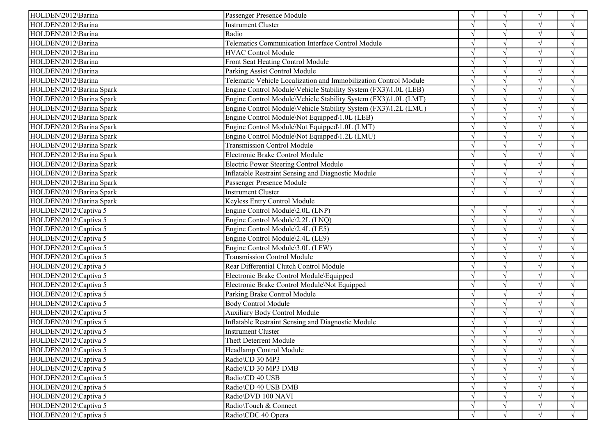| HOLDEN\2012\Barina       | Passenger Presence Module                                        | $\sqrt{ }$    | $\sqrt{ }$ |            | $\gamma$           |
|--------------------------|------------------------------------------------------------------|---------------|------------|------------|--------------------|
| HOLDEN\2012\Barina       | <b>Instrument Cluster</b>                                        |               | $\sqrt{ }$ |            | $\sqrt{ }$         |
| HOLDEN\2012\Barina       | Radio                                                            |               | $\sqrt{ }$ | $\sqrt{ }$ | $\gamma$           |
| HOLDEN\2012\Barina       | Telematics Communication Interface Control Module                |               | $\sqrt{ }$ |            | $\mathcal{A}$      |
| HOLDEN\2012\Barina       | <b>HVAC Control Module</b>                                       |               | $\sqrt{ }$ |            |                    |
| HOLDEN\2012\Barina       | Front Seat Heating Control Module                                |               | $\sqrt{ }$ |            | $\sqrt{ }$         |
| HOLDEN\2012\Barina       | Parking Assist Control Module                                    | $\mathcal{N}$ | $\sqrt{ }$ | $\sqrt{ }$ | $\gamma$           |
| HOLDEN\2012\Barina       | Telematic Vehicle Localization and Immobilization Control Module | $\sqrt{ }$    | $\sqrt{ }$ | $\sqrt{}$  | $\mathcal{L}$      |
| HOLDEN\2012\Barina Spark | Engine Control Module\Vehicle Stability System (FX3)\1.0L (LEB)  |               | $\sqrt{ }$ |            |                    |
| HOLDEN\2012\Barina Spark | Engine Control Module\Vehicle Stability System (FX3)\1.0L (LMT)  |               | $\sqrt{ }$ |            |                    |
| HOLDEN\2012\Barina Spark | Engine Control Module\Vehicle Stability System (FX3)\1.2L (LMU)  | $\mathcal{N}$ | $\sqrt{ }$ |            |                    |
| HOLDEN\2012\Barina Spark | Engine Control Module\Not Equipped\1.0L (LEB)                    |               | $\sqrt{ }$ | $\sqrt{ }$ | $\mathcal{A}$      |
| HOLDEN\2012\Barina Spark | Engine Control Module\Not Equipped\1.0L (LMT)                    |               | $\sqrt{ }$ |            | $\mathbf{\hat{N}}$ |
| HOLDEN\2012\Barina Spark | Engine Control Module\Not Equipped\1.2L (LMU)                    |               | $\sqrt{ }$ |            | $\sqrt{ }$         |
| HOLDEN\2012\Barina Spark | <b>Transmission Control Module</b>                               | $\sqrt{ }$    | $\sqrt{ }$ | $\sqrt{ }$ | $\sqrt{ }$         |
| HOLDEN\2012\Barina Spark | Electronic Brake Control Module                                  | $\sqrt{ }$    | $\sqrt{ }$ | $\sqrt{ }$ | $\sqrt{ }$         |
| HOLDEN\2012\Barina Spark | Electric Power Steering Control Module                           | $\sqrt{ }$    | $\sqrt{ }$ | $\sqrt{ }$ | $\mathcal{L}$      |
| HOLDEN\2012\Barina Spark | <b>Inflatable Restraint Sensing and Diagnostic Module</b>        |               | $\sqrt{}$  |            | $\sqrt{ }$         |
| HOLDEN\2012\Barina Spark | Passenger Presence Module                                        | $\sqrt{ }$    | $\sqrt{ }$ | $\sqrt{ }$ | $\mathcal{A}$      |
| HOLDEN\2012\Barina Spark | <b>Instrument Cluster</b>                                        | $\sqrt{ }$    | $\sqrt{ }$ | $\sqrt{ }$ | $\sqrt{ }$         |
| HOLDEN\2012\Barina Spark | Keyless Entry Control Module                                     |               |            |            |                    |
| HOLDEN\2012\Captiva 5    | Engine Control Module\2.0L (LNP)                                 | $\sqrt{ }$    | $\sqrt{ }$ | $\sqrt{ }$ | $\sqrt{ }$         |
| HOLDEN\2012\Captiva 5    | Engine Control Module\2.2L (LNQ)                                 | $\sqrt{ }$    | $\sqrt{ }$ | $\sqrt{ }$ | $\sqrt{ }$         |
| HOLDEN\2012\Captiva 5    | Engine Control Module\2.4L (LE5)                                 | $\sqrt{ }$    | $\sqrt{ }$ | $\sqrt{ }$ | $\sqrt{ }$         |
| HOLDEN\2012\Captiva 5    | Engine Control Module\2.4L (LE9)                                 |               | $\sqrt{ }$ | $\sqrt{}$  | $\mathcal{L}$      |
| HOLDEN\2012\Captiva 5    | Engine Control Module\3.0L (LFW)                                 |               | $\sqrt{ }$ |            | $\mathcal{L}$      |
| HOLDEN\2012\Captiva 5    | <b>Transmission Control Module</b>                               |               | $\sqrt{ }$ |            | $\gamma$           |
| HOLDEN\2012\Captiva 5    | Rear Differential Clutch Control Module                          | $\mathcal{A}$ | $\sqrt{ }$ |            | $\gamma$           |
| HOLDEN\2012\Captiva 5    | Electronic Brake Control Module\Equipped                         | $\sqrt{ }$    | $\sqrt{}$  | $\sqrt{ }$ | $\gamma$           |
| HOLDEN\2012\Captiva 5    | Electronic Brake Control Module\Not Equipped                     |               | $\sqrt{ }$ |            | $\mathcal{L}$      |
| HOLDEN\2012\Captiva 5    | Parking Brake Control Module                                     | $\sqrt{ }$    | $\sqrt{ }$ |            | $\sqrt{ }$         |
| HOLDEN\2012\Captiva 5    | <b>Body Control Module</b>                                       | $\mathcal{N}$ | $\sqrt{ }$ | $\sqrt{ }$ | $\gamma$           |
| HOLDEN\2012\Captiva 5    | <b>Auxiliary Body Control Module</b>                             | $\sqrt{ }$    | $\sqrt{ }$ | $\sqrt{ }$ | $\mathcal{L}$      |
| HOLDEN\2012\Captiva 5    | <b>Inflatable Restraint Sensing and Diagnostic Module</b>        |               | $\sqrt{ }$ |            |                    |
| HOLDEN\2012\Captiva 5    | <b>Instrument Cluster</b>                                        | $\sqrt{ }$    | $\sqrt{}$  |            |                    |
| HOLDEN\2012\Captiva 5    | Theft Deterrent Module                                           | $\sqrt{}$     | $\sqrt{}$  | V          | $\sqrt{ }$         |
| HOLDEN\2012\Captiva 5    | Headlamp Control Module                                          | $\sqrt{ }$    | $\sqrt{ }$ |            | $\sqrt{ }$         |
| HOLDEN\2012\Captiva 5    | Radio\CD 30 MP3                                                  |               |            |            |                    |
| HOLDEN\2012\Captiva 5    | Radio\CD 30 MP3 DMB                                              | $\sqrt{ }$    |            |            |                    |
| HOLDEN\2012\Captiva 5    | Radio\CD 40 USB                                                  | $\sqrt{ }$    |            |            |                    |
| HOLDEN\2012\Captiva 5    | Radio\CD 40 USB DMB                                              | $\sqrt{ }$    |            |            |                    |
| HOLDEN\2012\Captiva 5    | Radio\DVD 100 NAVI                                               | $\sqrt{ }$    | $\sqrt{ }$ |            |                    |
| HOLDEN\2012\Captiva 5    | Radio\Touch & Connect                                            | $\sqrt{}$     | $\sqrt{ }$ | $\sqrt{ }$ | $\sqrt{ }$         |
| HOLDEN\2012\Captiva 5    | Radio\CDC 40 Opera                                               | $\sqrt{ }$    | $\sqrt{ }$ |            | $\sqrt{ }$         |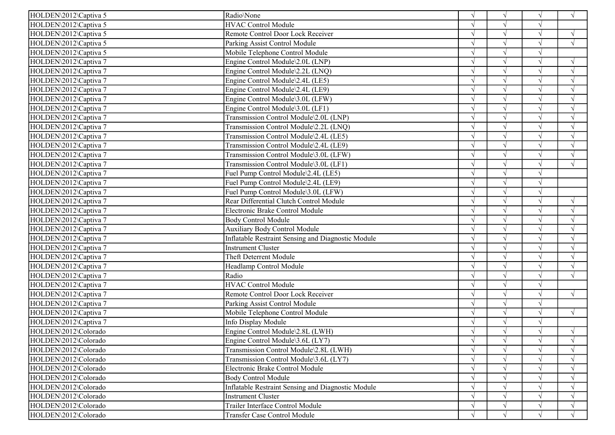| HOLDEN\2012\Captiva 5 | Radio\None                                                | $\sqrt{ }$ | $\sqrt{ }$    | $\sqrt{ }$    | $\sqrt{ }$ |
|-----------------------|-----------------------------------------------------------|------------|---------------|---------------|------------|
| HOLDEN\2012\Captiva 5 | <b>HVAC Control Module</b>                                |            |               |               |            |
| HOLDEN\2012\Captiva 5 | Remote Control Door Lock Receiver                         |            | À             | $\sqrt{ }$    | $\sqrt{ }$ |
| HOLDEN\2012\Captiva 5 | Parking Assist Control Module                             |            |               | $\sqrt{ }$    | $\sqrt{ }$ |
| HOLDEN\2012\Captiva 5 | Mobile Telephone Control Module                           | J          |               | $\sqrt{ }$    |            |
| HOLDEN\2012\Captiva 7 | Engine Control Module\2.0L (LNP)                          |            |               | $\sqrt{ }$    | $\sqrt{ }$ |
| HOLDEN\2012\Captiva 7 | Engine Control Module\2.2L (LNQ)                          | $\sqrt{ }$ | V             | $\sqrt{ }$    | $\sqrt{ }$ |
| HOLDEN\2012\Captiva 7 | Engine Control Module\2.4L (LE5)                          | $\sqrt{ }$ | $\sqrt{ }$    | $\sqrt{ }$    | $\sqrt{ }$ |
| HOLDEN\2012\Captiva 7 | Engine Control Module\2.4L (LE9)                          | $\sqrt{ }$ | $\sqrt{ }$    | $\sqrt{ }$    | $\sqrt{ }$ |
| HOLDEN\2012\Captiva 7 | Engine Control Module\3.0L (LFW)                          |            |               |               | $\sqrt{ }$ |
| HOLDEN\2012\Captiva 7 | Engine Control Module\3.0L (LF1)                          |            | ٦             |               | V          |
| HOLDEN\2012\Captiva 7 | Transmission Control Module\2.0L (LNP)                    |            | $\sqrt{ }$    |               | $\sqrt{ }$ |
| HOLDEN\2012\Captiva 7 | Transmission Control Module\2.2L (LNQ)                    | $\sqrt{ }$ | $\sqrt{ }$    | $\sqrt{ }$    | $\sqrt{ }$ |
| HOLDEN\2012\Captiva 7 | Transmission Control Module\2.4L (LE5)                    |            |               |               | $\sqrt{ }$ |
| HOLDEN\2012\Captiva 7 | Transmission Control Module\2.4L (LE9)                    | $\sqrt{ }$ |               | $\sqrt{ }$    | $\sqrt{ }$ |
| HOLDEN\2012\Captiva 7 | Transmission Control Module\3.0L (LFW)                    | N          | $\sqrt{ }$    | $\sqrt{ }$    | $\sqrt{ }$ |
| HOLDEN\2012\Captiva 7 | Transmission Control Module\3.0L (LF1)                    | $\sqrt{ }$ | $\sqrt{ }$    | $\sqrt{ }$    | $\sqrt{ }$ |
| HOLDEN\2012\Captiva 7 | Fuel Pump Control Module\2.4L (LE5)                       | $\sim$     | $\mathcal{L}$ |               |            |
| HOLDEN\2012\Captiva 7 | Fuel Pump Control Module\2.4L (LE9)                       |            |               | $\sqrt{ }$    |            |
| HOLDEN\2012\Captiva 7 | Fuel Pump Control Module\3.0L (LFW)                       |            | $\mathcal{L}$ | $\mathcal{N}$ |            |
| HOLDEN\2012\Captiva 7 | Rear Differential Clutch Control Module                   | $\sqrt{ }$ | $\sqrt{ }$    | $\sqrt{ }$    | $\sqrt{ }$ |
| HOLDEN\2012\Captiva 7 | Electronic Brake Control Module                           |            |               |               | $\sqrt{ }$ |
| HOLDEN\2012\Captiva 7 | <b>Body Control Module</b>                                |            |               | $\sqrt{ }$    | N          |
| HOLDEN\2012\Captiva 7 | <b>Auxiliary Body Control Module</b>                      |            |               | $\sqrt{ }$    | $\sqrt{ }$ |
| HOLDEN\2012\Captiva 7 | Inflatable Restraint Sensing and Diagnostic Module        | $\sqrt{ }$ | $\sqrt{ }$    | $\sqrt{ }$    | $\sqrt{ }$ |
| HOLDEN\2012\Captiva 7 | <b>Instrument Cluster</b>                                 |            |               |               |            |
| HOLDEN\2012\Captiva 7 | Theft Deterrent Module                                    |            |               |               | $\sqrt{ }$ |
| HOLDEN\2012\Captiva 7 | Headlamp Control Module                                   | $\gamma$   |               |               | $\sqrt{ }$ |
| HOLDEN\2012\Captiva 7 | Radio                                                     |            | $\sqrt{ }$    | $\sqrt{ }$    | $\sqrt{ }$ |
| HOLDEN\2012\Captiva 7 | <b>HVAC Control Module</b>                                | $\sqrt{ }$ |               |               |            |
| HOLDEN\2012\Captiva 7 | Remote Control Door Lock Receiver                         |            |               | $\sqrt{ }$    | $\sqrt{ }$ |
| HOLDEN\2012\Captiva 7 | Parking Assist Control Module                             | N          |               | $\sqrt{ }$    |            |
| HOLDEN\2012\Captiva 7 | Mobile Telephone Control Module                           |            |               | $\sqrt{ }$    | $\sqrt{ }$ |
| HOLDEN\2012\Captiva 7 | Info Display Module                                       | $\sqrt{ }$ |               |               |            |
| HOLDEN\2012\Colorado  | Engine Control Module\2.8L (LWH)                          |            |               |               | $\sqrt{ }$ |
| HOLDEN\2012\Colorado  | Engine Control Module\3.6L (LY7)                          | $\sqrt{ }$ | V             | $\sqrt{ }$    | $\sqrt{ }$ |
| HOLDEN\2012\Colorado  | Transmission Control Module\2.8L (LWH)                    | $\sqrt{ }$ |               |               | $\sqrt{ }$ |
| HOLDEN\2012\Colorado  | Transmission Control Module\3.6L (LY7)                    |            |               |               | $\sqrt{ }$ |
| HOLDEN\2012\Colorado  | Electronic Brake Control Module                           |            |               |               | $\sqrt{ }$ |
| HOLDEN\2012\Colorado  | <b>Body Control Module</b>                                |            |               |               | $\sqrt{ }$ |
| HOLDEN\2012\Colorado  | <b>Inflatable Restraint Sensing and Diagnostic Module</b> |            |               |               | $\sqrt{ }$ |
| HOLDEN\2012\Colorado  | <b>Instrument Cluster</b>                                 | $\sqrt{ }$ |               |               | $\sqrt{ }$ |
| HOLDEN\2012\Colorado  | Trailer Interface Control Module                          |            |               |               | $\sqrt{ }$ |
| HOLDEN\2012\Colorado  | Transfer Case Control Module                              |            |               |               | $\sqrt{ }$ |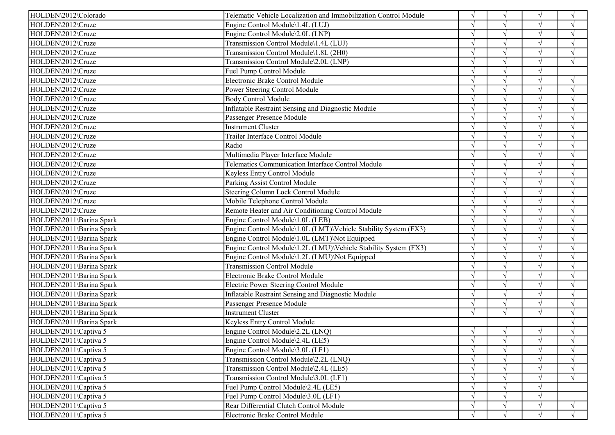| HOLDEN\2012\Colorado     | Telematic Vehicle Localization and Immobilization Control Module |               | $\sqrt{ }$ |               | $\sqrt{ }$    |
|--------------------------|------------------------------------------------------------------|---------------|------------|---------------|---------------|
| HOLDEN\2012\Cruze        | Engine Control Module\1.4L (LUJ)                                 |               |            |               | $\sqrt{ }$    |
| HOLDEN\2012\Cruze        | Engine Control Module\2.0L (LNP)                                 |               |            |               | $\sqrt{ }$    |
| HOLDEN\2012\Cruze        | Transmission Control Module\1.4L (LUJ)                           |               |            |               | $\sqrt{ }$    |
| HOLDEN\2012\Cruze        | Transmission Control Module\1.8L (2H0)                           |               |            |               |               |
| HOLDEN\2012\Cruze        | Transmission Control Module\2.0L (LNP)                           |               |            | $\sqrt{ }$    | $\sqrt{ }$    |
| HOLDEN\2012\Cruze        | Fuel Pump Control Module                                         |               |            | $\mathcal{N}$ |               |
| HOLDEN\2012\Cruze        | Electronic Brake Control Module                                  |               |            | $\sqrt{ }$    | $\sqrt{ }$    |
| HOLDEN\2012\Cruze        | Power Steering Control Module                                    |               |            |               | $\sqrt{ }$    |
| HOLDEN\2012\Cruze        | <b>Body Control Module</b>                                       |               |            |               | $\mathcal{L}$ |
| HOLDEN\2012\Cruze        | <b>Inflatable Restraint Sensing and Diagnostic Module</b>        |               |            |               |               |
| HOLDEN\2012\Cruze        | Passenger Presence Module                                        |               |            |               | $\sqrt{ }$    |
| HOLDEN\2012\Cruze        | <b>Instrument Cluster</b>                                        |               |            |               | $\sqrt{ }$    |
| HOLDEN\2012\Cruze        | Trailer Interface Control Module                                 |               |            | $\sqrt{ }$    | $\sqrt{ }$    |
| HOLDEN\2012\Cruze        | Radio                                                            | $\sqrt{ }$    |            | $\sqrt{ }$    | $\sqrt{ }$    |
| HOLDEN\2012\Cruze        | Multimedia Player Interface Module                               | $\sqrt{ }$    |            | $\sqrt{ }$    | $\sqrt{ }$    |
| HOLDEN\2012\Cruze        | Telematics Communication Interface Control Module                | $\sqrt{ }$    |            | $\sqrt{ }$    | $\sqrt{ }$    |
| HOLDEN\2012\Cruze        | Keyless Entry Control Module                                     |               |            |               | $\sqrt{ }$    |
| HOLDEN\2012\Cruze        | Parking Assist Control Module                                    |               |            | $\sqrt{ }$    | V             |
| HOLDEN\2012\Cruze        | Steering Column Lock Control Module                              |               |            | $\sqrt{ }$    | $\sqrt{ }$    |
| HOLDEN\2012\Cruze        | Mobile Telephone Control Module                                  |               |            | $\sqrt{ }$    | $\sqrt{ }$    |
| HOLDEN\2012\Cruze        | Remote Heater and Air Conditioning Control Module                |               |            |               | $\sqrt{ }$    |
| HOLDEN\2011\Barina Spark | Engine Control Module\1.0L (LEB)                                 | $\sqrt{ }$    |            | $\sqrt{}$     | $\sqrt{ }$    |
| HOLDEN\2011\Barina Spark | Engine Control Module\1.0L (LMT)\Vehicle Stability System (FX3)  | $\sqrt{ }$    | $\sqrt{ }$ | $\sqrt{ }$    | $\sqrt{ }$    |
| HOLDEN\2011\Barina Spark | Engine Control Module\1.0L (LMT)\Not Equipped                    | $\sqrt{ }$    | $\sqrt{ }$ | $\sqrt{}$     | $\sqrt{ }$    |
| HOLDEN\2011\Barina Spark | Engine Control Module\1.2L (LMU)\Vehicle Stability System (FX3)  |               |            |               | N             |
| HOLDEN\2011\Barina Spark | Engine Control Module\1.2L (LMU)\Not Equipped                    |               |            |               | N             |
| HOLDEN\2011\Barina Spark | <b>Transmission Control Module</b>                               |               |            |               | $\sqrt{ }$    |
| HOLDEN\2011\Barina Spark | Electronic Brake Control Module                                  |               | $\sqrt{ }$ | $\sqrt{ }$    | $\sqrt{ }$    |
| HOLDEN\2011\Barina Spark | Electric Power Steering Control Module                           |               |            |               | $\sqrt{ }$    |
| HOLDEN\2011\Barina Spark | <b>Inflatable Restraint Sensing and Diagnostic Module</b>        | $\sqrt{ }$    |            | $\sqrt{ }$    | $\sqrt{ }$    |
| HOLDEN\2011\Barina Spark | Passenger Presence Module                                        | $\mathcal{N}$ | $\sqrt{ }$ | $\sqrt{ }$    | $\sqrt{ }$    |
| HOLDEN\2011\Barina Spark | Instrument Cluster                                               | $\sqrt{ }$    | $\sqrt{ }$ |               | $\sqrt{ }$    |
| HOLDEN\2011\Barina Spark | Keyless Entry Control Module                                     |               |            |               |               |
| HOLDEN\2011\Captiva 5    | Engine Control Module\2.2L (LNQ)                                 | $\sqrt{ }$    | $\sqrt{ }$ | V             | $\sqrt{ }$    |
| HOLDEN\2011\Captiva 5    | Engine Control Module\2.4L (LE5)                                 | $\sqrt{ }$    | V          | V             | $\sqrt{ }$    |
| HOLDEN\2011\Captiva 5    | Engine Control Module\3.0L (LF1)                                 | $\sqrt{ }$    |            |               | $\sqrt{ }$    |
| HOLDEN\2011\Captiva 5    | Transmission Control Module\2.2L (LNQ)                           |               |            |               |               |
| HOLDEN\2011\Captiva 5    | Transmission Control Module\2.4L (LE5)                           | $\sqrt{ }$    |            |               |               |
| HOLDEN\2011\Captiva 5    | Transmission Control Module\3.0L (LF1)                           |               |            |               |               |
| HOLDEN\2011\Captiva 5    | Fuel Pump Control Module\2.4L (LE5)                              | $\sqrt{ }$    |            |               |               |
| HOLDEN\2011\Captiva 5    | Fuel Pump Control Module\3.0L (LF1)                              |               |            |               |               |
| HOLDEN\2011\Captiva 5    | Rear Differential Clutch Control Module                          | $\sqrt{ }$    | $\sqrt{ }$ | $\sqrt{ }$    | $\sqrt{ }$    |
| HOLDEN\2011\Captiva 5    | Electronic Brake Control Module                                  | V             | V          | $\mathcal{N}$ | $\sqrt{ }$    |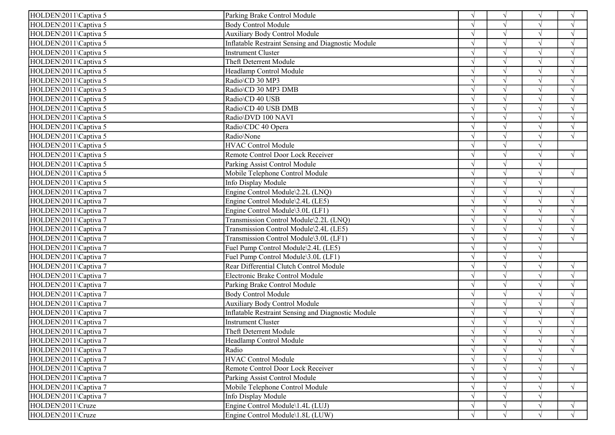| HOLDEN\2011\Captiva 5 | Parking Brake Control Module                              | $\sqrt{ }$    | $\sqrt{ }$         | $\sqrt{ }$ | $\sqrt{ }$    |
|-----------------------|-----------------------------------------------------------|---------------|--------------------|------------|---------------|
| HOLDEN\2011\Captiva 5 | <b>Body Control Module</b>                                |               | $\sqrt{ }$         |            | $\sqrt{ }$    |
| HOLDEN\2011\Captiva 5 | <b>Auxiliary Body Control Module</b>                      |               | $\sqrt{ }$         | $\sqrt{ }$ | $\sqrt{ }$    |
| HOLDEN\2011\Captiva 5 | Inflatable Restraint Sensing and Diagnostic Module        |               | $\gamma$           | $\sqrt{ }$ | $\sqrt{ }$    |
| HOLDEN\2011\Captiva 5 | <b>Instrument Cluster</b>                                 |               | $\mathbf{\hat{N}}$ | $\sqrt{ }$ | $\sqrt{ }$    |
| HOLDEN\2011\Captiva 5 | Theft Deterrent Module                                    |               | $\sqrt{ }$         | $\sqrt{ }$ | $\sqrt{ }$    |
| HOLDEN\2011\Captiva 5 | Headlamp Control Module                                   | $\mathcal{N}$ | $\sqrt{ }$         | $\sqrt{ }$ | $\sqrt{ }$    |
| HOLDEN\2011\Captiva 5 | Radio\CD 30 MP3                                           | $\mathcal{N}$ | $\sqrt{ }$         | $\sqrt{ }$ | $\sqrt{ }$    |
| HOLDEN\2011\Captiva 5 | Radio\CD 30 MP3 DMB                                       |               | $\mathbf{\hat{N}}$ | $\sqrt{ }$ | $\sqrt{ }$    |
| HOLDEN\2011\Captiva 5 | Radio\CD 40 USB                                           |               | $\sqrt{ }$         |            |               |
| HOLDEN\2011\Captiva 5 | Radio\CD 40 USB DMB                                       |               | $\gamma$           | $\sqrt{ }$ | $\mathcal{L}$ |
| HOLDEN\2011\Captiva 5 | Radio\DVD 100 NAVI                                        |               | $\gamma$           | $\sqrt{ }$ |               |
| HOLDEN\2011\Captiva 5 | Radio\CDC 40 Opera                                        |               | $\gamma$           | $\sqrt{ }$ | $\sqrt{ }$    |
| HOLDEN\2011\Captiva 5 | Radio\None                                                |               | $\mathcal{N}$      | $\sqrt{ }$ | $\sqrt{ }$    |
| HOLDEN\2011\Captiva 5 | <b>HVAC Control Module</b>                                | $\mathcal{N}$ | $\sqrt{ }$         | $\sqrt{ }$ |               |
| HOLDEN\2011\Captiva 5 | Remote Control Door Lock Receiver                         |               | $\sqrt{ }$         | $\sqrt{ }$ | $\sqrt{ }$    |
| HOLDEN\2011\Captiva 5 | Parking Assist Control Module                             |               | $\sqrt{ }$         | $\sqrt{}$  |               |
| HOLDEN\2011\Captiva 5 | Mobile Telephone Control Module                           |               | $\gamma$           | $\sqrt{ }$ | $\sqrt{ }$    |
| HOLDEN\2011\Captiva 5 | Info Display Module                                       |               | $\gamma$           | $\sqrt{ }$ |               |
| HOLDEN\2011\Captiva 7 | Engine Control Module\2.2L (LNQ)                          |               | $\mathcal{N}$      | $\sqrt{ }$ | $\sqrt{ }$    |
| HOLDEN\2011\Captiva 7 | Engine Control Module\2.4L (LE5)                          |               | $\sqrt{ }$         | $\sqrt{}$  | $\sqrt{ }$    |
| HOLDEN\2011\Captiva 7 | Engine Control Module\3.0L (LF1)                          |               |                    | $\sqrt{ }$ | $\sqrt{ }$    |
| HOLDEN\2011\Captiva 7 | Transmission Control Module\2.2L (LNQ)                    |               | $\sqrt{ }$         | $\sqrt{ }$ | $\sqrt{ }$    |
| HOLDEN\2011\Captiva 7 | Transmission Control Module\2.4L (LE5)                    |               | $\mathcal{N}$      | $\sqrt{ }$ | $\sqrt{ }$    |
| HOLDEN\2011\Captiva 7 | Transmission Control Module\3.0L (LF1)                    |               | $\mathcal{N}$      | $\sqrt{ }$ | $\sqrt{ }$    |
| HOLDEN\2011\Captiva 7 | Fuel Pump Control Module\2.4L (LE5)                       |               |                    |            |               |
| HOLDEN\2011\Captiva 7 | Fuel Pump Control Module\3.0L (LF1)                       |               | $\sqrt{ }$         | $\sqrt{ }$ |               |
| HOLDEN\2011\Captiva 7 | Rear Differential Clutch Control Module                   |               |                    | $\sqrt{ }$ | $\sqrt{ }$    |
| HOLDEN\2011\Captiva 7 | Electronic Brake Control Module                           | $\mathcal{N}$ | $\gamma$           | $\sqrt{ }$ | $\sqrt{ }$    |
| HOLDEN\2011\Captiva 7 | Parking Brake Control Module                              |               | $\sqrt{2}$         | $\sqrt{ }$ | $\sqrt{ }$    |
| HOLDEN\2011\Captiva 7 | <b>Body Control Module</b>                                |               | $\sqrt{ }$         | $\sqrt{ }$ | $\sqrt{ }$    |
| HOLDEN\2011\Captiva 7 | <b>Auxiliary Body Control Module</b>                      | $\sqrt{ }$    | $\sqrt{2}$         | $\sqrt{}$  | $\sqrt{ }$    |
| HOLDEN\2011\Captiva 7 | <b>Inflatable Restraint Sensing and Diagnostic Module</b> | $\sqrt{ }$    | $\sqrt{ }$         | $\sqrt{}$  | $\sqrt{ }$    |
| HOLDEN\2011\Captiva 7 | <b>Instrument Cluster</b>                                 |               | $\sqrt{ }$         | $\sqrt{ }$ |               |
| HOLDEN\2011\Captiva 7 | Theft Deterrent Module                                    |               | $\sqrt{ }$         |            |               |
| HOLDEN\2011\Captiva 7 | Headlamp Control Module                                   | $\sqrt{ }$    | V                  | V          | $\sqrt{ }$    |
| HOLDEN\2011\Captiva 7 | Radio                                                     | $\sqrt{ }$    |                    | $\sqrt{ }$ | $\sqrt{ }$    |
| HOLDEN\2011\Captiva 7 | <b>HVAC Control Module</b>                                |               |                    | $\sqrt{ }$ |               |
| HOLDEN\2011\Captiva 7 | Remote Control Door Lock Receiver                         |               | $\sqrt{ }$         | $\sqrt{ }$ | $\sqrt{ }$    |
| HOLDEN\2011\Captiva 7 | Parking Assist Control Module                             | $\mathcal{N}$ |                    | $\sqrt{ }$ |               |
| HOLDEN\2011\Captiva 7 | Mobile Telephone Control Module                           |               |                    | $\sqrt{ }$ | $\sqrt{ }$    |
| HOLDEN\2011\Captiva 7 | Info Display Module                                       | $\sqrt{ }$    |                    | $\sqrt{ }$ |               |
| HOLDEN\2011\Cruze     | Engine Control Module\1.4L (LUJ)                          |               | $\sqrt{ }$         | $\sqrt{ }$ | $\sqrt{ }$    |
| HOLDEN\2011\Cruze     | Engine Control Module\1.8L (LUW)                          | $\sqrt{ }$    | $\sqrt{ }$         | $\sqrt{ }$ | $\sqrt{ }$    |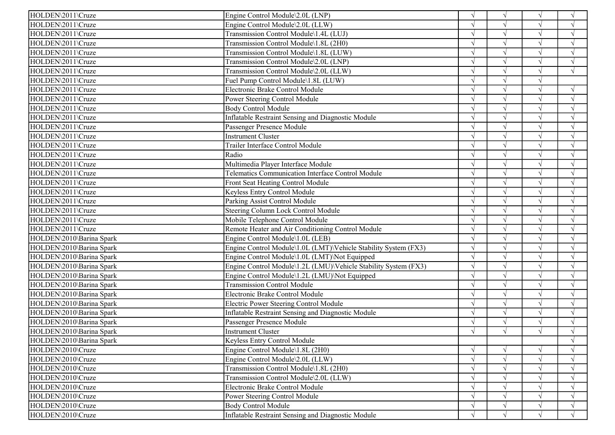| HOLDEN\2011\Cruze        | Engine Control Module\2.0L (LNP)                                |               | $\sqrt{ }$    |            | $\sqrt{ }$         |
|--------------------------|-----------------------------------------------------------------|---------------|---------------|------------|--------------------|
| HOLDEN\2011\Cruze        | Engine Control Module\2.0L (LLW)                                |               | $\sqrt{ }$    |            | $\sqrt{ }$         |
| HOLDEN\2011\Cruze        | Transmission Control Module\1.4L (LUJ)                          |               | $\sqrt{ }$    |            | $\gamma$           |
| HOLDEN\2011\Cruze        | Transmission Control Module\1.8L (2H0)                          |               | $\sqrt{ }$    |            | $\mathcal{A}$      |
| HOLDEN\2011\Cruze        | Transmission Control Module\1.8L (LUW)                          |               |               |            |                    |
| HOLDEN\2011\Cruze        | Transmission Control Module\2.0L (LNP)                          |               | $\sqrt{ }$    |            | $\sqrt{ }$         |
| HOLDEN\2011\Cruze        | Transmission Control Module\2.0L (LLW)                          |               | $\sqrt{ }$    |            | $\sqrt{ }$         |
| HOLDEN\2011\Cruze        | Fuel Pump Control Module\1.8L (LUW)                             |               | $\sqrt{ }$    |            |                    |
| HOLDEN\2011\Cruze        | Electronic Brake Control Module                                 |               |               |            |                    |
| HOLDEN\2011\Cruze        | Power Steering Control Module                                   |               |               |            |                    |
| HOLDEN\2011\Cruze        | <b>Body Control Module</b>                                      |               | $\mathcal{L}$ |            |                    |
| HOLDEN\2011\Cruze        | Inflatable Restraint Sensing and Diagnostic Module              |               | $\sqrt{ }$    | $\sqrt{}$  | $\gamma$           |
| HOLDEN\2011\Cruze        | Passenger Presence Module                                       |               | $\sqrt{ }$    |            | $\mathcal{L}$      |
| HOLDEN\2011\Cruze        | <b>Instrument Cluster</b>                                       |               | $\sqrt{ }$    |            | $\sqrt{ }$         |
| HOLDEN\2011\Cruze        | Trailer Interface Control Module                                |               | $\sqrt{ }$    | $\sqrt{ }$ | $\sqrt{ }$         |
| HOLDEN\2011\Cruze        | Radio                                                           | $\sqrt{ }$    | $\sqrt{ }$    | $\sqrt{ }$ | $\sqrt{ }$         |
| HOLDEN\2011\Cruze        | Multimedia Player Interface Module                              |               | $\sqrt{ }$    |            | $\mathcal{L}$      |
| HOLDEN\2011\Cruze        | Telematics Communication Interface Control Module               |               | $\sqrt{ }$    |            | $\sqrt{ }$         |
| HOLDEN\2011\Cruze        | Front Seat Heating Control Module                               |               | $\sqrt{ }$    | $\sqrt{ }$ | $\mathcal{A}$      |
| HOLDEN\2011\Cruze        | Keyless Entry Control Module                                    |               | $\sqrt{ }$    | $\sqrt{ }$ | $\gamma$           |
| HOLDEN\2011\Cruze        | Parking Assist Control Module                                   |               | $\sqrt{ }$    |            | $\mathbf{\hat{N}}$ |
| HOLDEN\2011\Cruze        | Steering Column Lock Control Module                             |               | $\sqrt{ }$    |            | $\sqrt{ }$         |
| HOLDEN\2011\Cruze        | Mobile Telephone Control Module                                 | $\sqrt{ }$    | $\sqrt{ }$    | $\sqrt{ }$ | $\sqrt{ }$         |
| HOLDEN\2011\Cruze        | Remote Heater and Air Conditioning Control Module               |               | $\sqrt{ }$    | $\sqrt{ }$ | $\mathcal{L}$      |
| HOLDEN\2010\Barina Spark | Engine Control Module\1.0L (LEB)                                |               | $\sqrt{ }$    |            | $\mathcal{L}$      |
| HOLDEN\2010\Barina Spark | Engine Control Module\1.0L (LMT)\Vehicle Stability System (FX3) |               | $\sqrt{ }$    |            | $\mathcal{L}$      |
| HOLDEN\2010\Barina Spark | Engine Control Module\1.0L (LMT)\Not Equipped                   |               | $\sqrt{ }$    |            | $\sqrt{ }$         |
| HOLDEN\2010\Barina Spark | Engine Control Module\1.2L (LMU)\Vehicle Stability System (FX3) |               | $\sqrt{ }$    |            | $\gamma$           |
| HOLDEN\2010\Barina Spark | Engine Control Module\1.2L (LMU)\Not Equipped                   |               | $\sqrt{ }$    | $\sqrt{ }$ | $\gamma$           |
| HOLDEN\2010\Barina Spark | <b>Transmission Control Module</b>                              |               | $\sqrt{ }$    |            | $\sqrt{ }$         |
| HOLDEN\2010\Barina Spark | Electronic Brake Control Module                                 | $\sqrt{ }$    | $\sqrt{ }$    | $\sqrt{ }$ | $\sqrt{ }$         |
| HOLDEN\2010\Barina Spark | Electric Power Steering Control Module                          |               | $\sqrt{ }$    | $\sqrt{ }$ | $\sqrt{ }$         |
| HOLDEN\2010\Barina Spark | Inflatable Restraint Sensing and Diagnostic Module              |               | $\sqrt{ }$    | $\sqrt{ }$ | $\sqrt{ }$         |
| HOLDEN\2010\Barina Spark | Passenger Presence Module                                       |               | $\mathcal{L}$ |            |                    |
| HOLDEN\2010\Barina Spark | <b>Instrument Cluster</b>                                       |               | $\sqrt{}$     |            |                    |
| HOLDEN\2010\Barina Spark | Keyless Entry Control Module                                    |               |               |            | $\sqrt{ }$         |
| HOLDEN\2010\Cruze        | Engine Control Module\1.8L (2H0)                                | $\sqrt{ }$    | $\sqrt{ }$    | $\sqrt{ }$ | $\sqrt{ }$         |
| HOLDEN\2010\Cruze        | Engine Control Module\2.0L (LLW)                                |               |               |            |                    |
| HOLDEN\2010\Cruze        | Transmission Control Module\1.8L (2H0)                          |               |               |            | $\sqrt{ }$         |
| HOLDEN\2010\Cruze        | Transmission Control Module\2.0L (LLW)                          | $\mathcal{N}$ |               |            | $\gamma$           |
| HOLDEN\2010\Cruze        | Electronic Brake Control Module                                 | $\sqrt{ }$    |               |            | $\mathcal{L}$      |
| HOLDEN\2010\Cruze        | Power Steering Control Module                                   |               |               |            |                    |
| HOLDEN\2010\Cruze        | <b>Body Control Module</b>                                      | V             | $\sqrt{ }$    |            | $\sqrt{ }$         |
| HOLDEN\2010\Cruze        | Inflatable Restraint Sensing and Diagnostic Module              | $\sqrt{ }$    | $\sqrt{ }$    |            | $\sqrt{ }$         |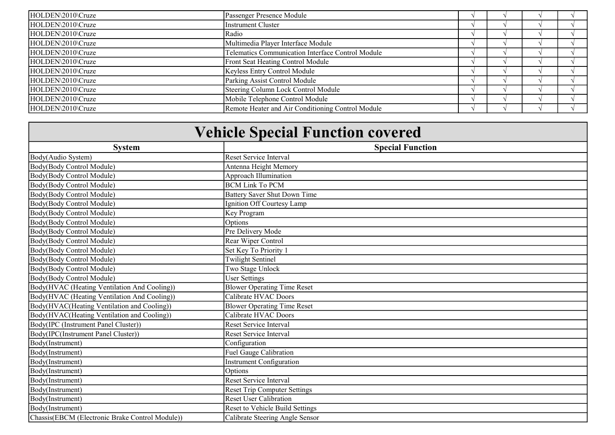| HOLDEN\2010\Cruze | Passenger Presence Module                         |  |  |
|-------------------|---------------------------------------------------|--|--|
| HOLDEN\2010\Cruze | Instrument Cluster                                |  |  |
| HOLDEN\2010\Cruze | <b>Radio</b>                                      |  |  |
| HOLDEN\2010\Cruze | Multimedia Player Interface Module                |  |  |
| HOLDEN\2010\Cruze | Telematics Communication Interface Control Module |  |  |
| HOLDEN\2010\Cruze | <b>Front Seat Heating Control Module</b>          |  |  |
| HOLDEN\2010\Cruze | Keyless Entry Control Module                      |  |  |
| HOLDEN\2010\Cruze | Parking Assist Control Module                     |  |  |
| HOLDEN\2010\Cruze | Steering Column Lock Control Module               |  |  |
| HOLDEN\2010\Cruze | Mobile Telephone Control Module                   |  |  |
| HOLDEN\2010\Cruze | Remote Heater and Air Conditioning Control Module |  |  |

| <b>Vehicle Special Function covered</b>         |                                     |  |  |
|-------------------------------------------------|-------------------------------------|--|--|
| <b>System</b>                                   | <b>Special Function</b>             |  |  |
| Body(Audio System)                              | <b>Reset Service Interval</b>       |  |  |
| Body(Body Control Module)                       | Antenna Height Memory               |  |  |
| Body(Body Control Module)                       | Approach Illumination               |  |  |
| Body(Body Control Module)                       | <b>BCM Link To PCM</b>              |  |  |
| Body(Body Control Module)                       | Battery Saver Shut Down Time        |  |  |
| Body(Body Control Module)                       | Ignition Off Courtesy Lamp          |  |  |
| Body(Body Control Module)                       | Key Program                         |  |  |
| Body(Body Control Module)                       | Options                             |  |  |
| Body(Body Control Module)                       | Pre Delivery Mode                   |  |  |
| Body(Body Control Module)                       | Rear Wiper Control                  |  |  |
| Body(Body Control Module)                       | Set Key To Priority 1               |  |  |
| Body(Body Control Module)                       | <b>Twilight Sentinel</b>            |  |  |
| Body(Body Control Module)                       | Two Stage Unlock                    |  |  |
| Body(Body Control Module)                       | <b>User Settings</b>                |  |  |
| Body(HVAC (Heating Ventilation And Cooling))    | <b>Blower Operating Time Reset</b>  |  |  |
| Body(HVAC (Heating Ventilation And Cooling))    | Calibrate HVAC Doors                |  |  |
| Body(HVAC(Heating Ventilation and Cooling))     | <b>Blower Operating Time Reset</b>  |  |  |
| Body(HVAC(Heating Ventilation and Cooling))     | Calibrate HVAC Doors                |  |  |
| Body(IPC (Instrument Panel Cluster))            | <b>Reset Service Interval</b>       |  |  |
| Body(IPC(Instrument Panel Cluster))             | <b>Reset Service Interval</b>       |  |  |
| Body(Instrument)                                | Configuration                       |  |  |
| Body(Instrument)                                | Fuel Gauge Calibration              |  |  |
| Body(Instrument)                                | <b>Instrument Configuration</b>     |  |  |
| Body(Instrument)                                | Options                             |  |  |
| Body(Instrument)                                | Reset Service Interval              |  |  |
| Body(Instrument)                                | <b>Reset Trip Computer Settings</b> |  |  |
| Body(Instrument)                                | <b>Reset User Calibration</b>       |  |  |
| Body(Instrument)                                | Reset to Vehicle Build Settings     |  |  |
| Chassis(EBCM (Electronic Brake Control Module)) | Calibrate Steering Angle Sensor     |  |  |